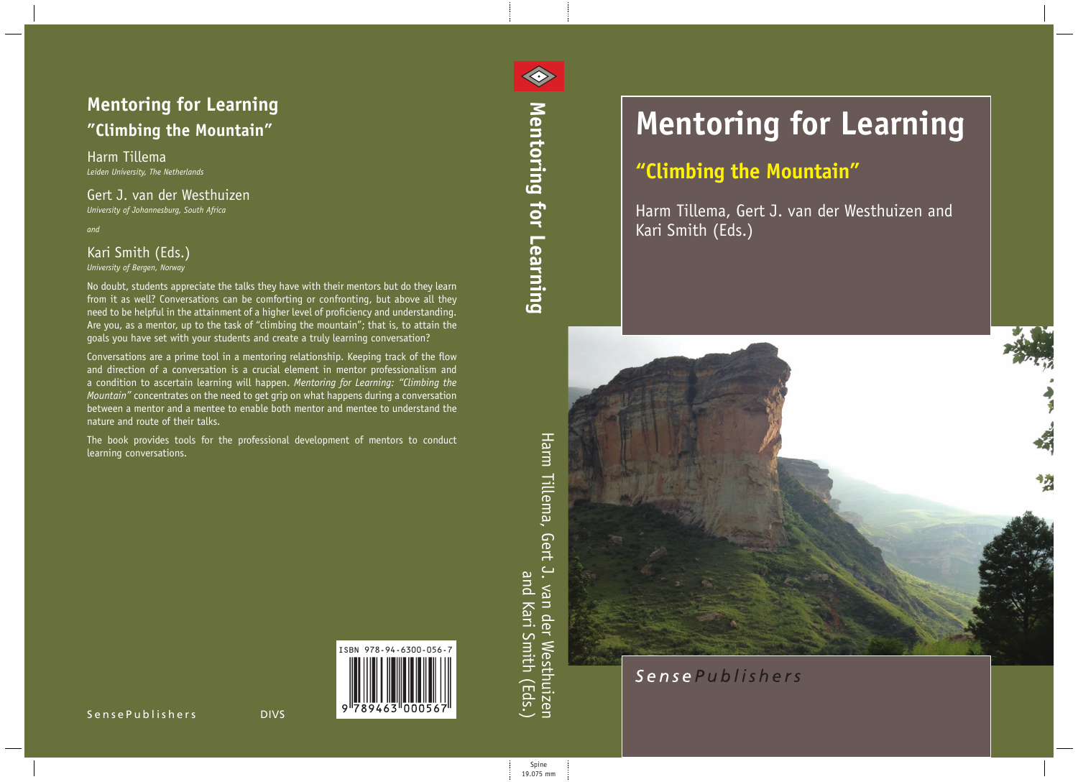# **Mentoring for Learning**

# **"Climbing the Mountain"**

Harm Tillema, Gert J. van der Westhuizen and Kari Smith (Eds.)

SensePublishers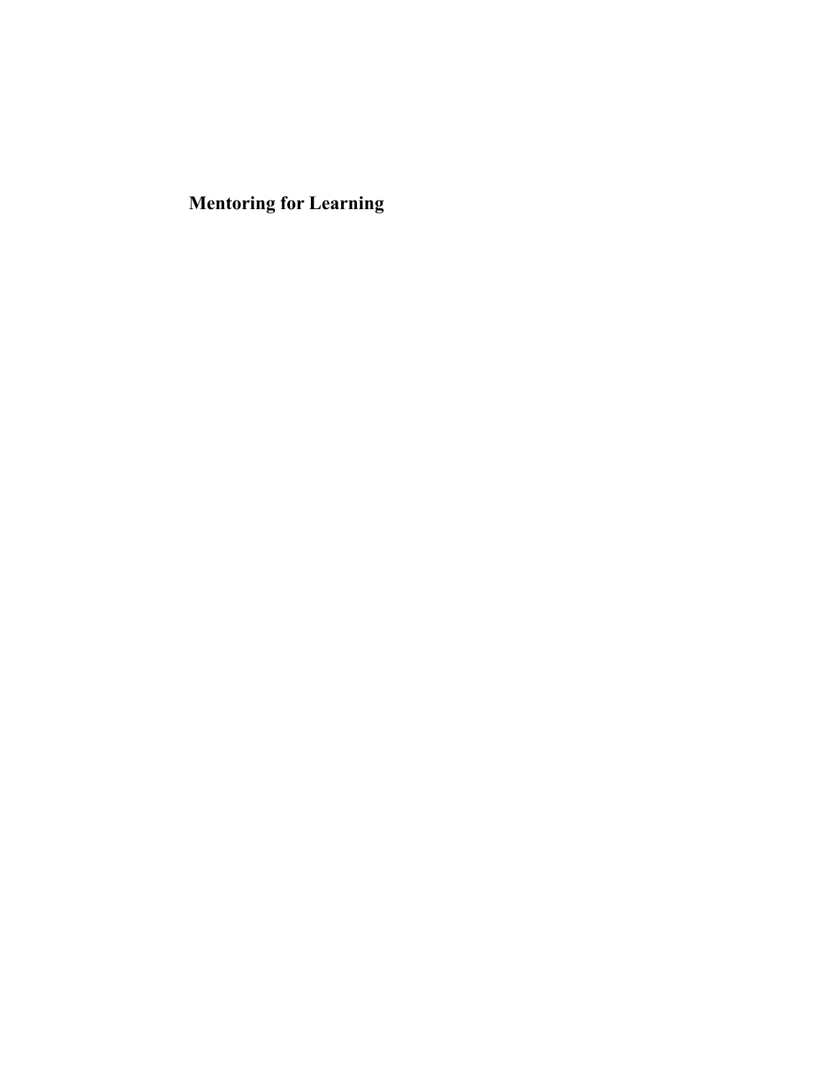## **Mentoring for Learning**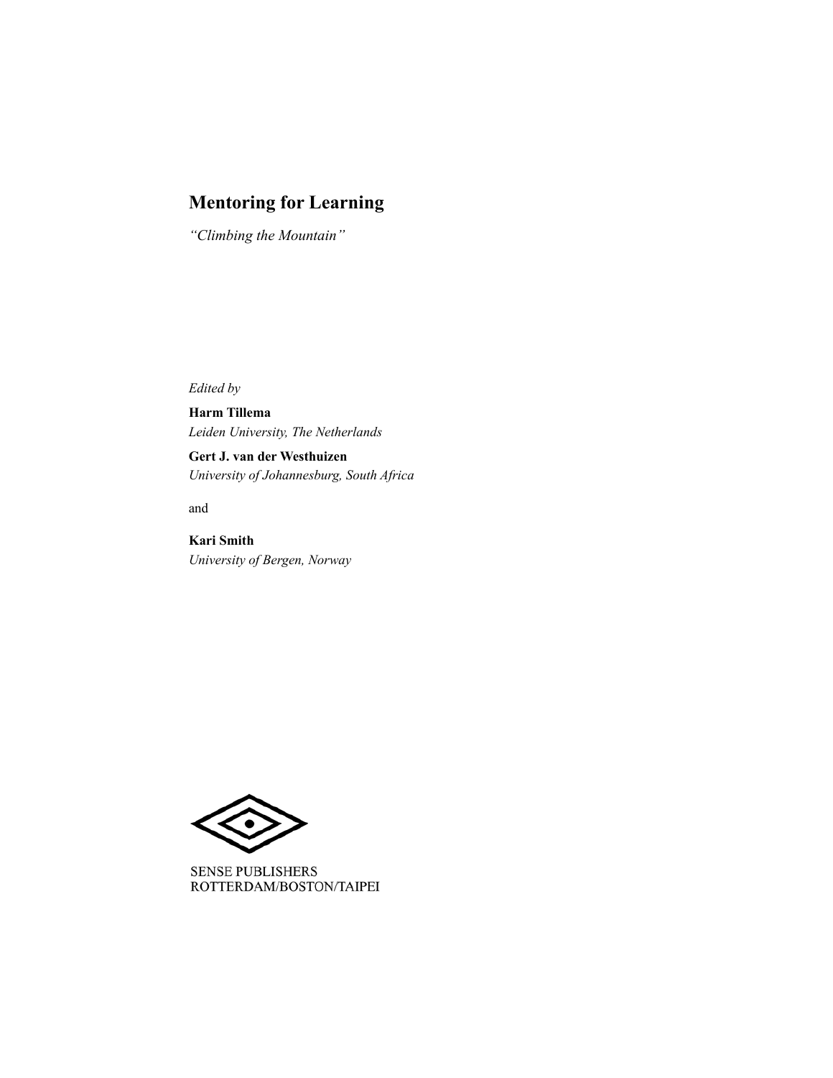### **Mentoring for Learning**

*"Climbing the Mountain"*

*Edited by*

**Harm Tillema** *Leiden University, The Netherlands*

**Gert J. van der Westhuizen** *University of Johannesburg, South Africa*

and

**Kari Smith** *University of Bergen, Norway*



**SENSE PUBLISHERS** ROTTERDAM/BOSTON/TAIPEI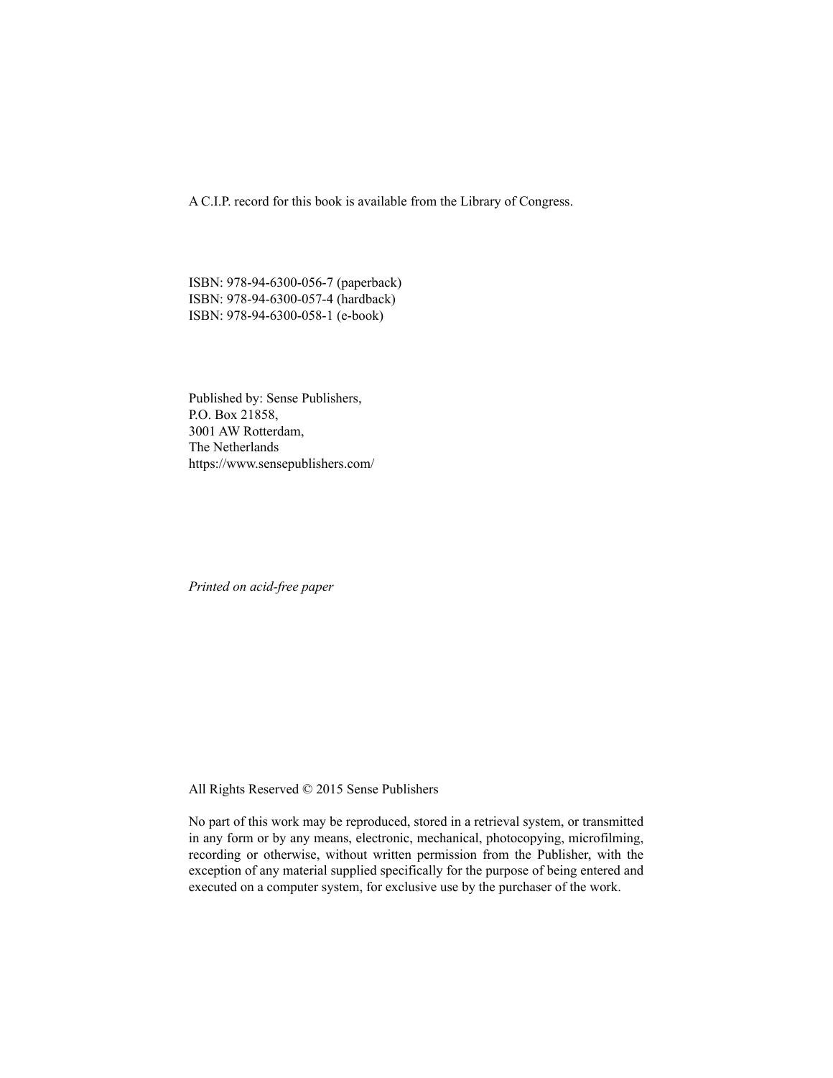A C.I.P. record for this book is available from the Library of Congress.

ISBN: 978-94-6300-056-7 (paperback) ISBN: 978-94-6300-057-4 (hardback) ISBN: 978-94-6300-058-1 (e-book)

Published by: Sense Publishers, P.O. Box 21858, 3001 AW Rotterdam, The Netherlands https://www.sensepublishers.com/

*Printed on acid-free paper* 

All Rights Reserved © 2015 Sense Publishers

No part of this work may be reproduced, stored in a retrieval system, or transmitted in any form or by any means, electronic, mechanical, photocopying, microfilming, recording or otherwise, without written permission from the Publisher, with the exception of any material supplied specifically for the purpose of being entered and executed on a computer system, for exclusive use by the purchaser of the work.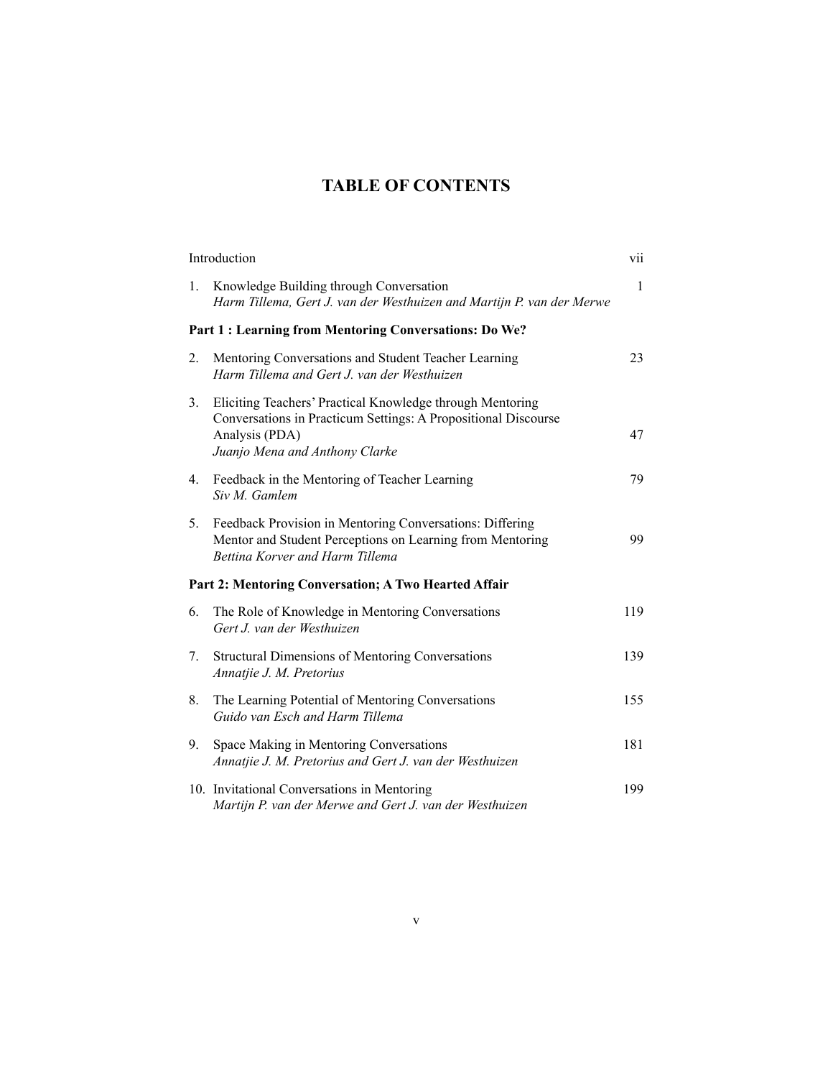### **TABLE OF CONTENTS**

|             | Introduction                                                                                                                                                                    | V11          |
|-------------|---------------------------------------------------------------------------------------------------------------------------------------------------------------------------------|--------------|
| $1_{\cdot}$ | Knowledge Building through Conversation<br>Harm Tillema, Gert J. van der Westhuizen and Martijn P. van der Merwe                                                                | $\mathbf{1}$ |
|             | Part 1 : Learning from Mentoring Conversations: Do We?                                                                                                                          |              |
| 2.          | Mentoring Conversations and Student Teacher Learning<br>Harm Tillema and Gert J. van der Westhuizen                                                                             | 23           |
| 3.          | Eliciting Teachers' Practical Knowledge through Mentoring<br>Conversations in Practicum Settings: A Propositional Discourse<br>Analysis (PDA)<br>Juanjo Mena and Anthony Clarke | 47           |
| 4.          | Feedback in the Mentoring of Teacher Learning<br>Siv M. Gamlem                                                                                                                  | 79           |
| 5.          | Feedback Provision in Mentoring Conversations: Differing<br>Mentor and Student Perceptions on Learning from Mentoring<br>Bettina Korver and Harm Tillema                        | 99           |
|             | Part 2: Mentoring Conversation; A Two Hearted Affair                                                                                                                            |              |
| 6.          | The Role of Knowledge in Mentoring Conversations<br>Gert J. van der Westhuizen                                                                                                  | 119          |
| 7.          | <b>Structural Dimensions of Mentoring Conversations</b><br>Annatjie J. M. Pretorius                                                                                             | 139          |
| 8.          | The Learning Potential of Mentoring Conversations<br>Guido van Esch and Harm Tillema                                                                                            | 155          |
| 9.          | Space Making in Mentoring Conversations<br>Annatjie J. M. Pretorius and Gert J. van der Westhuizen                                                                              | 181          |
|             | 10. Invitational Conversations in Mentoring<br>Martijn P. van der Merwe and Gert J. van der Westhuizen                                                                          | 199          |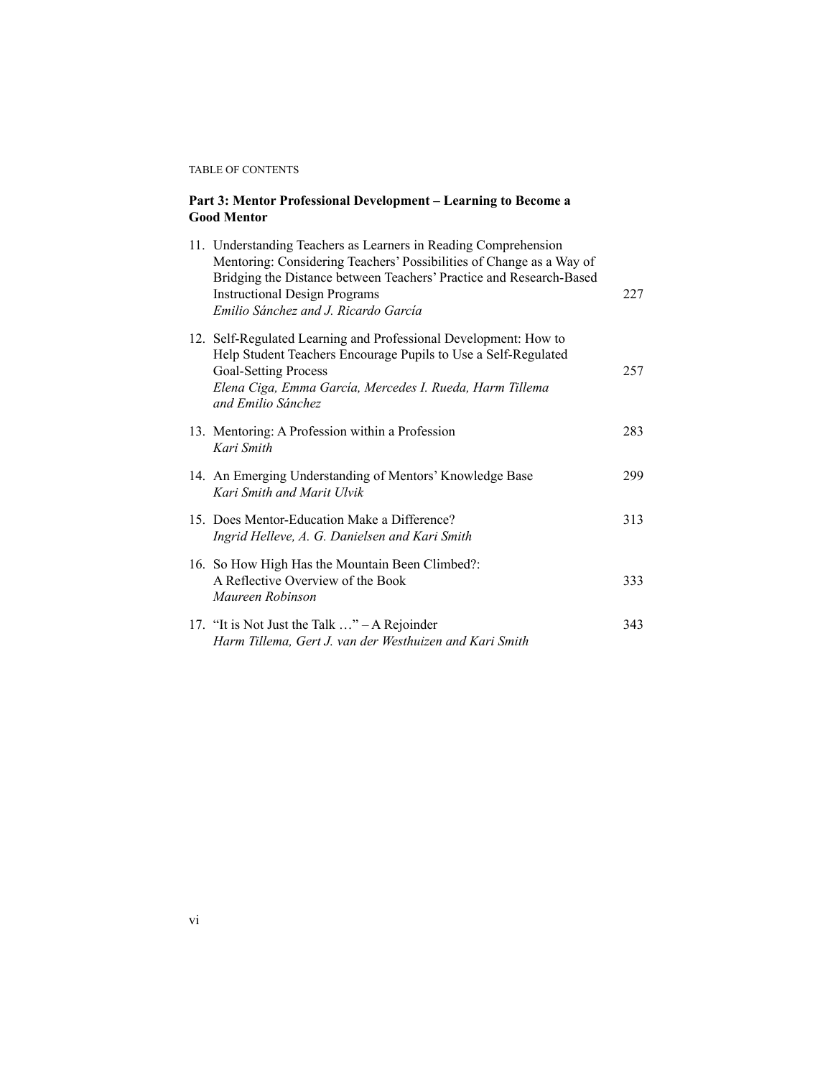### TABLE OF CONTENTS

### **Part 3: Mentor Professional Development – Learning to Become a Good Mentor**

| 11. Understanding Teachers as Learners in Reading Comprehension<br>Mentoring: Considering Teachers' Possibilities of Change as a Way of<br>Bridging the Distance between Teachers' Practice and Research-Based<br><b>Instructional Design Programs</b><br>Emilio Sánchez and J. Ricardo García | 227 |
|------------------------------------------------------------------------------------------------------------------------------------------------------------------------------------------------------------------------------------------------------------------------------------------------|-----|
| 12. Self-Regulated Learning and Professional Development: How to<br>Help Student Teachers Encourage Pupils to Use a Self-Regulated<br>Goal-Setting Process<br>Elena Ciga, Emma García, Mercedes I. Rueda, Harm Tillema<br>and Emilio Sánchez                                                   | 257 |
| 13. Mentoring: A Profession within a Profession<br>Kari Smith                                                                                                                                                                                                                                  | 283 |
| 14. An Emerging Understanding of Mentors' Knowledge Base<br>Kari Smith and Marit Ulvik                                                                                                                                                                                                         | 299 |
| 15. Does Mentor-Education Make a Difference?<br>Ingrid Helleve, A. G. Danielsen and Kari Smith                                                                                                                                                                                                 | 313 |
| 16. So How High Has the Mountain Been Climbed?:<br>A Reflective Overview of the Book<br>Maureen Robinson                                                                                                                                                                                       | 333 |
| 17. "It is Not Just the Talk " - A Rejoinder<br>Harm Tillema, Gert J. van der Westhuizen and Kari Smith                                                                                                                                                                                        | 343 |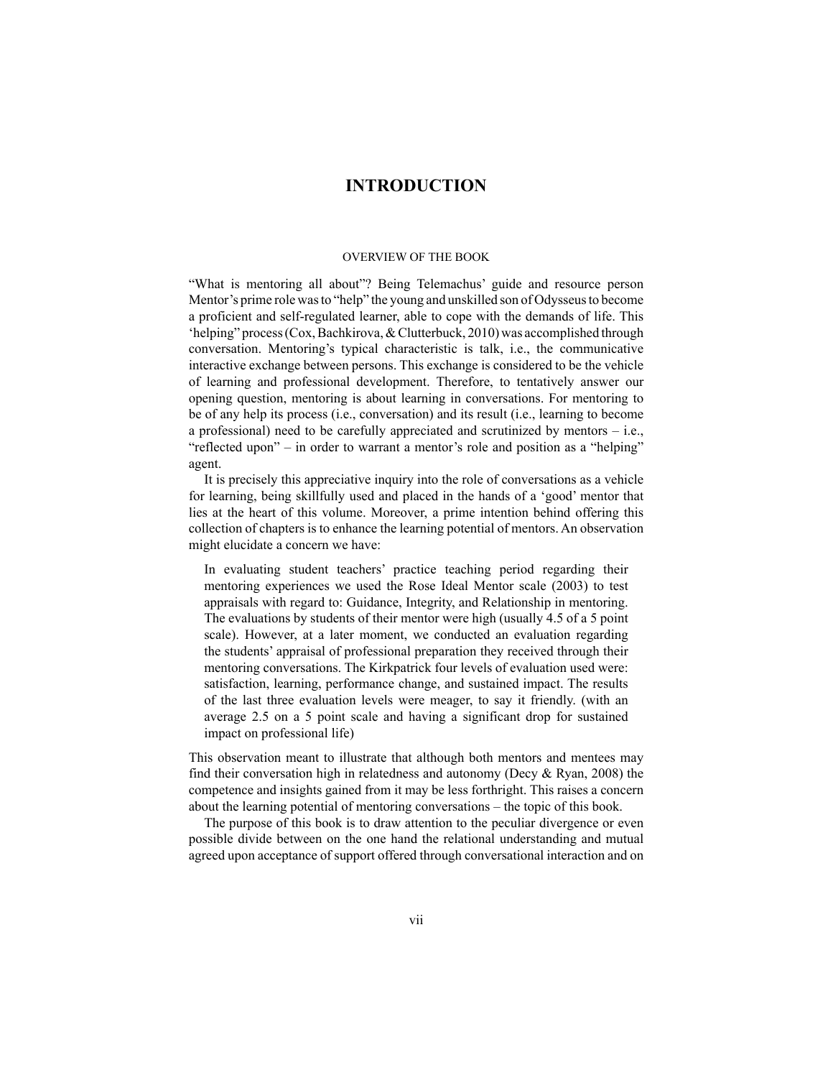### **INTRODUCTION**

### OVERVIEW OF THE BOOK

"What is mentoring all about"? Being Telemachus' guide and resource person Mentor's prime role was to "help" the young and unskilled son of Odysseus to become a proficient and self-regulated learner, able to cope with the demands of life. This 'helping" process (Cox, Bachkirova, & Clutterbuck, 2010) was accomplished through conversation. Mentoring's typical characteristic is talk, i.e., the communicative interactive exchange between persons. This exchange is considered to be the vehicle of learning and professional development. Therefore, to tentatively answer our opening question, mentoring is about learning in conversations. For mentoring to be of any help its process (i.e., conversation) and its result (i.e., learning to become a professional) need to be carefully appreciated and scrutinized by mentors  $-$  i.e., "reflected upon" – in order to warrant a mentor's role and position as a "helping" agent.

It is precisely this appreciative inquiry into the role of conversations as a vehicle for learning, being skillfully used and placed in the hands of a 'good' mentor that lies at the heart of this volume. Moreover, a prime intention behind offering this collection of chapters is to enhance the learning potential of mentors. An observation might elucidate a concern we have:

In evaluating student teachers' practice teaching period regarding their mentoring experiences we used the Rose Ideal Mentor scale (2003) to test appraisals with regard to: Guidance, Integrity, and Relationship in mentoring. The evaluations by students of their mentor were high (usually 4.5 of a 5 point scale). However, at a later moment, we conducted an evaluation regarding the students' appraisal of professional preparation they received through their mentoring conversations. The Kirkpatrick four levels of evaluation used were: satisfaction, learning, performance change, and sustained impact. The results of the last three evaluation levels were meager, to say it friendly. (with an average 2.5 on a 5 point scale and having a significant drop for sustained impact on professional life)

This observation meant to illustrate that although both mentors and mentees may find their conversation high in relatedness and autonomy (Decy  $\&$  Ryan, 2008) the competence and insights gained from it may be less forthright. This raises a concern about the learning potential of mentoring conversations – the topic of this book.

The purpose of this book is to draw attention to the peculiar divergence or even possible divide between on the one hand the relational understanding and mutual agreed upon acceptance of support offered through conversational interaction and on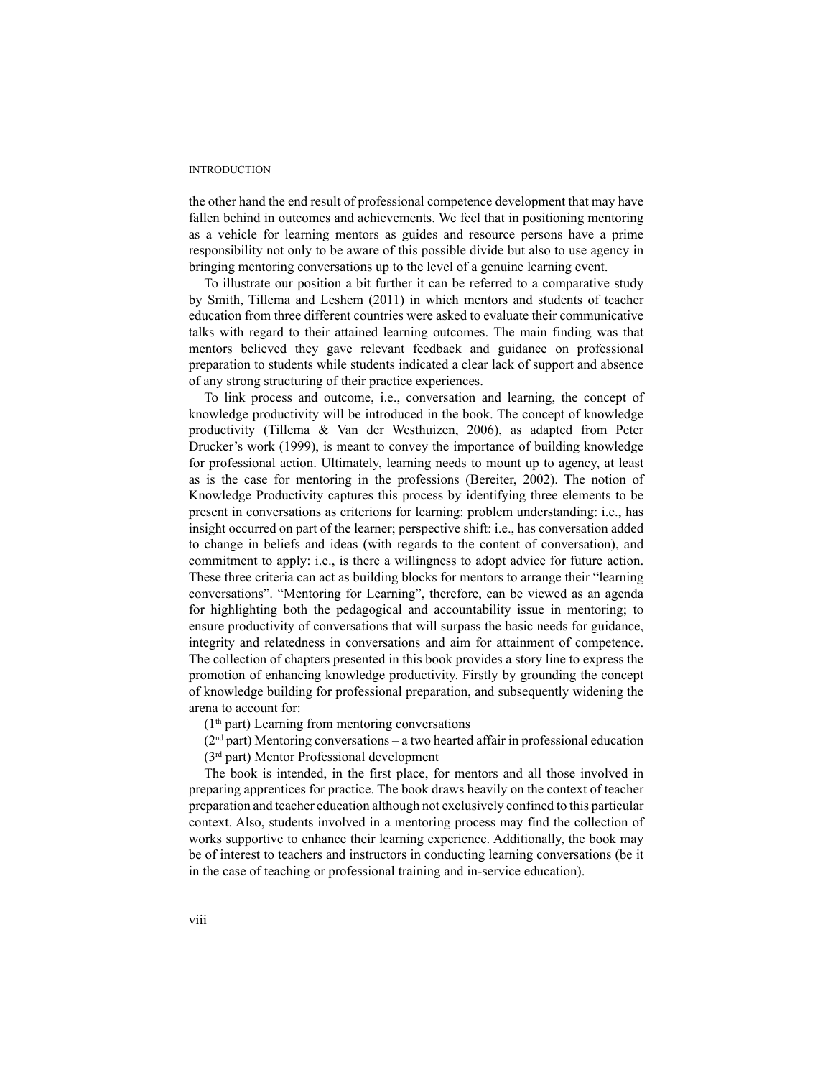#### INTRODUCTION

the other hand the end result of professional competence development that may have fallen behind in outcomes and achievements. We feel that in positioning mentoring as a vehicle for learning mentors as guides and resource persons have a prime responsibility not only to be aware of this possible divide but also to use agency in bringing mentoring conversations up to the level of a genuine learning event.

To illustrate our position a bit further it can be referred to a comparative study by Smith, Tillema and Leshem (2011) in which mentors and students of teacher education from three different countries were asked to evaluate their communicative talks with regard to their attained learning outcomes. The main finding was that mentors believed they gave relevant feedback and guidance on professional preparation to students while students indicated a clear lack of support and absence of any strong structuring of their practice experiences.

To link process and outcome, i.e., conversation and learning, the concept of knowledge productivity will be introduced in the book. The concept of knowledge productivity (Tillema & Van der Westhuizen, 2006), as adapted from Peter Drucker's work (1999), is meant to convey the importance of building knowledge for professional action. Ultimately, learning needs to mount up to agency, at least as is the case for mentoring in the professions (Bereiter, 2002). The notion of Knowledge Productivity captures this process by identifying three elements to be present in conversations as criterions for learning: problem understanding: i.e., has insight occurred on part of the learner; perspective shift: i.e., has conversation added to change in beliefs and ideas (with regards to the content of conversation), and commitment to apply: i.e., is there a willingness to adopt advice for future action. These three criteria can act as building blocks for mentors to arrange their "learning conversations". "Mentoring for Learning", therefore, can be viewed as an agenda for highlighting both the pedagogical and accountability issue in mentoring; to ensure productivity of conversations that will surpass the basic needs for guidance, integrity and relatedness in conversations and aim for attainment of competence. The collection of chapters presented in this book provides a story line to express the promotion of enhancing knowledge productivity. Firstly by grounding the concept of knowledge building for professional preparation, and subsequently widening the arena to account for:

 $(1<sup>th</sup>$  part) Learning from mentoring conversations

 $(2<sup>nd</sup>$  part) Mentoring conversations – a two hearted affair in professional education

(3rd part) Mentor Professional development

The book is intended, in the first place, for mentors and all those involved in preparing apprentices for practice. The book draws heavily on the context of teacher preparation and teacher education although not exclusively confined to this particular context. Also, students involved in a mentoring process may find the collection of works supportive to enhance their learning experience. Additionally, the book may be of interest to teachers and instructors in conducting learning conversations (be it in the case of teaching or professional training and in-service education).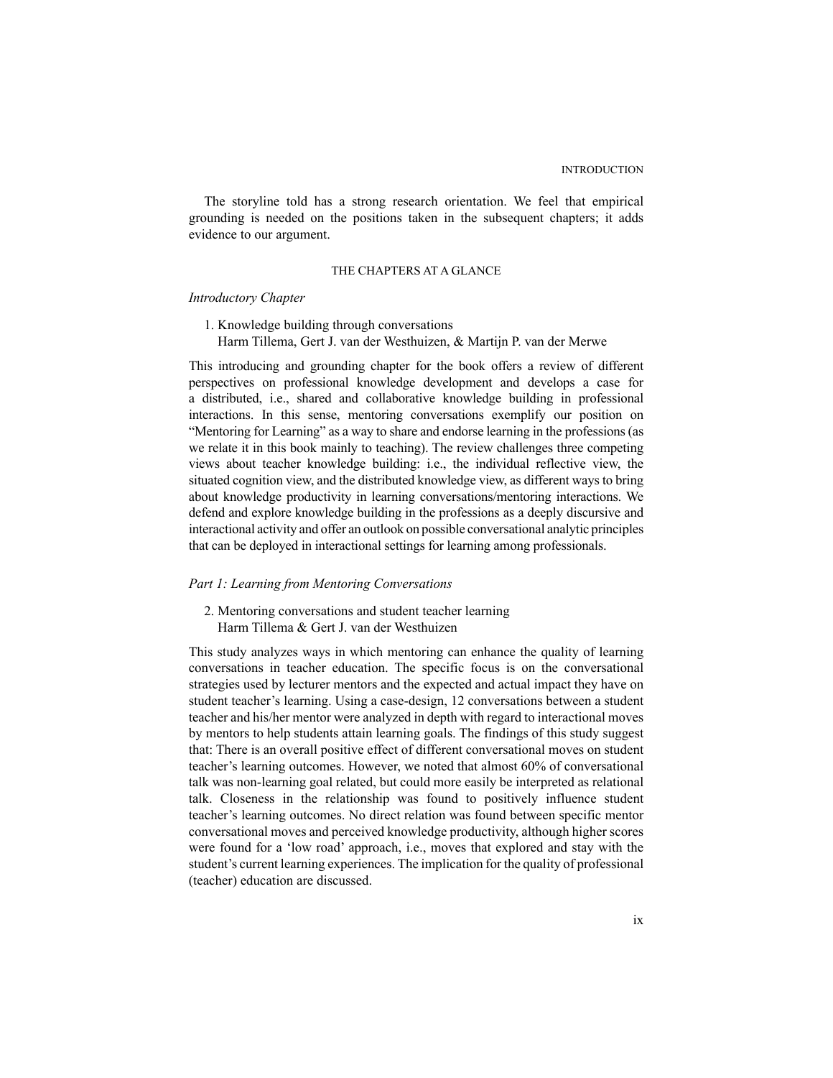The storyline told has a strong research orientation. We feel that empirical grounding is needed on the positions taken in the subsequent chapters; it adds evidence to our argument.

### THE CHAPTERS AT A GLANCE

#### *Introductory Chapter*

1. Knowledge building through conversations Harm Tillema, Gert J. van der Westhuizen, & Martijn P. van der Merwe

This introducing and grounding chapter for the book offers a review of different perspectives on professional knowledge development and develops a case for a distributed, i.e., shared and collaborative knowledge building in professional interactions. In this sense, mentoring conversations exemplify our position on "Mentoring for Learning" as a way to share and endorse learning in the professions (as we relate it in this book mainly to teaching). The review challenges three competing views about teacher knowledge building: i.e., the individual reflective view, the situated cognition view, and the distributed knowledge view, as different ways to bring about knowledge productivity in learning conversations/mentoring interactions. We defend and explore knowledge building in the professions as a deeply discursive and interactional activity and offer an outlook on possible conversational analytic principles that can be deployed in interactional settings for learning among professionals.

### *Part 1: Learning from Mentoring Conversations*

2. Mentoring conversations and student teacher learning Harm Tillema & Gert J. van der Westhuizen

This study analyzes ways in which mentoring can enhance the quality of learning conversations in teacher education. The specific focus is on the conversational strategies used by lecturer mentors and the expected and actual impact they have on student teacher's learning. Using a case-design, 12 conversations between a student teacher and his/her mentor were analyzed in depth with regard to interactional moves by mentors to help students attain learning goals. The findings of this study suggest that: There is an overall positive effect of different conversational moves on student teacher's learning outcomes. However, we noted that almost 60% of conversational talk was non-learning goal related, but could more easily be interpreted as relational talk. Closeness in the relationship was found to positively influence student teacher's learning outcomes. No direct relation was found between specific mentor conversational moves and perceived knowledge productivity, although higher scores were found for a 'low road' approach, i.e., moves that explored and stay with the student's current learning experiences. The implication for the quality of professional (teacher) education are discussed.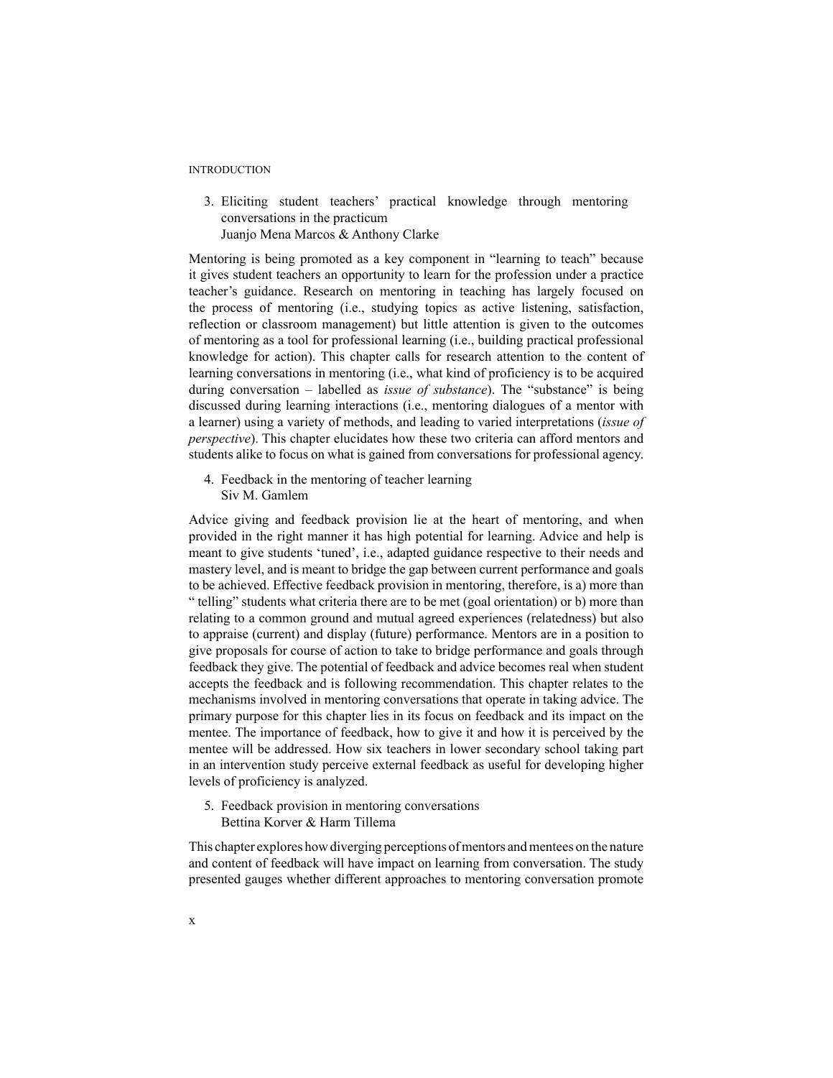### INTRODUCTION

3. Eliciting student teachers' practical knowledge through mentoring conversations in the practicum Juanjo Mena Marcos & Anthony Clarke

Mentoring is being promoted as a key component in "learning to teach" because it gives student teachers an opportunity to learn for the profession under a practice teacher's guidance. Research on mentoring in teaching has largely focused on the process of mentoring (i.e., studying topics as active listening, satisfaction, reflection or classroom management) but little attention is given to the outcomes of mentoring as a tool for professional learning (i.e., building practical professional knowledge for action). This chapter calls for research attention to the content of learning conversations in mentoring (i.e., what kind of proficiency is to be acquired during conversation – labelled as *issue of substance*). The "substance" is being discussed during learning interactions (i.e., mentoring dialogues of a mentor with a learner) using a variety of methods, and leading to varied interpretations (*issue of perspective*). This chapter elucidates how these two criteria can afford mentors and students alike to focus on what is gained from conversations for professional agency.

4. Feedback in the mentoring of teacher learning Siv M. Gamlem

Advice giving and feedback provision lie at the heart of mentoring, and when provided in the right manner it has high potential for learning. Advice and help is meant to give students 'tuned', i.e., adapted guidance respective to their needs and mastery level, and is meant to bridge the gap between current performance and goals to be achieved. Effective feedback provision in mentoring, therefore, is a) more than " telling" students what criteria there are to be met (goal orientation) or b) more than relating to a common ground and mutual agreed experiences (relatedness) but also to appraise (current) and display (future) performance. Mentors are in a position to give proposals for course of action to take to bridge performance and goals through feedback they give. The potential of feedback and advice becomes real when student accepts the feedback and is following recommendation. This chapter relates to the mechanisms involved in mentoring conversations that operate in taking advice. The primary purpose for this chapter lies in its focus on feedback and its impact on the mentee. The importance of feedback, how to give it and how it is perceived by the mentee will be addressed. How six teachers in lower secondary school taking part in an intervention study perceive external feedback as useful for developing higher levels of proficiency is analyzed.

5. Feedback provision in mentoring conversations Bettina Korver & Harm Tillema

This chapter explores how diverging perceptions of mentors and mentees on the nature and content of feedback will have impact on learning from conversation. The study presented gauges whether different approaches to mentoring conversation promote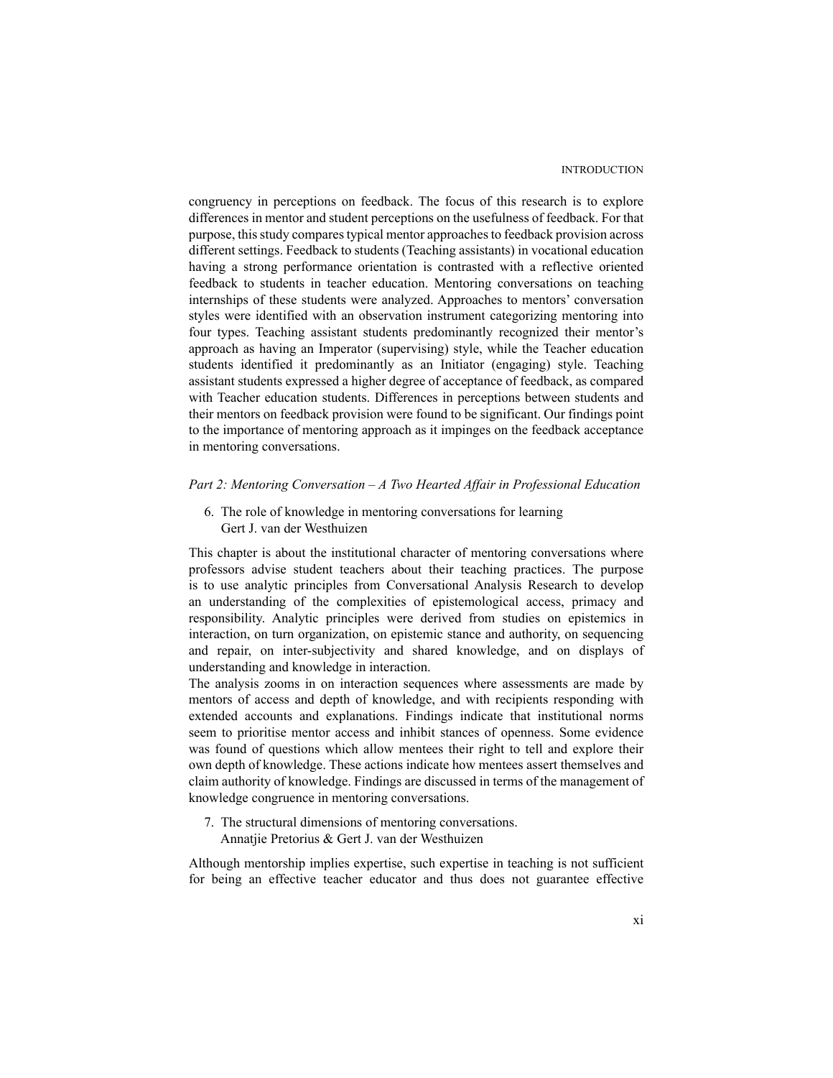congruency in perceptions on feedback. The focus of this research is to explore differences in mentor and student perceptions on the usefulness of feedback. For that purpose, this study compares typical mentor approaches to feedback provision across different settings. Feedback to students (Teaching assistants) in vocational education having a strong performance orientation is contrasted with a reflective oriented feedback to students in teacher education. Mentoring conversations on teaching internships of these students were analyzed. Approaches to mentors' conversation styles were identified with an observation instrument categorizing mentoring into four types. Teaching assistant students predominantly recognized their mentor's approach as having an Imperator (supervising) style, while the Teacher education students identified it predominantly as an Initiator (engaging) style. Teaching assistant students expressed a higher degree of acceptance of feedback, as compared with Teacher education students. Differences in perceptions between students and their mentors on feedback provision were found to be significant. Our findings point to the importance of mentoring approach as it impinges on the feedback acceptance in mentoring conversations.

### *Part 2: Mentoring Conversation – A Two Hearted Affair in Professional Education*

6. The role of knowledge in mentoring conversations for learning Gert J. van der Westhuizen

This chapter is about the institutional character of mentoring conversations where professors advise student teachers about their teaching practices. The purpose is to use analytic principles from Conversational Analysis Research to develop an understanding of the complexities of epistemological access, primacy and responsibility. Analytic principles were derived from studies on epistemics in interaction, on turn organization, on epistemic stance and authority, on sequencing and repair, on inter-subjectivity and shared knowledge, and on displays of understanding and knowledge in interaction.

The analysis zooms in on interaction sequences where assessments are made by mentors of access and depth of knowledge, and with recipients responding with extended accounts and explanations. Findings indicate that institutional norms seem to prioritise mentor access and inhibit stances of openness. Some evidence was found of questions which allow mentees their right to tell and explore their own depth of knowledge. These actions indicate how mentees assert themselves and claim authority of knowledge. Findings are discussed in terms of the management of knowledge congruence in mentoring conversations.

7. The structural dimensions of mentoring conversations. Annatjie Pretorius & Gert J. van der Westhuizen

Although mentorship implies expertise, such expertise in teaching is not sufficient for being an effective teacher educator and thus does not guarantee effective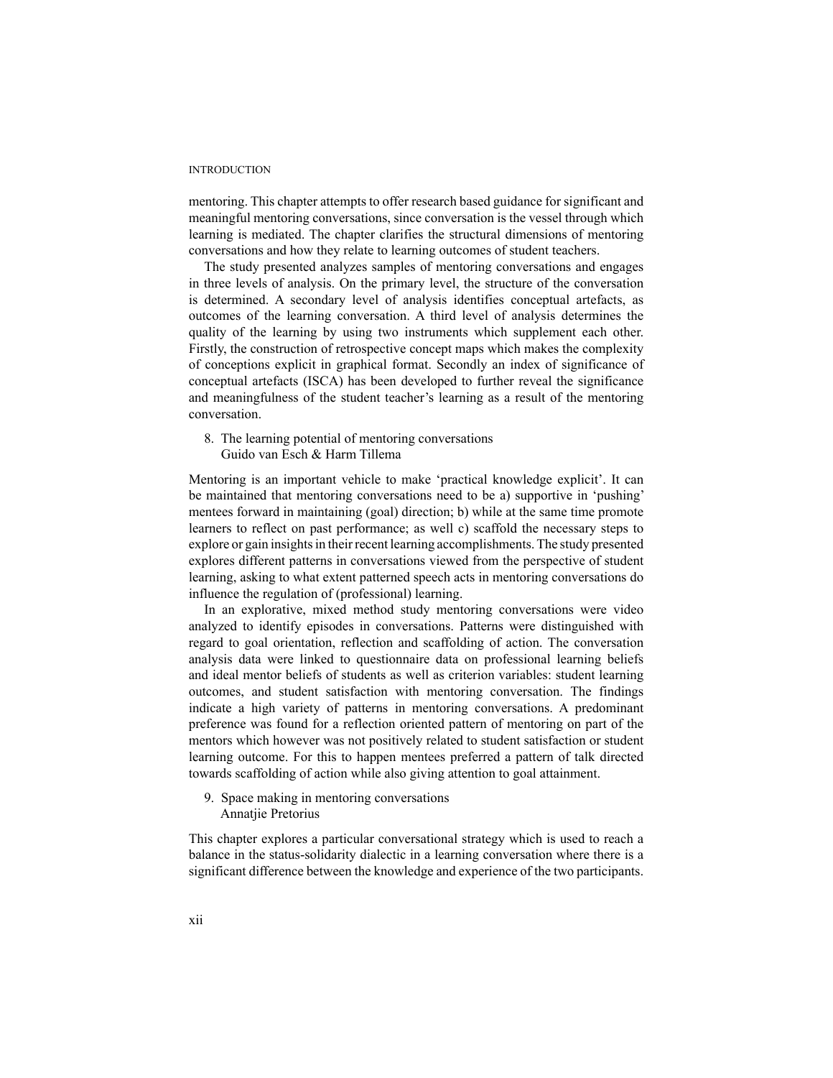mentoring. This chapter attempts to offer research based guidance for significant and meaningful mentoring conversations, since conversation is the vessel through which learning is mediated. The chapter clarifies the structural dimensions of mentoring conversations and how they relate to learning outcomes of student teachers.

The study presented analyzes samples of mentoring conversations and engages in three levels of analysis. On the primary level, the structure of the conversation is determined. A secondary level of analysis identifies conceptual artefacts, as outcomes of the learning conversation. A third level of analysis determines the quality of the learning by using two instruments which supplement each other. Firstly, the construction of retrospective concept maps which makes the complexity of conceptions explicit in graphical format. Secondly an index of significance of conceptual artefacts (ISCA) has been developed to further reveal the significance and meaningfulness of the student teacher's learning as a result of the mentoring conversation.

8. The learning potential of mentoring conversations Guido van Esch & Harm Tillema

Mentoring is an important vehicle to make 'practical knowledge explicit'. It can be maintained that mentoring conversations need to be a) supportive in 'pushing' mentees forward in maintaining (goal) direction; b) while at the same time promote learners to reflect on past performance; as well c) scaffold the necessary steps to explore or gain insights in their recent learning accomplishments. The study presented explores different patterns in conversations viewed from the perspective of student learning, asking to what extent patterned speech acts in mentoring conversations do influence the regulation of (professional) learning.

In an explorative, mixed method study mentoring conversations were video analyzed to identify episodes in conversations. Patterns were distinguished with regard to goal orientation, reflection and scaffolding of action. The conversation analysis data were linked to questionnaire data on professional learning beliefs and ideal mentor beliefs of students as well as criterion variables: student learning outcomes, and student satisfaction with mentoring conversation. The findings indicate a high variety of patterns in mentoring conversations. A predominant preference was found for a reflection oriented pattern of mentoring on part of the mentors which however was not positively related to student satisfaction or student learning outcome. For this to happen mentees preferred a pattern of talk directed towards scaffolding of action while also giving attention to goal attainment.

9. Space making in mentoring conversations Annatjie Pretorius

This chapter explores a particular conversational strategy which is used to reach a balance in the status-solidarity dialectic in a learning conversation where there is a significant difference between the knowledge and experience of the two participants.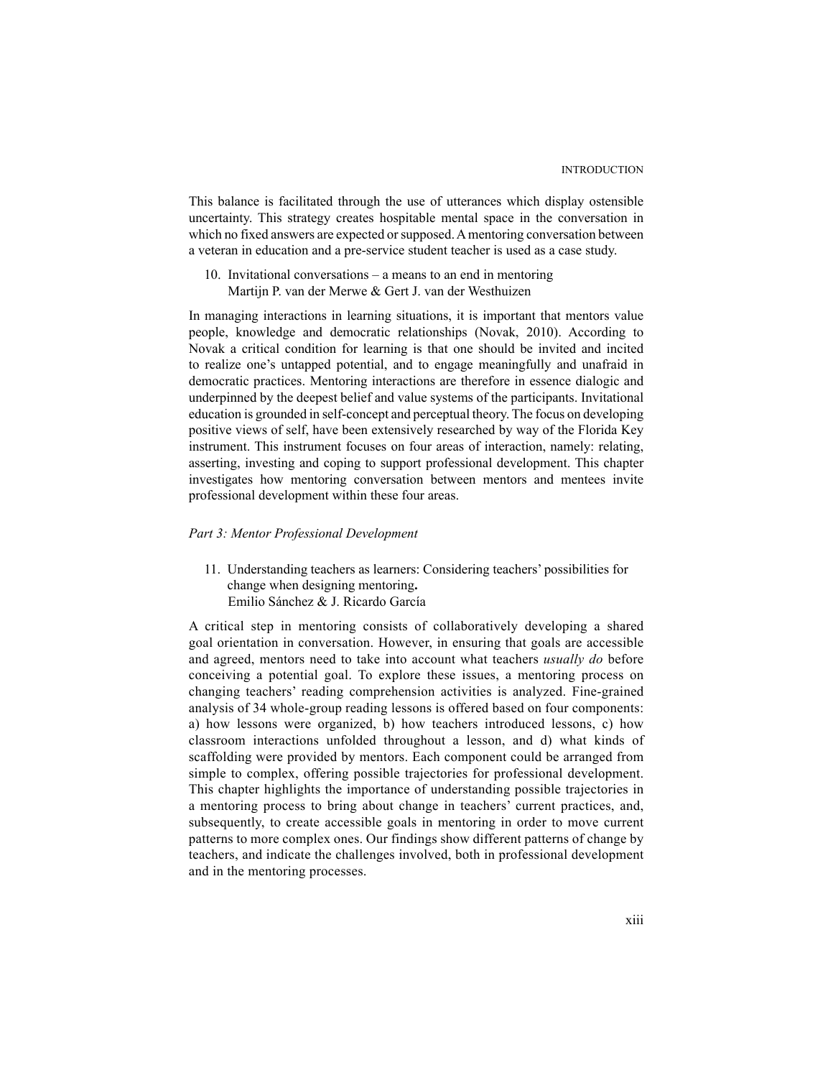This balance is facilitated through the use of utterances which display ostensible uncertainty. This strategy creates hospitable mental space in the conversation in which no fixed answers are expected or supposed. A mentoring conversation between a veteran in education and a pre-service student teacher is used as a case study.

10. Invitational conversations – a means to an end in mentoring Martijn P. van der Merwe & Gert J. van der Westhuizen

In managing interactions in learning situations, it is important that mentors value people, knowledge and democratic relationships (Novak, 2010). According to Novak a critical condition for learning is that one should be invited and incited to realize one's untapped potential, and to engage meaningfully and unafraid in democratic practices. Mentoring interactions are therefore in essence dialogic and underpinned by the deepest belief and value systems of the participants. Invitational education is grounded in self-concept and perceptual theory. The focus on developing positive views of self, have been extensively researched by way of the Florida Key instrument. This instrument focuses on four areas of interaction, namely: relating, asserting, investing and coping to support professional development. This chapter investigates how mentoring conversation between mentors and mentees invite professional development within these four areas.

### *Part 3: Mentor Professional Development*

11. Understanding teachers as learners: Considering teachers' possibilities for change when designing mentoring**.** Emilio Sánchez & J. Ricardo García

A critical step in mentoring consists of collaboratively developing a shared goal orientation in conversation. However, in ensuring that goals are accessible and agreed, mentors need to take into account what teachers *usually do* before conceiving a potential goal. To explore these issues, a mentoring process on changing teachers' reading comprehension activities is analyzed. Fine-grained analysis of 34 whole-group reading lessons is offered based on four components: a) how lessons were organized, b) how teachers introduced lessons, c) how classroom interactions unfolded throughout a lesson, and d) what kinds of scaffolding were provided by mentors. Each component could be arranged from simple to complex, offering possible trajectories for professional development. This chapter highlights the importance of understanding possible trajectories in a mentoring process to bring about change in teachers' current practices, and, subsequently, to create accessible goals in mentoring in order to move current patterns to more complex ones. Our findings show different patterns of change by teachers, and indicate the challenges involved, both in professional development and in the mentoring processes.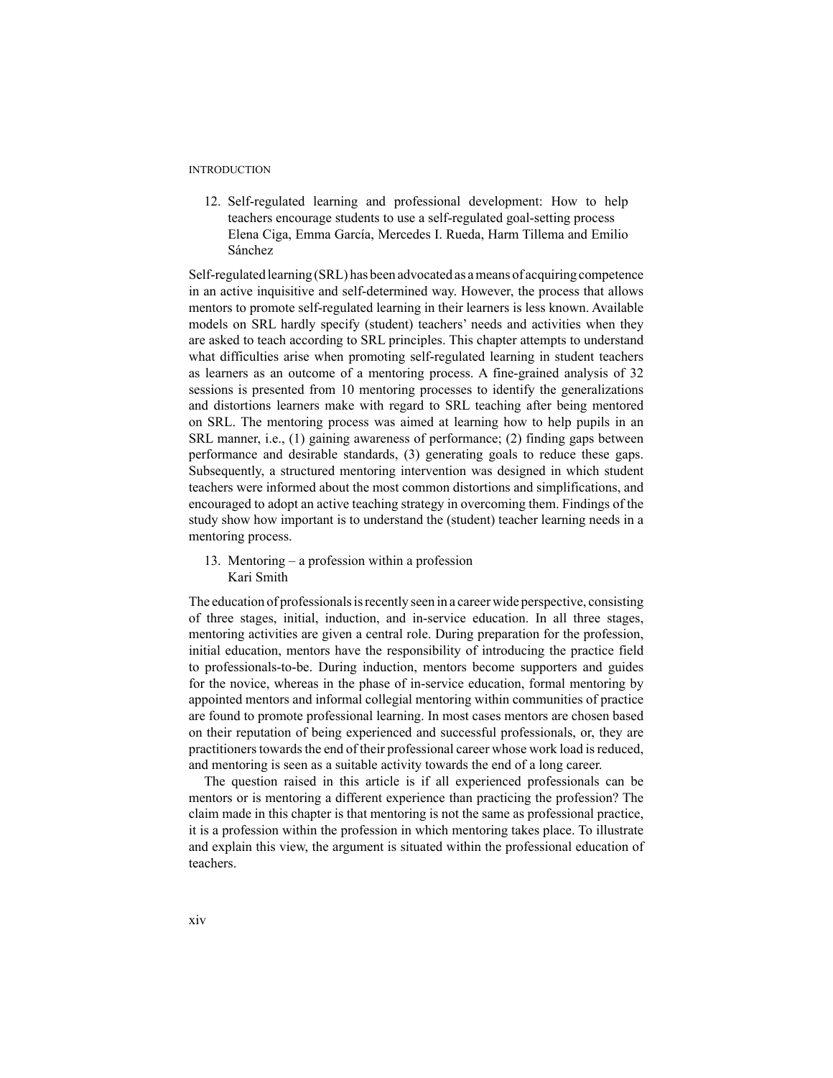### INTRODUCTION

12. Self-regulated learning and professional development: How to help teachers encourage students to use a self-regulated goal-setting process Elena Ciga, Emma García, Mercedes I. Rueda, Harm Tillema and Emilio Sánchez

Self-regulated learning (SRL) has been advocated as a means of acquiring competence in an active inquisitive and self-determined way. However, the process that allows mentors to promote self-regulated learning in their learners is less known. Available models on SRL hardly specify (student) teachers' needs and activities when they are asked to teach according to SRL principles. This chapter attempts to understand what difficulties arise when promoting self-regulated learning in student teachers as learners as an outcome of a mentoring process. A fine-grained analysis of 32 sessions is presented from 10 mentoring processes to identify the generalizations and distortions learners make with regard to SRL teaching after being mentored on SRL. The mentoring process was aimed at learning how to help pupils in an SRL manner, i.e., (1) gaining awareness of performance; (2) finding gaps between performance and desirable standards, (3) generating goals to reduce these gaps. Subsequently, a structured mentoring intervention was designed in which student teachers were informed about the most common distortions and simplifications, and encouraged to adopt an active teaching strategy in overcoming them. Findings of the study show how important is to understand the (student) teacher learning needs in a mentoring process.

13. Mentoring – a profession within a profession Kari Smith

The education of professionals is recently seen in a career wide perspective, consisting of three stages, initial, induction, and in-service education. In all three stages, mentoring activities are given a central role. During preparation for the profession, initial education, mentors have the responsibility of introducing the practice field to professionals-to-be. During induction, mentors become supporters and guides for the novice, whereas in the phase of in-service education, formal mentoring by appointed mentors and informal collegial mentoring within communities of practice are found to promote professional learning. In most cases mentors are chosen based on their reputation of being experienced and successful professionals, or, they are practitioners towards the end of their professional career whose work load is reduced, and mentoring is seen as a suitable activity towards the end of a long career.

The question raised in this article is if all experienced professionals can be mentors or is mentoring a different experience than practicing the profession? The claim made in this chapter is that mentoring is not the same as professional practice, it is a profession within the profession in which mentoring takes place. To illustrate and explain this view, the argument is situated within the professional education of teachers.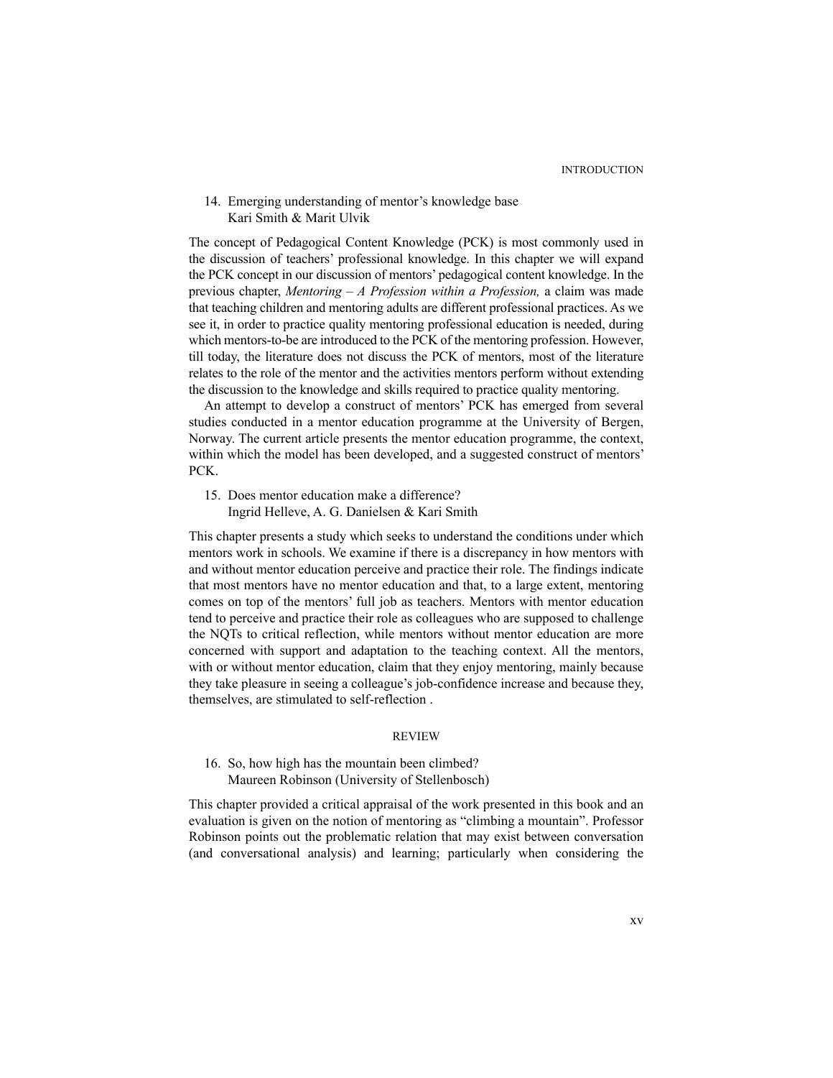14. Emerging understanding of mentor's knowledge base Kari Smith & Marit Ulvik

The concept of Pedagogical Content Knowledge (PCK) is most commonly used in the discussion of teachers' professional knowledge. In this chapter we will expand the PCK concept in our discussion of mentors' pedagogical content knowledge. In the previous chapter, *Mentoring – A Profession within a Profession,* a claim was made that teaching children and mentoring adults are different professional practices. As we see it, in order to practice quality mentoring professional education is needed, during which mentors-to-be are introduced to the PCK of the mentoring profession. However, till today, the literature does not discuss the PCK of mentors, most of the literature relates to the role of the mentor and the activities mentors perform without extending the discussion to the knowledge and skills required to practice quality mentoring.

An attempt to develop a construct of mentors' PCK has emerged from several studies conducted in a mentor education programme at the University of Bergen, Norway. The current article presents the mentor education programme, the context, within which the model has been developed, and a suggested construct of mentors' PCK.

15. Does mentor education make a difference? Ingrid Helleve, A. G. Danielsen & Kari Smith

This chapter presents a study which seeks to understand the conditions under which mentors work in schools. We examine if there is a discrepancy in how mentors with and without mentor education perceive and practice their role. The findings indicate that most mentors have no mentor education and that, to a large extent, mentoring comes on top of the mentors' full job as teachers. Mentors with mentor education tend to perceive and practice their role as colleagues who are supposed to challenge the NQTs to critical reflection, while mentors without mentor education are more concerned with support and adaptation to the teaching context. All the mentors, with or without mentor education, claim that they enjoy mentoring, mainly because they take pleasure in seeing a colleague's job-confidence increase and because they, themselves, are stimulated to self-reflection .

#### REVIEW

16. So, how high has the mountain been climbed? Maureen Robinson (University of Stellenbosch)

This chapter provided a critical appraisal of the work presented in this book and an evaluation is given on the notion of mentoring as "climbing a mountain". Professor Robinson points out the problematic relation that may exist between conversation (and conversational analysis) and learning; particularly when considering the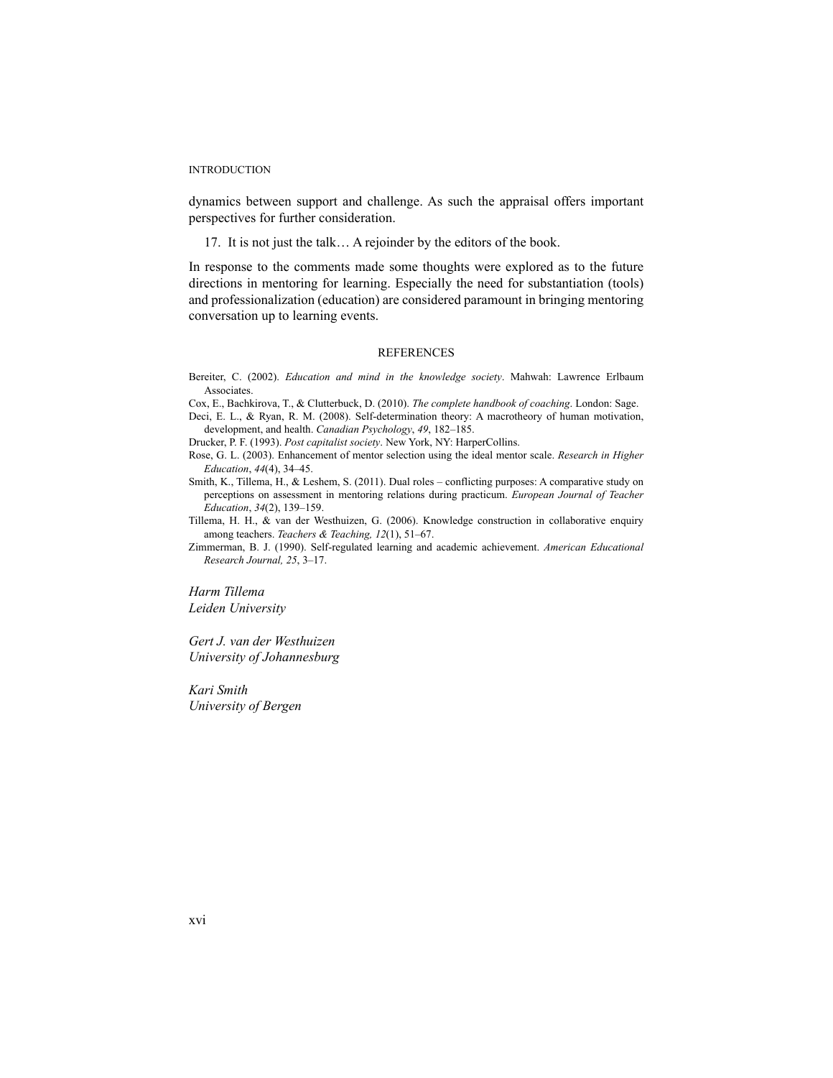INTRODUCTION

dynamics between support and challenge. As such the appraisal offers important perspectives for further consideration.

17. It is not just the talk… A rejoinder by the editors of the book.

In response to the comments made some thoughts were explored as to the future directions in mentoring for learning. Especially the need for substantiation (tools) and professionalization (education) are considered paramount in bringing mentoring conversation up to learning events.

#### **REFERENCES**

- Bereiter, C. (2002). *Education and mind in the knowledge society*. Mahwah: Lawrence Erlbaum Associates.
- Cox, E., Bachkirova, T., & Clutterbuck, D. (2010). *The complete handbook of coaching*. London: Sage.
- Deci, E. L., & Ryan, R. M. (2008). Self-determination theory: A macrotheory of human motivation, development, and health. *Canadian Psychology*, *49*, 182–185.
- Drucker, P. F. (1993). *Post capitalist society*. New York, NY: HarperCollins.
- Rose, G. L. (2003). Enhancement of mentor selection using the ideal mentor scale. *Research in Higher Education*, *44*(4), 34–45.
- Smith, K., Tillema, H., & Leshem, S. (2011). Dual roles conflicting purposes: A comparative study on perceptions on assessment in mentoring relations during practicum. *European Journal of Teacher Education*, *34*(2), 139–159.
- Tillema, H. H., & van der Westhuizen, G. (2006). Knowledge construction in collaborative enquiry among teachers. *Teachers & Teaching, 12*(1), 51–67.
- Zimmerman, B. J. (1990). Self-regulated learning and academic achievement. *American Educational Research Journal, 25*, 3–17.

*Harm Tillema Leiden University*

*Gert J. van der Westhuizen University of Johannesburg*

*Kari Smith University of Bergen*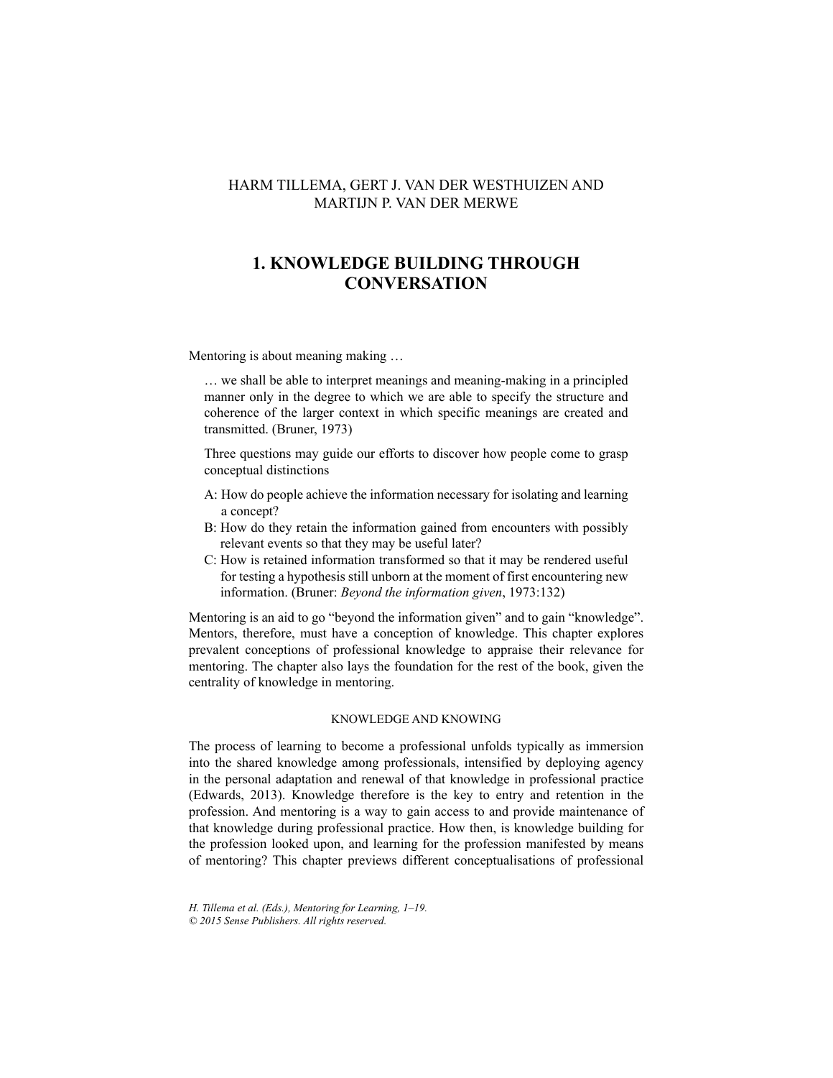### HARM TILLEMA, GERT J. VAN DER WESTHUIZEN AND MARTIJN P. VAN DER MERWE

### **1. KNOWLEDGE BUILDING THROUGH CONVERSATION**

Mentoring is about meaning making …

… we shall be able to interpret meanings and meaning-making in a principled manner only in the degree to which we are able to specify the structure and coherence of the larger context in which specific meanings are created and transmitted. (Bruner, 1973)

Three questions may guide our efforts to discover how people come to grasp conceptual distinctions

- A: How do people achieve the information necessary for isolating and learning a concept?
- B: How do they retain the information gained from encounters with possibly relevant events so that they may be useful later?
- C: How is retained information transformed so that it may be rendered useful for testing a hypothesis still unborn at the moment of first encountering new information. (Bruner: *Beyond the information given*, 1973:132)

Mentoring is an aid to go "beyond the information given" and to gain "knowledge". Mentors, therefore, must have a conception of knowledge. This chapter explores prevalent conceptions of professional knowledge to appraise their relevance for mentoring. The chapter also lays the foundation for the rest of the book, given the centrality of knowledge in mentoring.

### KNOWLEDGE AND KNOWING

The process of learning to become a professional unfolds typically as immersion into the shared knowledge among professionals, intensified by deploying agency in the personal adaptation and renewal of that knowledge in professional practice (Edwards, 2013). Knowledge therefore is the key to entry and retention in the profession. And mentoring is a way to gain access to and provide maintenance of that knowledge during professional practice. How then, is knowledge building for the profession looked upon, and learning for the profession manifested by means of mentoring? This chapter previews different conceptualisations of professional

*H. Tillema et al. (Eds.), Mentoring for Learning, 1–19. © 2015 Sense Publishers. All rights reserved.*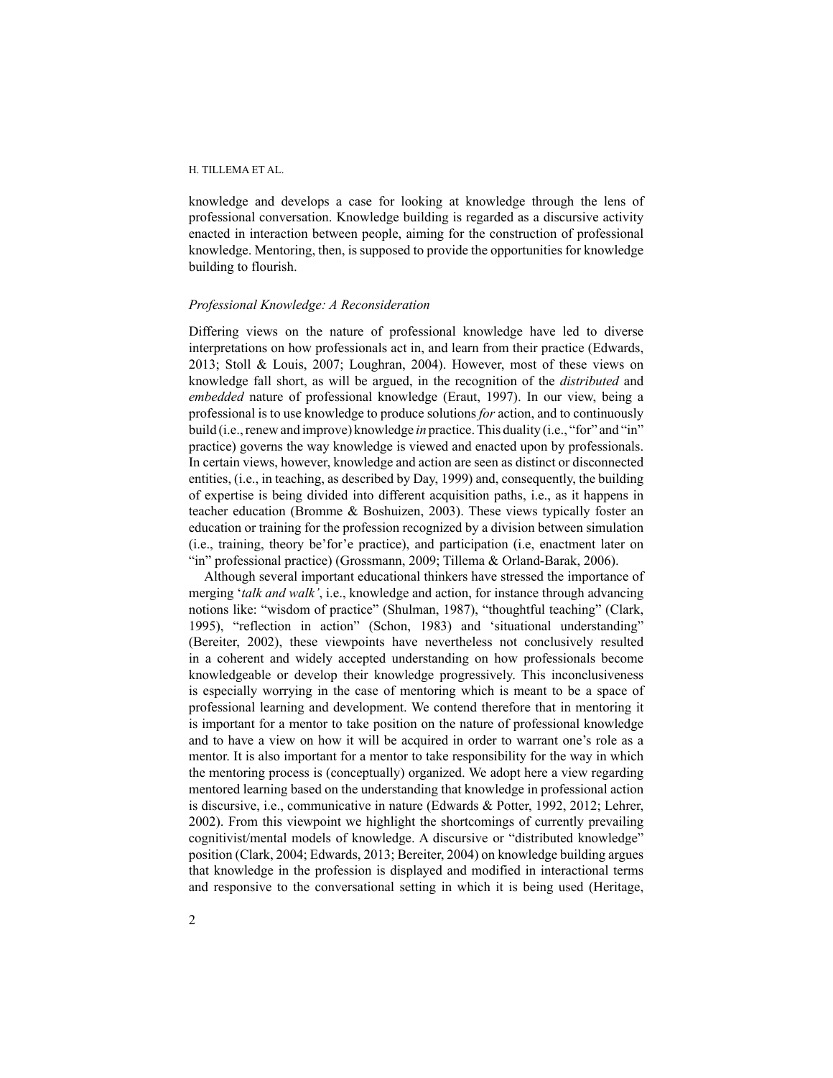### H. Tillema et al.

knowledge and develops a case for looking at knowledge through the lens of professional conversation. Knowledge building is regarded as a discursive activity enacted in interaction between people, aiming for the construction of professional knowledge. Mentoring, then, is supposed to provide the opportunities for knowledge building to flourish.

### *Professional Knowledge: A Reconsideration*

Differing views on the nature of professional knowledge have led to diverse interpretations on how professionals act in, and learn from their practice (Edwards, 2013; Stoll & Louis, 2007; Loughran, 2004). However, most of these views on knowledge fall short, as will be argued, in the recognition of the *distributed* and *embedded* nature of professional knowledge (Eraut, 1997). In our view, being a professional is to use knowledge to produce solutions *for* action, and to continuously build (i.e., renew and improve) knowledge *in* practice. This duality (i.e., "for" and "in" practice) governs the way knowledge is viewed and enacted upon by professionals. In certain views, however, knowledge and action are seen as distinct or disconnected entities, (i.e., in teaching, as described by Day, 1999) and, consequently, the building of expertise is being divided into different acquisition paths, i.e., as it happens in teacher education (Bromme & Boshuizen, 2003). These views typically foster an education or training for the profession recognized by a division between simulation (i.e., training, theory be'for'e practice), and participation (i.e, enactment later on "in" professional practice) (Grossmann, 2009; Tillema & Orland-Barak, 2006).

Although several important educational thinkers have stressed the importance of merging '*talk and walk'*, i.e., knowledge and action, for instance through advancing notions like: "wisdom of practice" (Shulman, 1987), "thoughtful teaching" (Clark, 1995), "reflection in action" (Schon, 1983) and 'situational understanding" (Bereiter, 2002), these viewpoints have nevertheless not conclusively resulted in a coherent and widely accepted understanding on how professionals become knowledgeable or develop their knowledge progressively. This inconclusiveness is especially worrying in the case of mentoring which is meant to be a space of professional learning and development. We contend therefore that in mentoring it is important for a mentor to take position on the nature of professional knowledge and to have a view on how it will be acquired in order to warrant one's role as a mentor. It is also important for a mentor to take responsibility for the way in which the mentoring process is (conceptually) organized. We adopt here a view regarding mentored learning based on the understanding that knowledge in professional action is discursive, i.e., communicative in nature (Edwards & Potter, 1992, 2012; Lehrer, 2002). From this viewpoint we highlight the shortcomings of currently prevailing cognitivist/mental models of knowledge. A discursive or "distributed knowledge" position (Clark, 2004; Edwards, 2013; Bereiter, 2004) on knowledge building argues that knowledge in the profession is displayed and modified in interactional terms and responsive to the conversational setting in which it is being used (Heritage,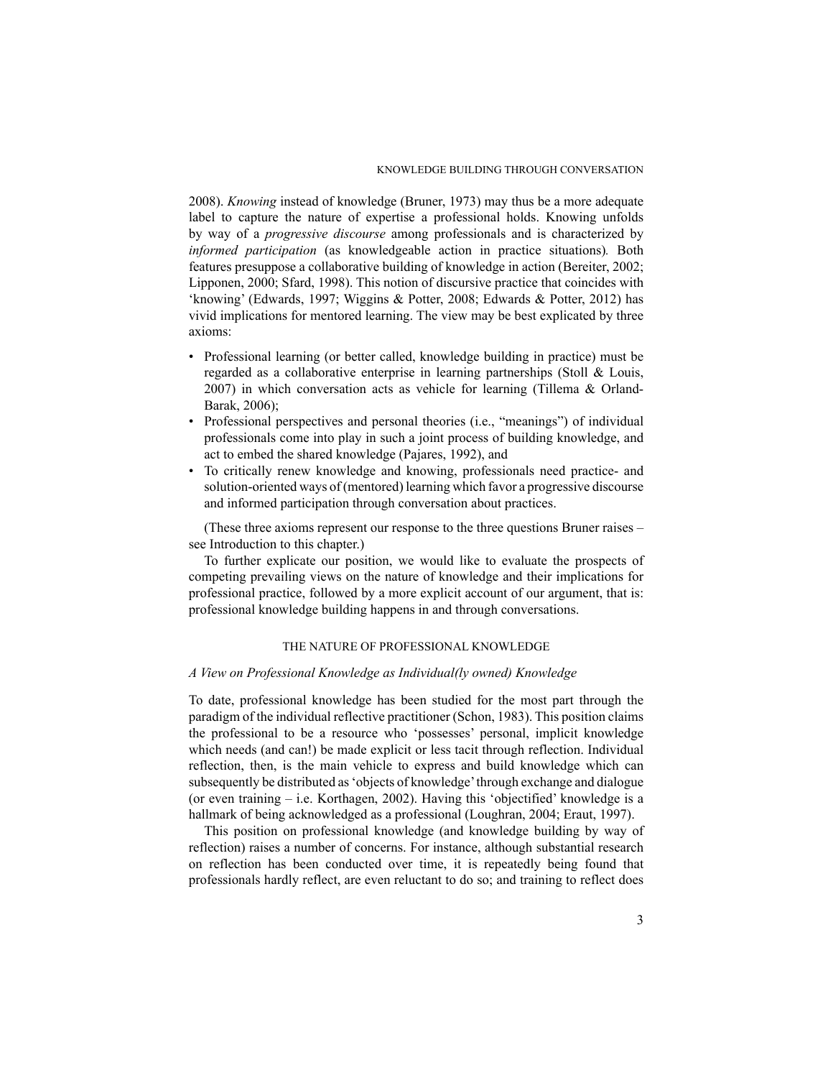2008). *Knowing* instead of knowledge (Bruner, 1973) may thus be a more adequate label to capture the nature of expertise a professional holds. Knowing unfolds by way of a *progressive discourse* among professionals and is characterized by *informed participation* (as knowledgeable action in practice situations)*.* Both features presuppose a collaborative building of knowledge in action (Bereiter, 2002; Lipponen, 2000; Sfard, 1998). This notion of discursive practice that coincides with 'knowing' (Edwards, 1997; Wiggins & Potter, 2008; Edwards & Potter, 2012) has vivid implications for mentored learning. The view may be best explicated by three axioms:

- Professional learning (or better called, knowledge building in practice) must be regarded as a collaborative enterprise in learning partnerships (Stoll & Louis, 2007) in which conversation acts as vehicle for learning (Tillema & Orland-Barak, 2006);
- Professional perspectives and personal theories (i.e., "meanings") of individual professionals come into play in such a joint process of building knowledge, and act to embed the shared knowledge (Pajares, 1992), and
- To critically renew knowledge and knowing, professionals need practice- and solution-oriented ways of (mentored) learning which favor a progressive discourse and informed participation through conversation about practices.

(These three axioms represent our response to the three questions Bruner raises – see Introduction to this chapter.)

To further explicate our position, we would like to evaluate the prospects of competing prevailing views on the nature of knowledge and their implications for professional practice, followed by a more explicit account of our argument, that is: professional knowledge building happens in and through conversations.

### THE NATURE OF PROFESSIONAL KNOWLEDGE

### *A View on Professional Knowledge as Individual(ly owned) Knowledge*

To date, professional knowledge has been studied for the most part through the paradigm of the individual reflective practitioner (Schon, 1983). This position claims the professional to be a resource who 'possesses' personal, implicit knowledge which needs (and can!) be made explicit or less tacit through reflection. Individual reflection, then, is the main vehicle to express and build knowledge which can subsequently be distributed as 'objects of knowledge' through exchange and dialogue (or even training – i.e. Korthagen, 2002). Having this 'objectified' knowledge is a hallmark of being acknowledged as a professional (Loughran, 2004; Eraut, 1997).

This position on professional knowledge (and knowledge building by way of reflection) raises a number of concerns. For instance, although substantial research on reflection has been conducted over time, it is repeatedly being found that professionals hardly reflect, are even reluctant to do so; and training to reflect does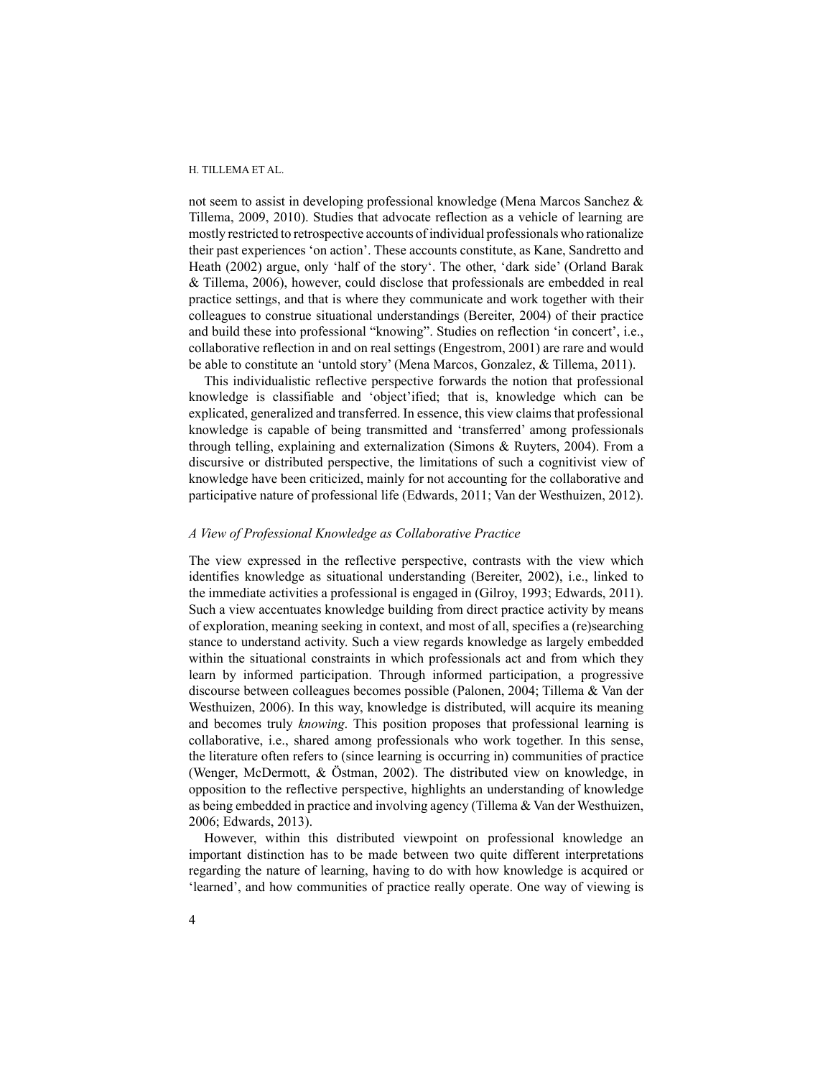### H. Tillema et al.

not seem to assist in developing professional knowledge (Mena Marcos Sanchez & Tillema, 2009, 2010). Studies that advocate reflection as a vehicle of learning are mostly restricted to retrospective accounts of individual professionals who rationalize their past experiences 'on action'. These accounts constitute, as Kane, Sandretto and Heath (2002) argue, only 'half of the story'. The other, 'dark side' (Orland Barak & Tillema, 2006), however, could disclose that professionals are embedded in real practice settings, and that is where they communicate and work together with their colleagues to construe situational understandings (Bereiter, 2004) of their practice and build these into professional "knowing". Studies on reflection 'in concert', i.e., collaborative reflection in and on real settings (Engestrom, 2001) are rare and would be able to constitute an 'untold story' (Mena Marcos, Gonzalez, & Tillema, 2011).

This individualistic reflective perspective forwards the notion that professional knowledge is classifiable and 'object'ified; that is, knowledge which can be explicated, generalized and transferred. In essence, this view claims that professional knowledge is capable of being transmitted and 'transferred' among professionals through telling, explaining and externalization (Simons & Ruyters, 2004). From a discursive or distributed perspective, the limitations of such a cognitivist view of knowledge have been criticized, mainly for not accounting for the collaborative and participative nature of professional life (Edwards, 2011; Van der Westhuizen, 2012).

### *A View of Professional Knowledge as Collaborative Practice*

The view expressed in the reflective perspective, contrasts with the view which identifies knowledge as situational understanding (Bereiter, 2002), i.e., linked to the immediate activities a professional is engaged in (Gilroy, 1993; Edwards, 2011). Such a view accentuates knowledge building from direct practice activity by means of exploration, meaning seeking in context, and most of all, specifies a (re)searching stance to understand activity. Such a view regards knowledge as largely embedded within the situational constraints in which professionals act and from which they learn by informed participation. Through informed participation, a progressive discourse between colleagues becomes possible (Palonen, 2004; Tillema & Van der Westhuizen, 2006). In this way, knowledge is distributed, will acquire its meaning and becomes truly *knowing*. This position proposes that professional learning is collaborative, i.e., shared among professionals who work together. In this sense, the literature often refers to (since learning is occurring in) communities of practice (Wenger, McDermott, & Östman, 2002). The distributed view on knowledge, in opposition to the reflective perspective, highlights an understanding of knowledge as being embedded in practice and involving agency (Tillema & Van der Westhuizen, 2006; Edwards, 2013).

However, within this distributed viewpoint on professional knowledge an important distinction has to be made between two quite different interpretations regarding the nature of learning, having to do with how knowledge is acquired or 'learned', and how communities of practice really operate. One way of viewing is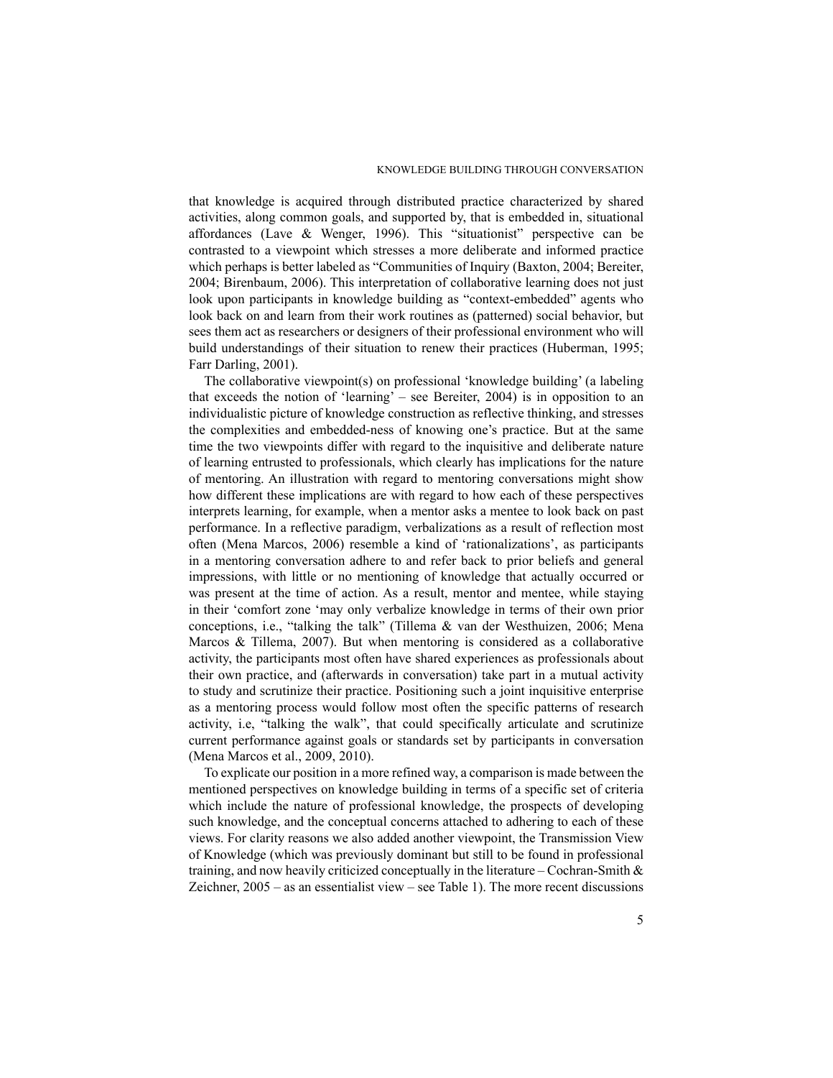that knowledge is acquired through distributed practice characterized by shared activities, along common goals, and supported by, that is embedded in, situational affordances (Lave & Wenger, 1996). This "situationist" perspective can be contrasted to a viewpoint which stresses a more deliberate and informed practice which perhaps is better labeled as "Communities of Inquiry (Baxton, 2004; Bereiter, 2004; Birenbaum, 2006). This interpretation of collaborative learning does not just look upon participants in knowledge building as "context-embedded" agents who look back on and learn from their work routines as (patterned) social behavior, but sees them act as researchers or designers of their professional environment who will build understandings of their situation to renew their practices (Huberman, 1995; Farr Darling, 2001).

The collaborative viewpoint(s) on professional 'knowledge building' (a labeling that exceeds the notion of 'learning' – see Bereiter, 2004) is in opposition to an individualistic picture of knowledge construction as reflective thinking, and stresses the complexities and embedded-ness of knowing one's practice. But at the same time the two viewpoints differ with regard to the inquisitive and deliberate nature of learning entrusted to professionals, which clearly has implications for the nature of mentoring. An illustration with regard to mentoring conversations might show how different these implications are with regard to how each of these perspectives interprets learning, for example, when a mentor asks a mentee to look back on past performance. In a reflective paradigm, verbalizations as a result of reflection most often (Mena Marcos, 2006) resemble a kind of 'rationalizations', as participants in a mentoring conversation adhere to and refer back to prior beliefs and general impressions, with little or no mentioning of knowledge that actually occurred or was present at the time of action. As a result, mentor and mentee, while staying in their 'comfort zone 'may only verbalize knowledge in terms of their own prior conceptions, i.e., "talking the talk" (Tillema & van der Westhuizen, 2006; Mena Marcos & Tillema, 2007). But when mentoring is considered as a collaborative activity, the participants most often have shared experiences as professionals about their own practice, and (afterwards in conversation) take part in a mutual activity to study and scrutinize their practice. Positioning such a joint inquisitive enterprise as a mentoring process would follow most often the specific patterns of research activity, i.e, "talking the walk", that could specifically articulate and scrutinize current performance against goals or standards set by participants in conversation (Mena Marcos et al., 2009, 2010).

To explicate our position in a more refined way, a comparison is made between the mentioned perspectives on knowledge building in terms of a specific set of criteria which include the nature of professional knowledge, the prospects of developing such knowledge, and the conceptual concerns attached to adhering to each of these views. For clarity reasons we also added another viewpoint, the Transmission View of Knowledge (which was previously dominant but still to be found in professional training, and now heavily criticized conceptually in the literature – Cochran-Smith  $\&$ Zeichner, 2005 – as an essentialist view – see Table 1). The more recent discussions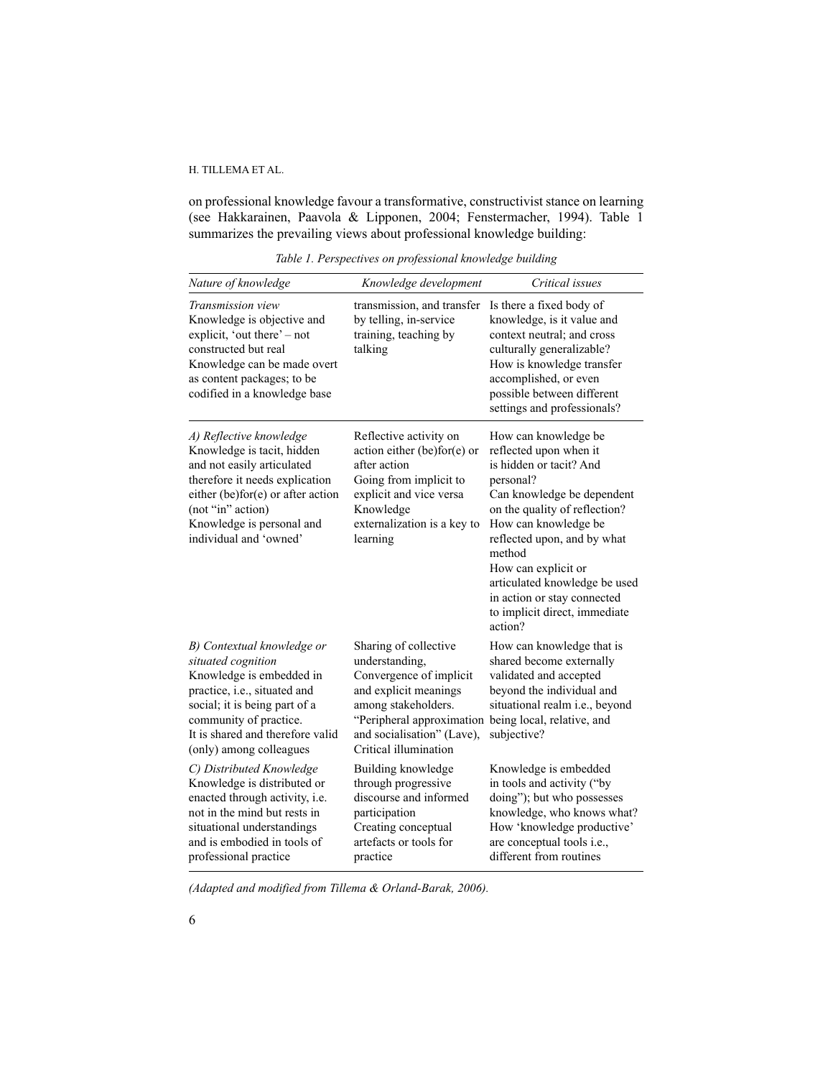### H. Tillema et al.

on professional knowledge favour a transformative, constructivist stance on learning (see Hakkarainen, Paavola & Lipponen, 2004; Fenstermacher, 1994). Table 1 summarizes the prevailing views about professional knowledge building:

| Nature of knowledge                                                                                                                                                                                                                    | Knowledge development                                                                                                                                                                                  | Critical issues                                                                                                                                                                                                                                                                                                                                           |
|----------------------------------------------------------------------------------------------------------------------------------------------------------------------------------------------------------------------------------------|--------------------------------------------------------------------------------------------------------------------------------------------------------------------------------------------------------|-----------------------------------------------------------------------------------------------------------------------------------------------------------------------------------------------------------------------------------------------------------------------------------------------------------------------------------------------------------|
| Transmission view<br>Knowledge is objective and<br>explicit, 'out there' - not<br>constructed but real<br>Knowledge can be made overt<br>as content packages; to be<br>codified in a knowledge base                                    | transmission, and transfer<br>by telling, in-service<br>training, teaching by<br>talking                                                                                                               | Is there a fixed body of<br>knowledge, is it value and<br>context neutral; and cross<br>culturally generalizable?<br>How is knowledge transfer<br>accomplished, or even<br>possible between different<br>settings and professionals?                                                                                                                      |
| A) Reflective knowledge<br>Knowledge is tacit, hidden<br>and not easily articulated<br>therefore it needs explication<br>either (be)for(e) or after action<br>(not "in" action)<br>Knowledge is personal and<br>individual and 'owned' | Reflective activity on<br>action either (be)for(e) or<br>after action<br>Going from implicit to<br>explicit and vice versa<br>Knowledge<br>externalization is a key to<br>learning                     | How can knowledge be<br>reflected upon when it<br>is hidden or tacit? And<br>personal?<br>Can knowledge be dependent<br>on the quality of reflection?<br>How can knowledge be<br>reflected upon, and by what<br>method<br>How can explicit or<br>articulated knowledge be used<br>in action or stay connected<br>to implicit direct, immediate<br>action? |
| B) Contextual knowledge or<br>situated cognition<br>Knowledge is embedded in<br>practice, i.e., situated and<br>social; it is being part of a<br>community of practice.<br>It is shared and therefore valid<br>(only) among colleagues | Sharing of collective<br>understanding,<br>Convergence of implicit<br>and explicit meanings<br>among stakeholders.<br>"Peripheral approximation<br>and socialisation" (Lave),<br>Critical illumination | How can knowledge that is<br>shared become externally<br>validated and accepted<br>beyond the individual and<br>situational realm i.e., beyond<br>being local, relative, and<br>subjective?                                                                                                                                                               |
| C) Distributed Knowledge<br>Knowledge is distributed or<br>enacted through activity, i.e.<br>not in the mind but rests in<br>situational understandings<br>and is embodied in tools of<br>professional practice                        | Building knowledge<br>through progressive<br>discourse and informed<br>participation<br>Creating conceptual<br>artefacts or tools for<br>practice                                                      | Knowledge is embedded<br>in tools and activity ("by<br>doing"); but who possesses<br>knowledge, who knows what?<br>How 'knowledge productive'<br>are conceptual tools <i>i.e.</i> ,<br>different from routines                                                                                                                                            |

*Table 1. Perspectives on professional knowledge building*

*(Adapted and modified from Tillema & Orland-Barak, 2006).*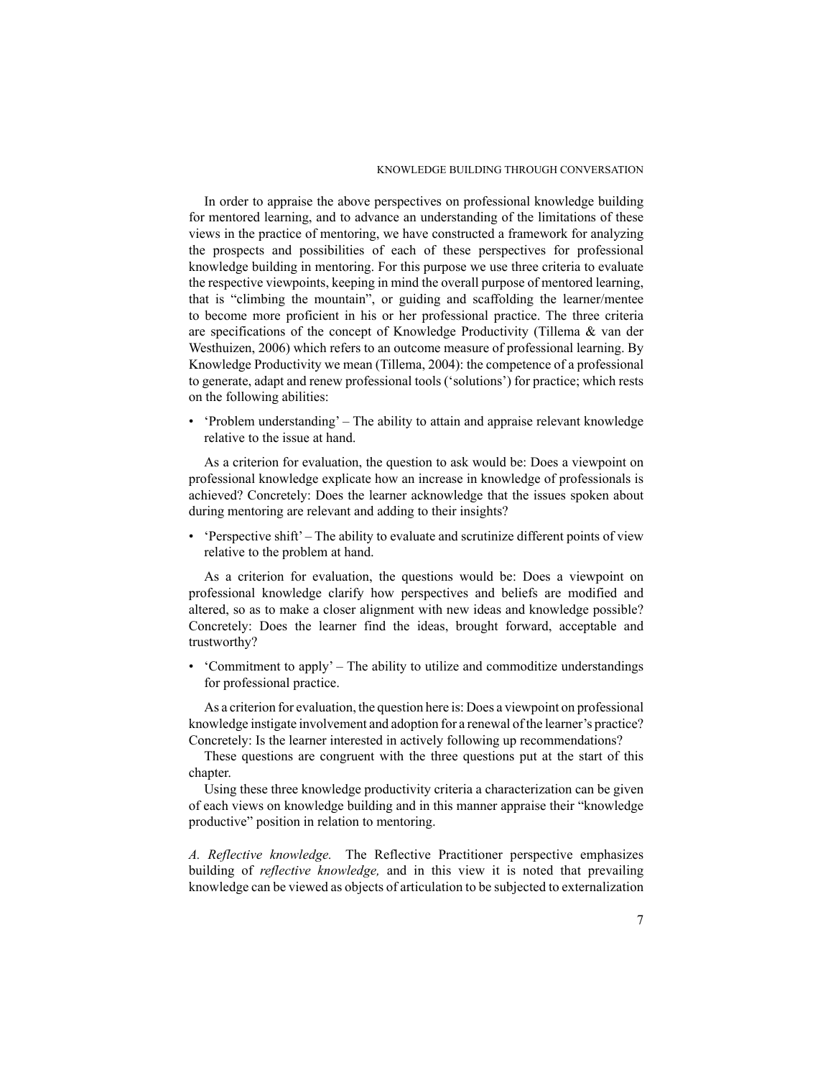In order to appraise the above perspectives on professional knowledge building for mentored learning, and to advance an understanding of the limitations of these views in the practice of mentoring, we have constructed a framework for analyzing the prospects and possibilities of each of these perspectives for professional knowledge building in mentoring. For this purpose we use three criteria to evaluate the respective viewpoints, keeping in mind the overall purpose of mentored learning, that is "climbing the mountain", or guiding and scaffolding the learner/mentee to become more proficient in his or her professional practice. The three criteria are specifications of the concept of Knowledge Productivity (Tillema & van der Westhuizen, 2006) which refers to an outcome measure of professional learning. By Knowledge Productivity we mean (Tillema, 2004): the competence of a professional to generate, adapt and renew professional tools ('solutions') for practice; which rests on the following abilities:

• 'Problem understanding' – The ability to attain and appraise relevant knowledge relative to the issue at hand.

As a criterion for evaluation, the question to ask would be: Does a viewpoint on professional knowledge explicate how an increase in knowledge of professionals is achieved? Concretely: Does the learner acknowledge that the issues spoken about during mentoring are relevant and adding to their insights?

• 'Perspective shift' – The ability to evaluate and scrutinize different points of view relative to the problem at hand.

As a criterion for evaluation, the questions would be: Does a viewpoint on professional knowledge clarify how perspectives and beliefs are modified and altered, so as to make a closer alignment with new ideas and knowledge possible? Concretely: Does the learner find the ideas, brought forward, acceptable and trustworthy?

• 'Commitment to apply' – The ability to utilize and commoditize understandings for professional practice.

As a criterion for evaluation, the question here is: Does a viewpoint on professional knowledge instigate involvement and adoption for a renewal of the learner's practice? Concretely: Is the learner interested in actively following up recommendations?

These questions are congruent with the three questions put at the start of this chapter.

Using these three knowledge productivity criteria a characterization can be given of each views on knowledge building and in this manner appraise their "knowledge productive" position in relation to mentoring.

*A. Reflective knowledge.* The Reflective Practitioner perspective emphasizes building of *reflective knowledge,* and in this view it is noted that prevailing knowledge can be viewed as objects of articulation to be subjected to externalization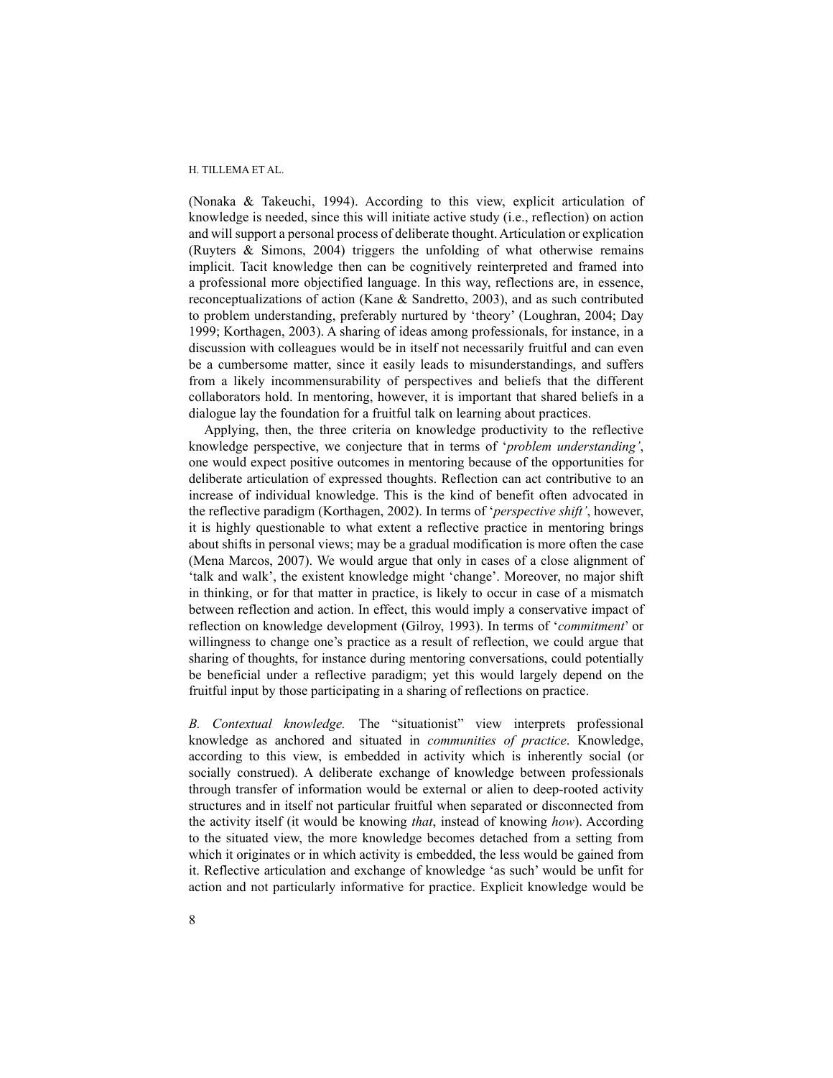### H. Tillema et al.

(Nonaka & Takeuchi, 1994). According to this view, explicit articulation of knowledge is needed, since this will initiate active study (i.e., reflection) on action and will support a personal process of deliberate thought. Articulation or explication (Ruyters & Simons, 2004) triggers the unfolding of what otherwise remains implicit. Tacit knowledge then can be cognitively reinterpreted and framed into a professional more objectified language. In this way, reflections are, in essence, reconceptualizations of action (Kane & Sandretto, 2003), and as such contributed to problem understanding, preferably nurtured by 'theory' (Loughran, 2004; Day 1999; Korthagen, 2003). A sharing of ideas among professionals, for instance, in a discussion with colleagues would be in itself not necessarily fruitful and can even be a cumbersome matter, since it easily leads to misunderstandings, and suffers from a likely incommensurability of perspectives and beliefs that the different collaborators hold. In mentoring, however, it is important that shared beliefs in a dialogue lay the foundation for a fruitful talk on learning about practices.

Applying, then, the three criteria on knowledge productivity to the reflective knowledge perspective, we conjecture that in terms of '*problem understanding'*, one would expect positive outcomes in mentoring because of the opportunities for deliberate articulation of expressed thoughts. Reflection can act contributive to an increase of individual knowledge. This is the kind of benefit often advocated in the reflective paradigm (Korthagen, 2002). In terms of '*perspective shift'*, however, it is highly questionable to what extent a reflective practice in mentoring brings about shifts in personal views; may be a gradual modification is more often the case (Mena Marcos, 2007). We would argue that only in cases of a close alignment of 'talk and walk', the existent knowledge might 'change'. Moreover, no major shift in thinking, or for that matter in practice, is likely to occur in case of a mismatch between reflection and action. In effect, this would imply a conservative impact of reflection on knowledge development (Gilroy, 1993). In terms of '*commitment*' or willingness to change one's practice as a result of reflection, we could argue that sharing of thoughts, for instance during mentoring conversations, could potentially be beneficial under a reflective paradigm; yet this would largely depend on the fruitful input by those participating in a sharing of reflections on practice.

*B. Contextual knowledge.* The "situationist" view interprets professional knowledge as anchored and situated in *communities of practice*. Knowledge, according to this view, is embedded in activity which is inherently social (or socially construed). A deliberate exchange of knowledge between professionals through transfer of information would be external or alien to deep-rooted activity structures and in itself not particular fruitful when separated or disconnected from the activity itself (it would be knowing *that*, instead of knowing *how*). According to the situated view, the more knowledge becomes detached from a setting from which it originates or in which activity is embedded, the less would be gained from it. Reflective articulation and exchange of knowledge 'as such' would be unfit for action and not particularly informative for practice. Explicit knowledge would be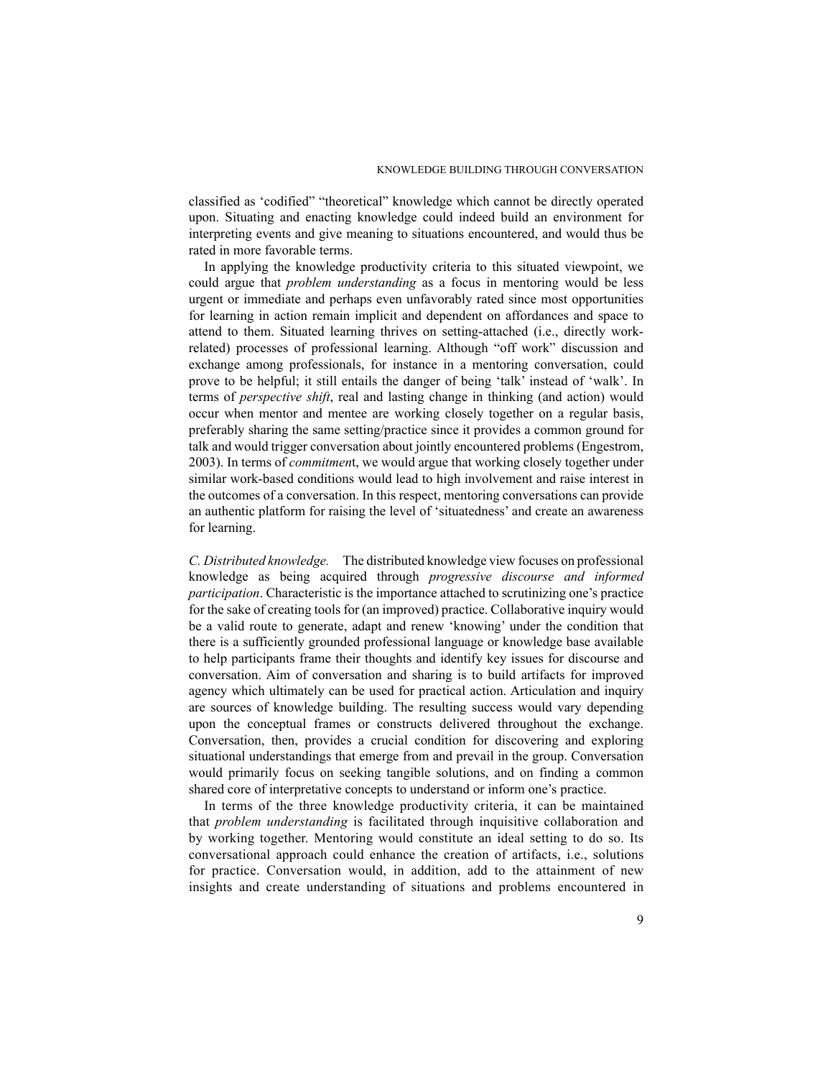classified as 'codified" "theoretical" knowledge which cannot be directly operated upon. Situating and enacting knowledge could indeed build an environment for interpreting events and give meaning to situations encountered, and would thus be rated in more favorable terms.

In applying the knowledge productivity criteria to this situated viewpoint, we could argue that *problem understanding* as a focus in mentoring would be less urgent or immediate and perhaps even unfavorably rated since most opportunities for learning in action remain implicit and dependent on affordances and space to attend to them. Situated learning thrives on setting-attached (i.e., directly workrelated) processes of professional learning. Although "off work" discussion and exchange among professionals, for instance in a mentoring conversation, could prove to be helpful; it still entails the danger of being 'talk' instead of 'walk'. In terms of *perspective shift*, real and lasting change in thinking (and action) would occur when mentor and mentee are working closely together on a regular basis, preferably sharing the same setting/practice since it provides a common ground for talk and would trigger conversation about jointly encountered problems (Engestrom, 2003). In terms of *commitmen*t, we would argue that working closely together under similar work-based conditions would lead to high involvement and raise interest in the outcomes of a conversation. In this respect, mentoring conversations can provide an authentic platform for raising the level of 'situatedness' and create an awareness for learning.

*C. Distributed knowledge.* The distributed knowledge view focuses on professional knowledge as being acquired through *progressive discourse and informed participation*. Characteristic is the importance attached to scrutinizing one's practice for the sake of creating tools for (an improved) practice. Collaborative inquiry would be a valid route to generate, adapt and renew 'knowing' under the condition that there is a sufficiently grounded professional language or knowledge base available to help participants frame their thoughts and identify key issues for discourse and conversation. Aim of conversation and sharing is to build artifacts for improved agency which ultimately can be used for practical action. Articulation and inquiry are sources of knowledge building. The resulting success would vary depending upon the conceptual frames or constructs delivered throughout the exchange. Conversation, then, provides a crucial condition for discovering and exploring situational understandings that emerge from and prevail in the group. Conversation would primarily focus on seeking tangible solutions, and on finding a common shared core of interpretative concepts to understand or inform one's practice.

In terms of the three knowledge productivity criteria, it can be maintained that *problem understanding* is facilitated through inquisitive collaboration and by working together. Mentoring would constitute an ideal setting to do so. Its conversational approach could enhance the creation of artifacts, i.e., solutions for practice. Conversation would, in addition, add to the attainment of new insights and create understanding of situations and problems encountered in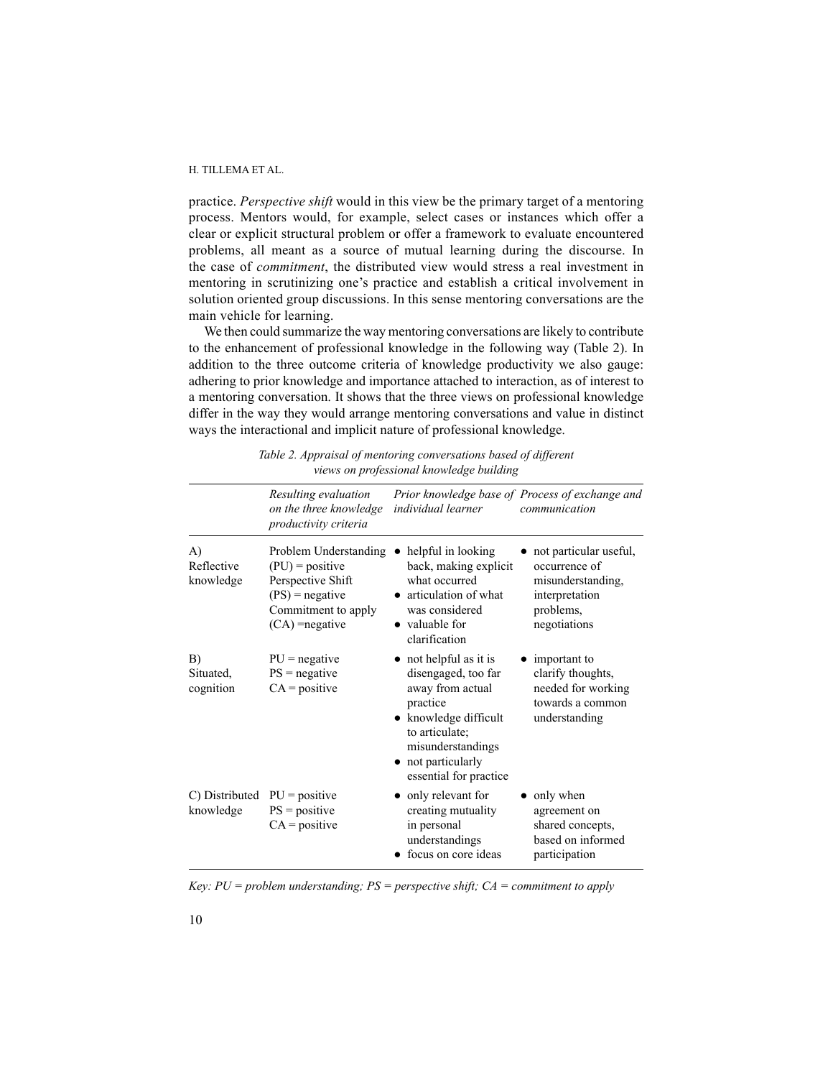### H. Tillema et al.

practice. *Perspective shift* would in this view be the primary target of a mentoring process. Mentors would, for example, select cases or instances which offer a clear or explicit structural problem or offer a framework to evaluate encountered problems, all meant as a source of mutual learning during the discourse. In the case of *commitment*, the distributed view would stress a real investment in mentoring in scrutinizing one's practice and establish a critical involvement in solution oriented group discussions. In this sense mentoring conversations are the main vehicle for learning.

We then could summarize the way mentoring conversations are likely to contribute to the enhancement of professional knowledge in the following way (Table 2). In addition to the three outcome criteria of knowledge productivity we also gauge: adhering to prior knowledge and importance attached to interaction, as of interest to a mentoring conversation. It shows that the three views on professional knowledge differ in the way they would arrange mentoring conversations and value in distinct ways the interactional and implicit nature of professional knowledge.

|                               | Resulting evaluation<br>on the three knowledge<br>productivity criteria                                                                    | <i>individual learner</i>                                                                                                                                                                           | Prior knowledge base of Process of exchange and<br>communication                                            |
|-------------------------------|--------------------------------------------------------------------------------------------------------------------------------------------|-----------------------------------------------------------------------------------------------------------------------------------------------------------------------------------------------------|-------------------------------------------------------------------------------------------------------------|
| A)<br>Reflective<br>knowledge | Problem Understanding $\bullet$<br>$PU$ ) = positive<br>Perspective Shift<br>$(PS)$ = negative<br>Commitment to apply<br>$(CA)$ = negative | helpful in looking<br>back, making explicit<br>what occurred<br>articulation of what<br>was considered<br>• valuable for<br>clarification                                                           | not particular useful,<br>occurrence of<br>misunderstanding,<br>interpretation<br>problems,<br>negotiations |
| B)<br>Situated,<br>cognition  | $PU =$ negative<br>$PS = negative$<br>$CA = positive$                                                                                      | $\bullet$ not helpful as it is<br>disengaged, too far<br>away from actual<br>practice<br>• knowledge difficult<br>to articulate;<br>misunderstandings<br>not particularly<br>essential for practice | $\bullet$ important to<br>clarify thoughts,<br>needed for working<br>towards a common<br>understanding      |
| C) Distributed<br>knowledge   | $PU = positive$<br>$PS = positive$<br>$CA = positive$                                                                                      | only relevant for<br>creating mutuality<br>in personal<br>understandings<br>focus on core ideas                                                                                                     | only when<br>agreement on<br>shared concepts,<br>based on informed<br>participation                         |

| Table 2. Appraisal of mentoring conversations based of different |
|------------------------------------------------------------------|
| views on professional knowledge building                         |

*Key: PU = problem understanding; PS = perspective shift; CA = commitment to apply*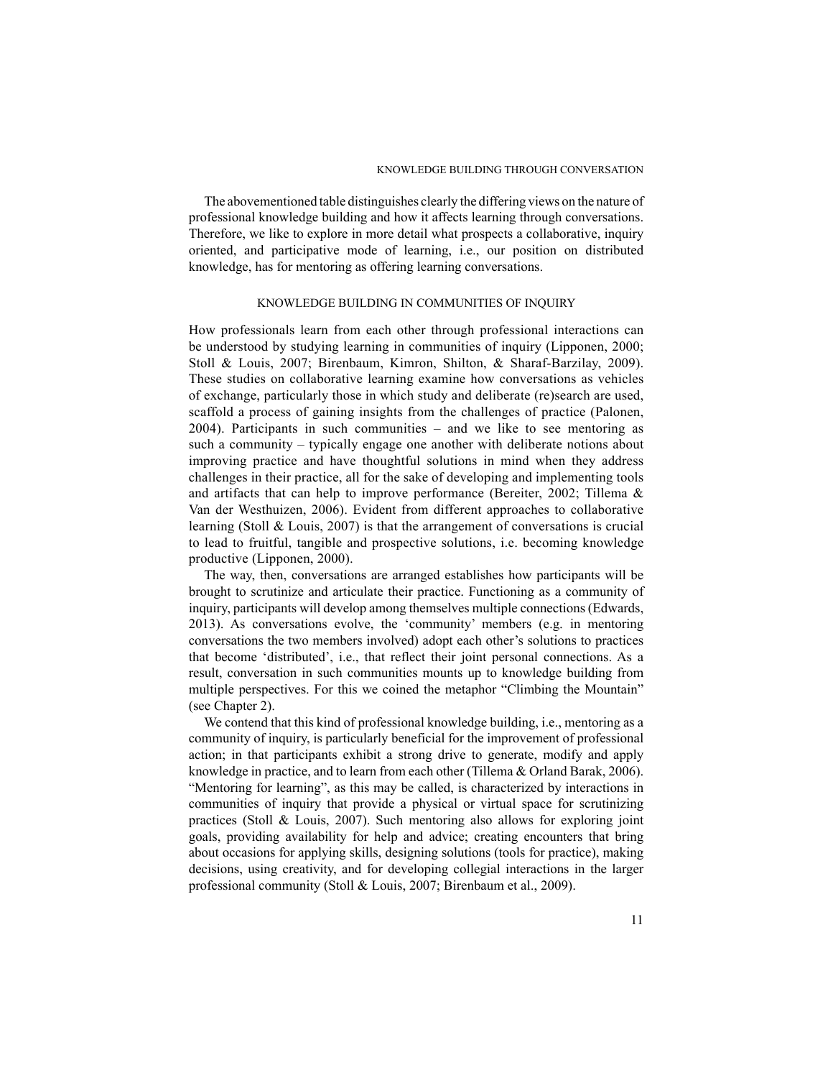The abovementioned table distinguishes clearly the differing views on the nature of professional knowledge building and how it affects learning through conversations. Therefore, we like to explore in more detail what prospects a collaborative, inquiry oriented, and participative mode of learning, i.e., our position on distributed knowledge, has for mentoring as offering learning conversations.

### KNOWLEDGE BUILDING IN COMMUNITIES OF INQUIRY

How professionals learn from each other through professional interactions can be understood by studying learning in communities of inquiry (Lipponen, 2000; Stoll & Louis, 2007; Birenbaum, Kimron, Shilton, & Sharaf-Barzilay, 2009). These studies on collaborative learning examine how conversations as vehicles of exchange, particularly those in which study and deliberate (re)search are used, scaffold a process of gaining insights from the challenges of practice (Palonen, 2004). Participants in such communities – and we like to see mentoring as such a community – typically engage one another with deliberate notions about improving practice and have thoughtful solutions in mind when they address challenges in their practice, all for the sake of developing and implementing tools and artifacts that can help to improve performance (Bereiter, 2002; Tillema & Van der Westhuizen, 2006). Evident from different approaches to collaborative learning (Stoll & Louis, 2007) is that the arrangement of conversations is crucial to lead to fruitful, tangible and prospective solutions, i.e. becoming knowledge productive (Lipponen, 2000).

The way, then, conversations are arranged establishes how participants will be brought to scrutinize and articulate their practice. Functioning as a community of inquiry, participants will develop among themselves multiple connections (Edwards, 2013). As conversations evolve, the 'community' members (e.g. in mentoring conversations the two members involved) adopt each other's solutions to practices that become 'distributed', i.e., that reflect their joint personal connections. As a result, conversation in such communities mounts up to knowledge building from multiple perspectives. For this we coined the metaphor "Climbing the Mountain" (see Chapter 2).

We contend that this kind of professional knowledge building, i.e., mentoring as a community of inquiry, is particularly beneficial for the improvement of professional action; in that participants exhibit a strong drive to generate, modify and apply knowledge in practice, and to learn from each other (Tillema & Orland Barak, 2006). "Mentoring for learning", as this may be called, is characterized by interactions in communities of inquiry that provide a physical or virtual space for scrutinizing practices (Stoll & Louis, 2007). Such mentoring also allows for exploring joint goals, providing availability for help and advice; creating encounters that bring about occasions for applying skills, designing solutions (tools for practice), making decisions, using creativity, and for developing collegial interactions in the larger professional community (Stoll & Louis, 2007; Birenbaum et al., 2009).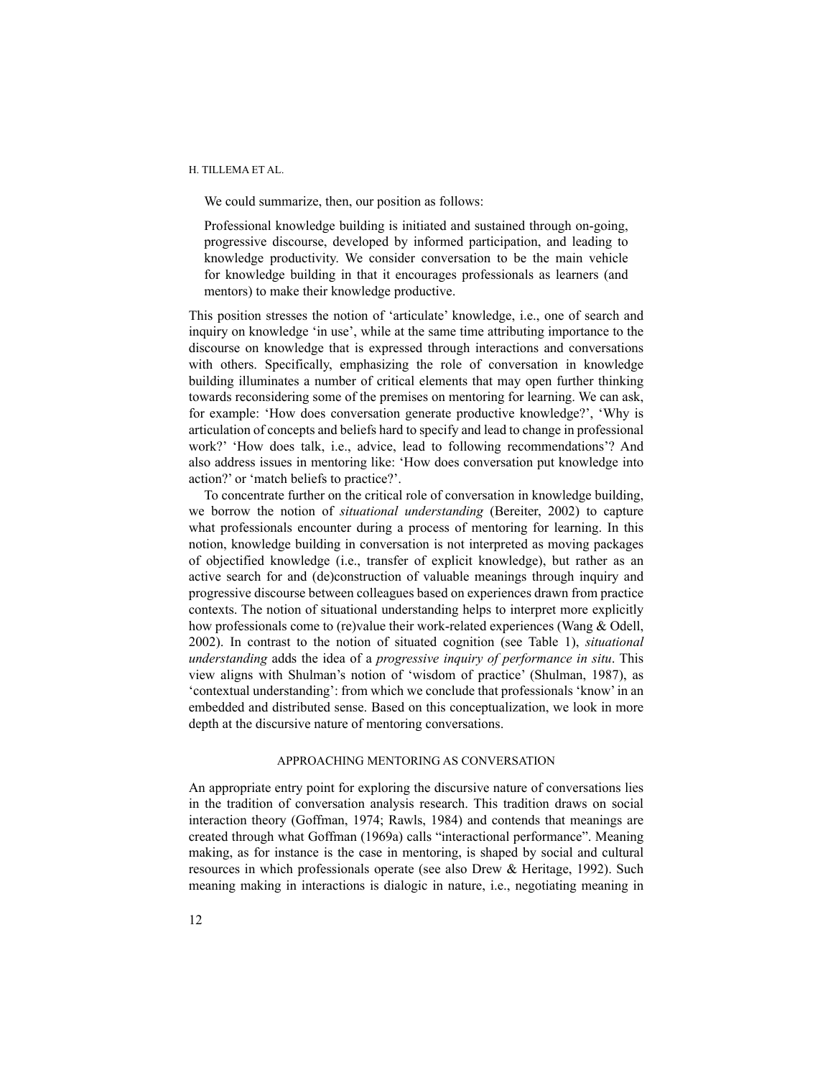### H. Tillema et al.

We could summarize, then, our position as follows:

Professional knowledge building is initiated and sustained through on-going, progressive discourse, developed by informed participation, and leading to knowledge productivity. We consider conversation to be the main vehicle for knowledge building in that it encourages professionals as learners (and mentors) to make their knowledge productive.

This position stresses the notion of 'articulate' knowledge, i.e., one of search and inquiry on knowledge 'in use', while at the same time attributing importance to the discourse on knowledge that is expressed through interactions and conversations with others. Specifically, emphasizing the role of conversation in knowledge building illuminates a number of critical elements that may open further thinking towards reconsidering some of the premises on mentoring for learning. We can ask, for example: 'How does conversation generate productive knowledge?', 'Why is articulation of concepts and beliefs hard to specify and lead to change in professional work?' 'How does talk, i.e., advice, lead to following recommendations'? And also address issues in mentoring like: 'How does conversation put knowledge into action?' or 'match beliefs to practice?'.

To concentrate further on the critical role of conversation in knowledge building, we borrow the notion of *situational understanding* (Bereiter, 2002) to capture what professionals encounter during a process of mentoring for learning. In this notion, knowledge building in conversation is not interpreted as moving packages of objectified knowledge (i.e., transfer of explicit knowledge), but rather as an active search for and (de)construction of valuable meanings through inquiry and progressive discourse between colleagues based on experiences drawn from practice contexts. The notion of situational understanding helps to interpret more explicitly how professionals come to (re)value their work-related experiences (Wang & Odell, 2002). In contrast to the notion of situated cognition (see Table 1), *situational understanding* adds the idea of a *progressive inquiry of performance in situ*. This view aligns with Shulman's notion of 'wisdom of practice' (Shulman, 1987), as 'contextual understanding': from which we conclude that professionals 'know' in an embedded and distributed sense. Based on this conceptualization, we look in more depth at the discursive nature of mentoring conversations.

### APPROACHING MENTORING AS CONVERSATION

An appropriate entry point for exploring the discursive nature of conversations lies in the tradition of conversation analysis research. This tradition draws on social interaction theory (Goffman, 1974; Rawls, 1984) and contends that meanings are created through what Goffman (1969a) calls "interactional performance". Meaning making, as for instance is the case in mentoring, is shaped by social and cultural resources in which professionals operate (see also Drew & Heritage, 1992). Such meaning making in interactions is dialogic in nature, i.e., negotiating meaning in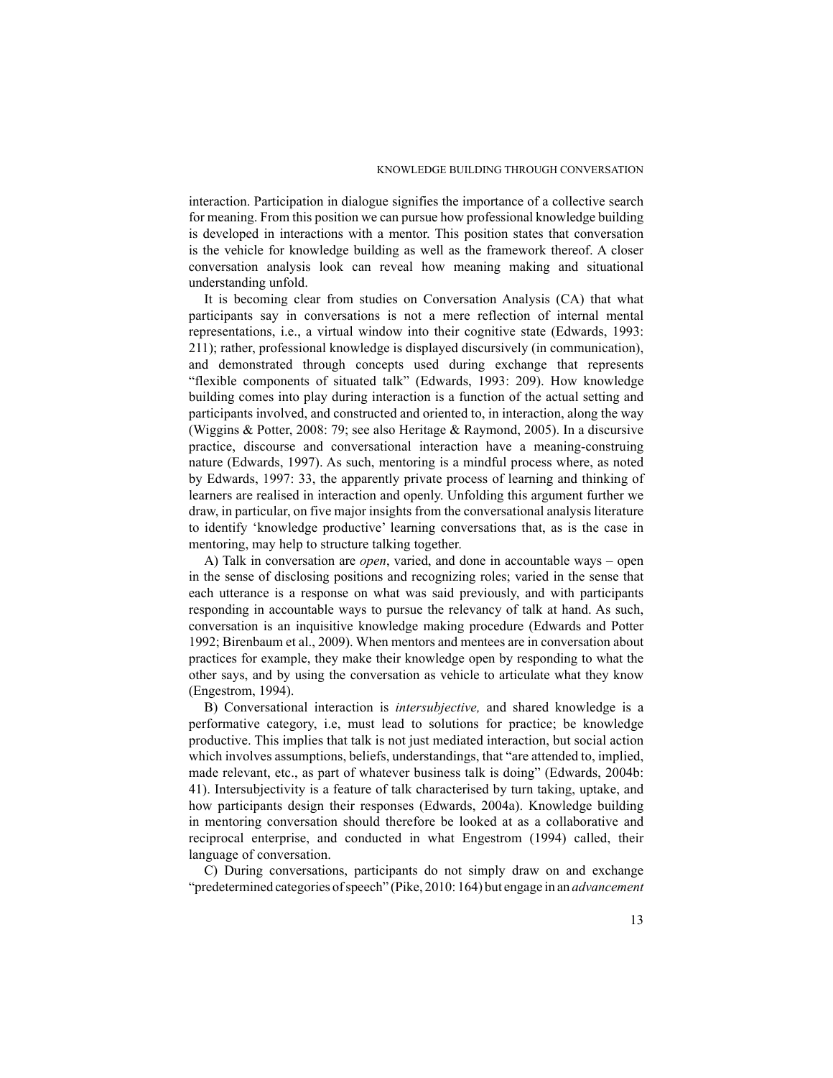interaction. Participation in dialogue signifies the importance of a collective search for meaning. From this position we can pursue how professional knowledge building is developed in interactions with a mentor. This position states that conversation is the vehicle for knowledge building as well as the framework thereof. A closer conversation analysis look can reveal how meaning making and situational understanding unfold.

It is becoming clear from studies on Conversation Analysis (CA) that what participants say in conversations is not a mere reflection of internal mental representations, i.e., a virtual window into their cognitive state (Edwards, 1993: 211); rather, professional knowledge is displayed discursively (in communication), and demonstrated through concepts used during exchange that represents "flexible components of situated talk" (Edwards, 1993: 209). How knowledge building comes into play during interaction is a function of the actual setting and participants involved, and constructed and oriented to, in interaction, along the way (Wiggins & Potter, 2008: 79; see also Heritage & Raymond, 2005). In a discursive practice, discourse and conversational interaction have a meaning-construing nature (Edwards, 1997). As such, mentoring is a mindful process where, as noted by Edwards, 1997: 33, the apparently private process of learning and thinking of learners are realised in interaction and openly. Unfolding this argument further we draw, in particular, on five major insights from the conversational analysis literature to identify 'knowledge productive' learning conversations that, as is the case in mentoring, may help to structure talking together.

A) Talk in conversation are *open*, varied, and done in accountable ways – open in the sense of disclosing positions and recognizing roles; varied in the sense that each utterance is a response on what was said previously, and with participants responding in accountable ways to pursue the relevancy of talk at hand. As such, conversation is an inquisitive knowledge making procedure (Edwards and Potter 1992; Birenbaum et al., 2009). When mentors and mentees are in conversation about practices for example, they make their knowledge open by responding to what the other says, and by using the conversation as vehicle to articulate what they know (Engestrom, 1994).

B) Conversational interaction is *intersubjective,* and shared knowledge is a performative category, i.e, must lead to solutions for practice; be knowledge productive. This implies that talk is not just mediated interaction, but social action which involves assumptions, beliefs, understandings, that "are attended to, implied, made relevant, etc., as part of whatever business talk is doing" (Edwards, 2004b: 41). Intersubjectivity is a feature of talk characterised by turn taking, uptake, and how participants design their responses (Edwards, 2004a). Knowledge building in mentoring conversation should therefore be looked at as a collaborative and reciprocal enterprise, and conducted in what Engestrom (1994) called, their language of conversation.

C) During conversations, participants do not simply draw on and exchange "predetermined categories of speech" (Pike, 2010: 164) but engage in an *advancement*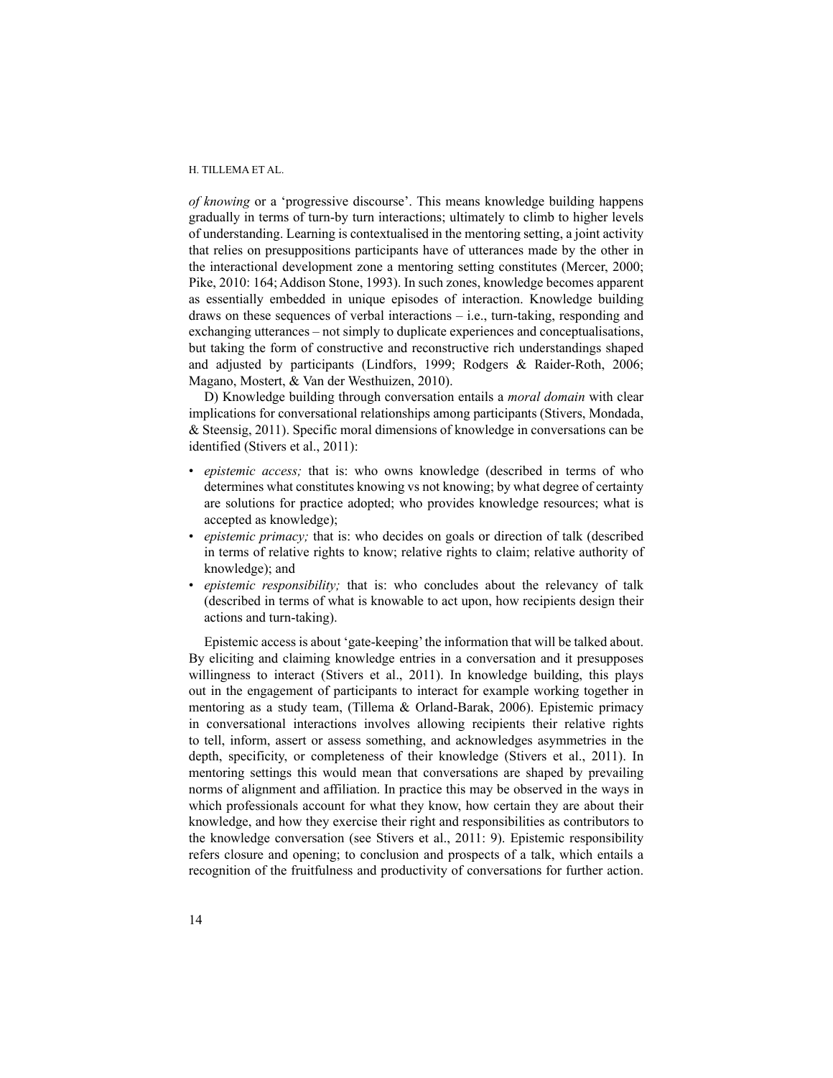### H. Tillema et al.

*of knowing* or a 'progressive discourse'. This means knowledge building happens gradually in terms of turn-by turn interactions; ultimately to climb to higher levels of understanding. Learning is contextualised in the mentoring setting, a joint activity that relies on presuppositions participants have of utterances made by the other in the interactional development zone a mentoring setting constitutes (Mercer, 2000; Pike, 2010: 164; Addison Stone, 1993). In such zones, knowledge becomes apparent as essentially embedded in unique episodes of interaction. Knowledge building draws on these sequences of verbal interactions – i.e., turn-taking, responding and exchanging utterances – not simply to duplicate experiences and conceptualisations, but taking the form of constructive and reconstructive rich understandings shaped and adjusted by participants (Lindfors, 1999; Rodgers & Raider-Roth, 2006; Magano, Mostert, & Van der Westhuizen, 2010).

D) Knowledge building through conversation entails a *moral domain* with clear implications for conversational relationships among participants (Stivers, Mondada, & Steensig, 2011). Specific moral dimensions of knowledge in conversations can be identified (Stivers et al., 2011):

- *epistemic access;* that is: who owns knowledge (described in terms of who determines what constitutes knowing vs not knowing; by what degree of certainty are solutions for practice adopted; who provides knowledge resources; what is accepted as knowledge);
- *epistemic primacy;* that is: who decides on goals or direction of talk (described in terms of relative rights to know; relative rights to claim; relative authority of knowledge); and
- *epistemic responsibility;* that is: who concludes about the relevancy of talk (described in terms of what is knowable to act upon, how recipients design their actions and turn-taking).

Epistemic access is about 'gate-keeping' the information that will be talked about. By eliciting and claiming knowledge entries in a conversation and it presupposes willingness to interact (Stivers et al., 2011). In knowledge building, this plays out in the engagement of participants to interact for example working together in mentoring as a study team, (Tillema & Orland-Barak, 2006). Epistemic primacy in conversational interactions involves allowing recipients their relative rights to tell, inform, assert or assess something, and acknowledges asymmetries in the depth, specificity, or completeness of their knowledge (Stivers et al., 2011). In mentoring settings this would mean that conversations are shaped by prevailing norms of alignment and affiliation. In practice this may be observed in the ways in which professionals account for what they know, how certain they are about their knowledge, and how they exercise their right and responsibilities as contributors to the knowledge conversation (see Stivers et al., 2011: 9). Epistemic responsibility refers closure and opening; to conclusion and prospects of a talk, which entails a recognition of the fruitfulness and productivity of conversations for further action.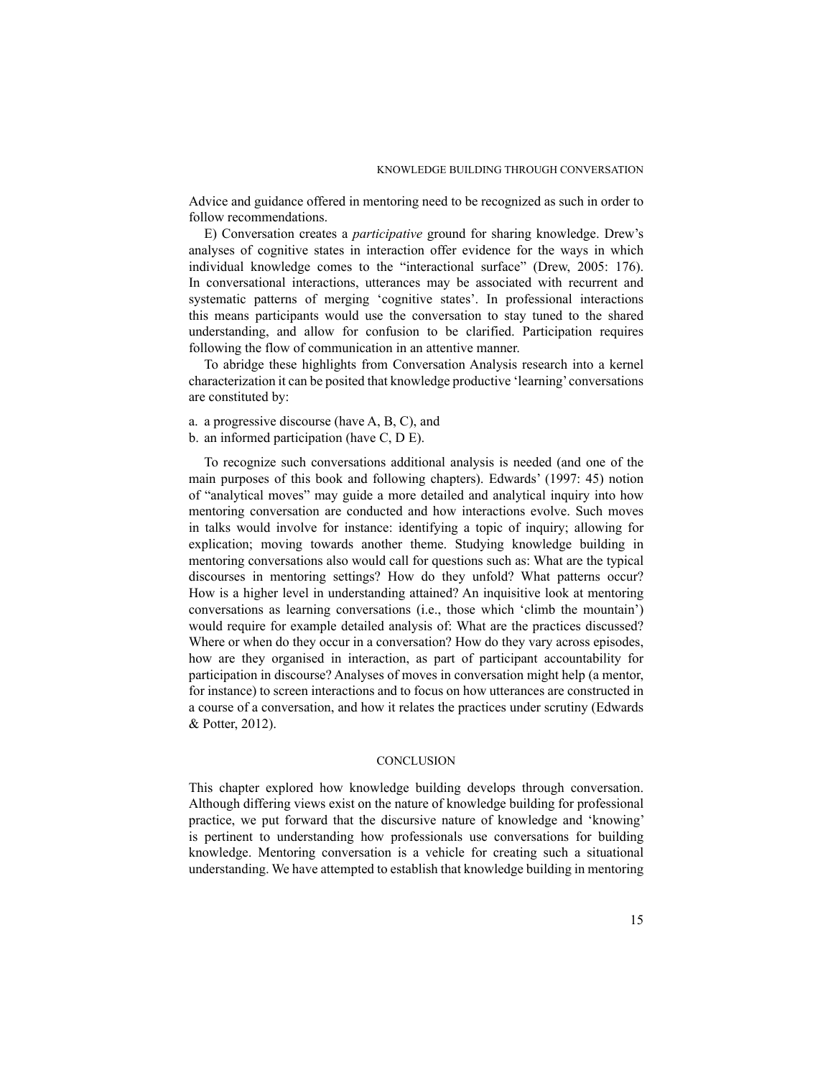Advice and guidance offered in mentoring need to be recognized as such in order to follow recommendations.

E) Conversation creates a *participative* ground for sharing knowledge. Drew's analyses of cognitive states in interaction offer evidence for the ways in which individual knowledge comes to the "interactional surface" (Drew, 2005: 176). In conversational interactions, utterances may be associated with recurrent and systematic patterns of merging 'cognitive states'. In professional interactions this means participants would use the conversation to stay tuned to the shared understanding, and allow for confusion to be clarified. Participation requires following the flow of communication in an attentive manner.

To abridge these highlights from Conversation Analysis research into a kernel characterization it can be posited that knowledge productive 'learning' conversations are constituted by:

- a. a progressive discourse (have A, B, C), and
- b. an informed participation (have C, D E).

To recognize such conversations additional analysis is needed (and one of the main purposes of this book and following chapters). Edwards' (1997: 45) notion of "analytical moves" may guide a more detailed and analytical inquiry into how mentoring conversation are conducted and how interactions evolve. Such moves in talks would involve for instance: identifying a topic of inquiry; allowing for explication; moving towards another theme. Studying knowledge building in mentoring conversations also would call for questions such as: What are the typical discourses in mentoring settings? How do they unfold? What patterns occur? How is a higher level in understanding attained? An inquisitive look at mentoring conversations as learning conversations (i.e., those which 'climb the mountain') would require for example detailed analysis of: What are the practices discussed? Where or when do they occur in a conversation? How do they vary across episodes, how are they organised in interaction, as part of participant accountability for participation in discourse? Analyses of moves in conversation might help (a mentor, for instance) to screen interactions and to focus on how utterances are constructed in a course of a conversation, and how it relates the practices under scrutiny (Edwards & Potter, 2012).

### **CONCLUSION**

This chapter explored how knowledge building develops through conversation. Although differing views exist on the nature of knowledge building for professional practice, we put forward that the discursive nature of knowledge and 'knowing' is pertinent to understanding how professionals use conversations for building knowledge. Mentoring conversation is a vehicle for creating such a situational understanding. We have attempted to establish that knowledge building in mentoring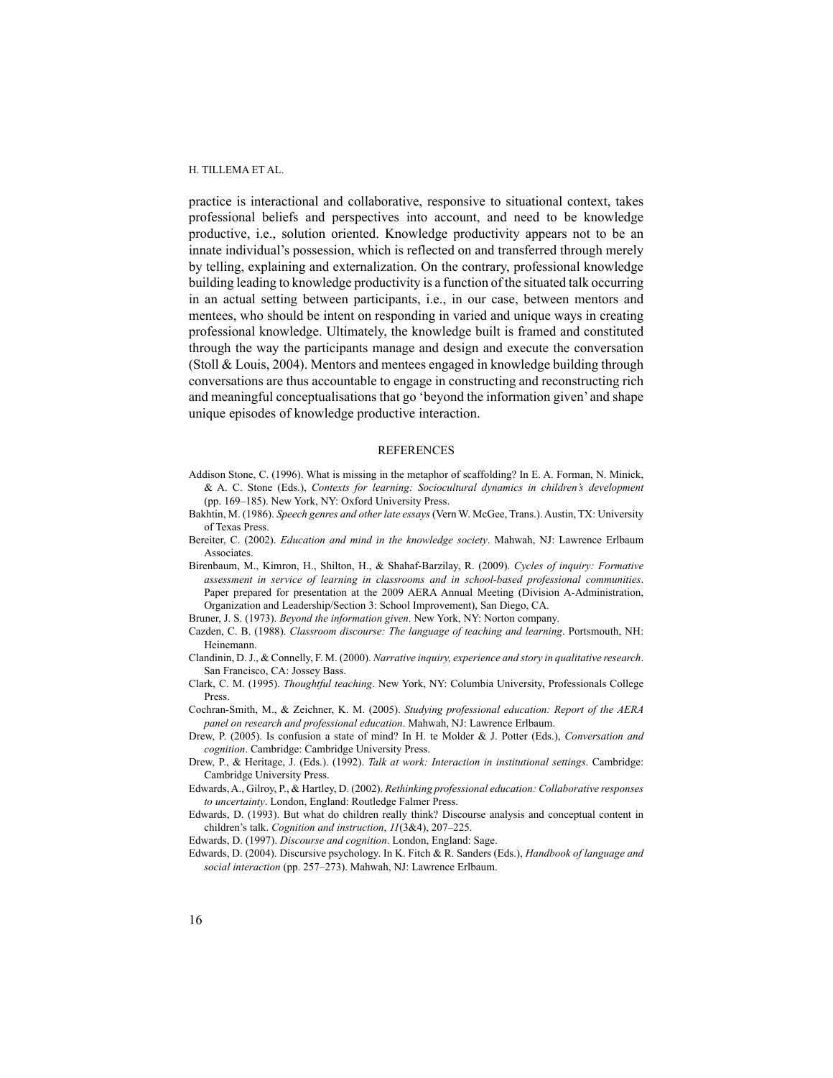#### H. Tillema et al.

practice is interactional and collaborative, responsive to situational context, takes professional beliefs and perspectives into account, and need to be knowledge productive, i.e., solution oriented. Knowledge productivity appears not to be an innate individual's possession, which is reflected on and transferred through merely by telling, explaining and externalization. On the contrary, professional knowledge building leading to knowledge productivity is a function of the situated talk occurring in an actual setting between participants, i.e., in our case, between mentors and mentees, who should be intent on responding in varied and unique ways in creating professional knowledge. Ultimately, the knowledge built is framed and constituted through the way the participants manage and design and execute the conversation (Stoll & Louis, 2004). Mentors and mentees engaged in knowledge building through conversations are thus accountable to engage in constructing and reconstructing rich and meaningful conceptualisations that go 'beyond the information given' and shape unique episodes of knowledge productive interaction.

#### REFERENCES

- Addison Stone, C. (1996). What is missing in the metaphor of scaffolding? In E. A. Forman, N. Minick, & A. C. Stone (Eds.), *Contexts for learning: Sociocultural dynamics in children's development* (pp. 169–185). New York, NY: Oxford University Press.
- Bakhtin, M. (1986). *Speech genres and other late essays* (Vern W. McGee, Trans.). Austin, TX: University of Texas Press.
- Bereiter, C. (2002). *Education and mind in the knowledge society*. Mahwah, NJ: Lawrence Erlbaum Associates.
- Birenbaum, M., Kimron, H., Shilton, H., & Shahaf-Barzilay, R. (2009). *Cycles of inquiry: Formative assessment in service of learning in classrooms and in school-based professional communities*. Paper prepared for presentation at the 2009 AERA Annual Meeting (Division A-Administration, Organization and Leadership/Section 3: School Improvement), San Diego, CA.
- Bruner, J. S. (1973). *Beyond the information given*. New York, NY: Norton company.
- Cazden, C. B. (1988). *Classroom discourse: The language of teaching and learning*. Portsmouth, NH: Heinemann.
- Clandinin, D. J., & Connelly, F. M. (2000). *Narrative inquiry, experience and story in qualitative research*. San Francisco, CA: Jossey Bass.
- Clark, C. M. (1995). *Thoughtful teaching*. New York, NY: Columbia University, Professionals College Press.
- Cochran-Smith, M., & Zeichner, K. M. (2005). *Studying professional education: Report of the AERA panel on research and professional education*. Mahwah, NJ: Lawrence Erlbaum.
- Drew, P. (2005). Is confusion a state of mind? In H. te Molder & J. Potter (Eds.), *Conversation and cognition*. Cambridge: Cambridge University Press.
- Drew, P., & Heritage, J. (Eds.). (1992). *Talk at work: Interaction in institutional settings*. Cambridge: Cambridge University Press.
- Edwards, A., Gilroy, P., & Hartley, D. (2002). *Rethinking professional education: Collaborative responses to uncertainty*. London, England: Routledge Falmer Press.
- Edwards, D. (1993). But what do children really think? Discourse analysis and conceptual content in children's talk. *Cognition and instruction*, *11*(3&4), 207–225.
- Edwards, D. (1997). *Discourse and cognition*. London, England: Sage.
- Edwards, D. (2004). Discursive psychology. In K. Fitch & R. Sanders (Eds.), *Handbook of language and social interaction* (pp. 257–273). Mahwah, NJ: Lawrence Erlbaum.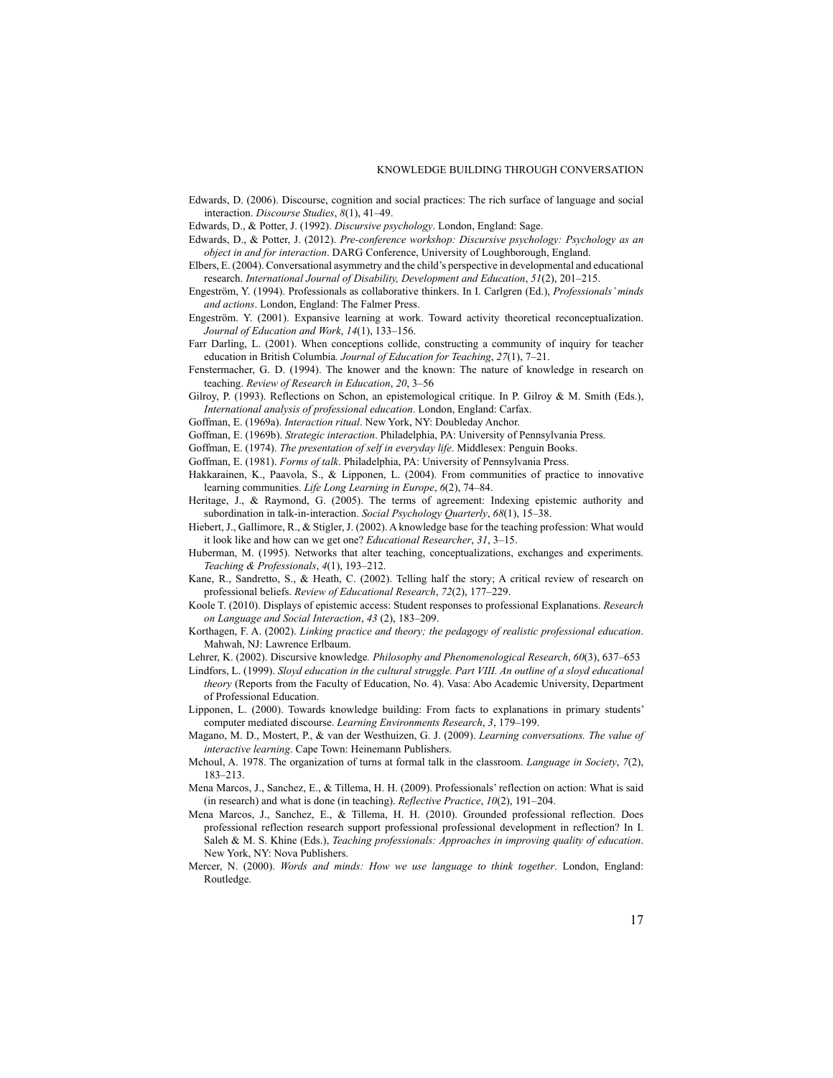- Edwards, D. (2006). Discourse, cognition and social practices: The rich surface of language and social interaction. *Discourse Studies*, *8*(1), 41–49.
- Edwards, D., & Potter, J. (1992). *Discursive psychology*. London, England: Sage.
- Edwards, D., & Potter, J. (2012). *Pre-conference workshop: Discursive psychology: Psychology as an object in and for interaction*. DARG Conference, University of Loughborough, England.
- Elbers, E. (2004). Conversational asymmetry and the child's perspective in developmental and educational research. *International Journal of Disability, Development and Education*, *51*(2), 201–215.
- Engeström, Y. (1994). Professionals as collaborative thinkers. In I. Carlgren (Ed.), *Professionals' minds and actions*. London, England: The Falmer Press.
- Engeström. Y. (2001). Expansive learning at work. Toward activity theoretical reconceptualization. *Journal of Education and Work*, *14*(1), 133–156.
- Farr Darling, L. (2001). When conceptions collide, constructing a community of inquiry for teacher education in British Columbia*. Journal of Education for Teaching*, *27*(1), 7–21.
- Fenstermacher, G. D. (1994). The knower and the known: The nature of knowledge in research on teaching. *Review of Research in Education*, *20*, 3–56
- Gilroy, P. (1993). Reflections on Schon, an epistemological critique. In P. Gilroy & M. Smith (Eds.), *International analysis of professional education*. London, England: Carfax.
- Goffman, E. (1969a). *Interaction ritual*. New York, NY: Doubleday Anchor.
- Goffman, E. (1969b). *Strategic interaction*. Philadelphia, PA: University of Pennsylvania Press.
- Goffman, E. (1974). *The presentation of self in everyday life*. Middlesex: Penguin Books.
- Goffman, E. (1981). *Forms of talk*. Philadelphia, PA: University of Pennsylvania Press.
- Hakkarainen, K., Paavola, S., & Lipponen, L. (2004). From communities of practice to innovative learning communities. *Life Long Learning in Europe*, *6*(2), 74–84.
- Heritage, J., & Raymond, G. (2005). The terms of agreement: Indexing epistemic authority and subordination in talk-in-interaction. *Social Psychology Quarterly*, *68*(1), 15–38.
- Hiebert, J., Gallimore, R., & Stigler, J. (2002). A knowledge base for the teaching profession: What would it look like and how can we get one? *Educational Researcher*, *31*, 3–15.
- Huberman, M. (1995). Networks that alter teaching, conceptualizations, exchanges and experiments. *Teaching & Professionals*, *4*(1), 193–212.
- Kane, R., Sandretto, S., & Heath, C. (2002). Telling half the story; A critical review of research on professional beliefs. *Review of Educational Research*, *72*(2), 177–229.
- Koole T. (2010). Displays of epistemic access: Student responses to professional Explanations. *Research on Language and Social Interaction*, *43* (2), 183–209.
- Korthagen, F. A. (2002). *Linking practice and theory; the pedagogy of realistic professional education*. Mahwah, NJ: Lawrence Erlbaum.
- Lehrer, K. (2002). Discursive knowledge*. Philosophy and Phenomenological Research*, *60*(3), 637–653
- Lindfors, L. (1999). *Sloyd education in the cultural struggle. Part VIII. An outline of a sloyd educational theory* (Reports from the Faculty of Education, No. 4). Vasa: Abo Academic University, Department of Professional Education.
- Lipponen, L. (2000). Towards knowledge building: From facts to explanations in primary students' computer mediated discourse. *Learning Environments Research*, *3*, 179–199.
- Magano, M. D., Mostert, P., & van der Westhuizen, G. J. (2009). *Learning conversations. The value of interactive learning*. Cape Town: Heinemann Publishers.
- Mchoul, A. 1978. The organization of turns at formal talk in the classroom. *Language in Society*, *7*(2), 183–213.
- Mena Marcos, J., Sanchez, E., & Tillema, H. H. (2009). Professionals' reflection on action: What is said (in research) and what is done (in teaching). *Reflective Practice*, *10*(2), 191–204.
- Mena Marcos, J., Sanchez, E., & Tillema, H. H. (2010). Grounded professional reflection. Does professional reflection research support professional professional development in reflection? In I. Saleh & M. S. Khine (Eds.), *Teaching professionals: Approaches in improving quality of education*. New York, NY: Nova Publishers.
- Mercer, N. (2000). *Words and minds: How we use language to think together*. London, England: Routledge.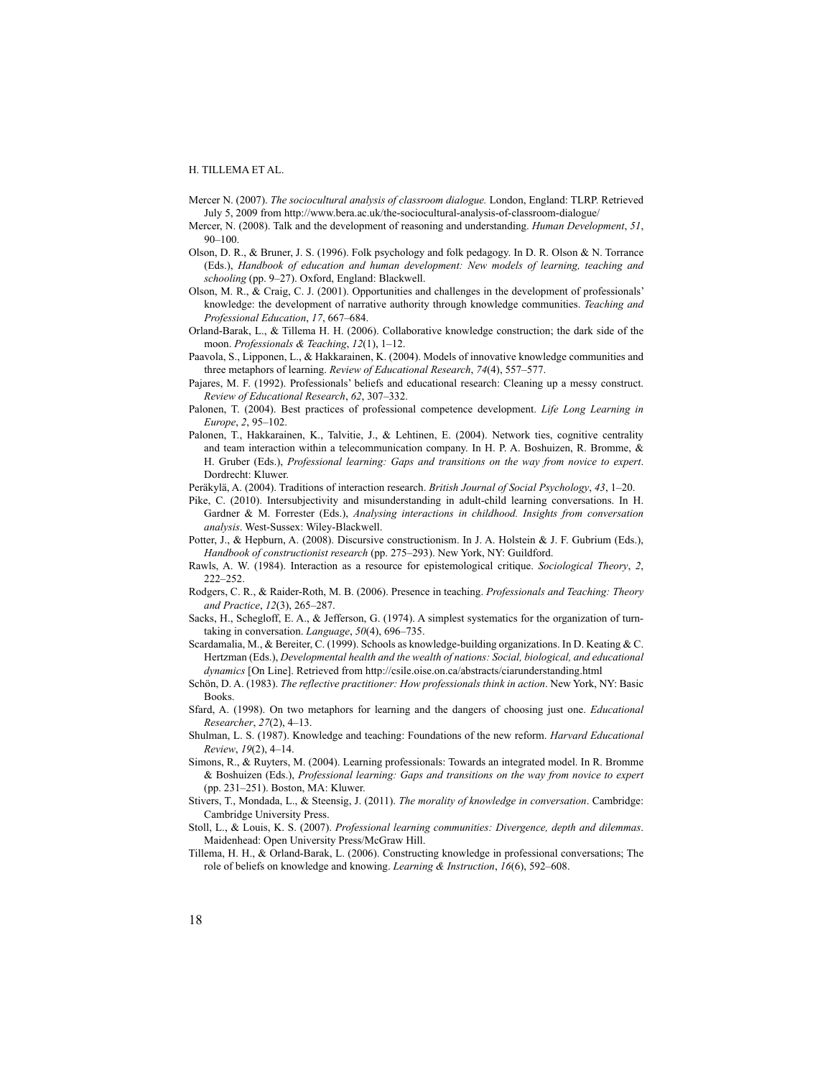#### H. Tillema et al.

- Mercer N. (2007). *The sociocultural analysis of classroom dialogue.* London, England: TLRP. Retrieved July 5, 2009 from http://www.bera.ac.uk/the-sociocultural-analysis-of-classroom-dialogue/
- Mercer, N. (2008). Talk and the development of reasoning and understanding. *Human Development*, *51*, 90–100.
- Olson, D. R., & Bruner, J. S. (1996). Folk psychology and folk pedagogy. In D. R. Olson & N. Torrance (Eds.), *Handbook of education and human development: New models of learning, teaching and schooling* (pp. 9–27). Oxford, England: Blackwell.
- Olson, M. R., & Craig, C. J. (2001). Opportunities and challenges in the development of professionals' knowledge: the development of narrative authority through knowledge communities. *Teaching and Professional Education*, *17*, 667–684.
- Orland-Barak, L., & Tillema H. H. (2006). Collaborative knowledge construction; the dark side of the moon. *Professionals & Teaching*, *12*(1), 1–12.
- Paavola, S., Lipponen, L., & Hakkarainen, K. (2004). Models of innovative knowledge communities and three metaphors of learning. *Review of Educational Research*, *74*(4), 557–577.
- Pajares, M. F. (1992). Professionals' beliefs and educational research: Cleaning up a messy construct. *Review of Educational Research*, *62*, 307–332.
- Palonen, T. (2004). Best practices of professional competence development. *Life Long Learning in Europe*, *2*, 95–102.
- Palonen, T., Hakkarainen, K., Talvitie, J., & Lehtinen, E. (2004). Network ties, cognitive centrality and team interaction within a telecommunication company. In H. P. A. Boshuizen, R. Bromme, & H. Gruber (Eds.), *Professional learning: Gaps and transitions on the way from novice to expert*. Dordrecht: Kluwer.
- Peräkylä, A. (2004). Traditions of interaction research. *British Journal of Social Psychology*, *43*, 1–20.
- Pike, C. (2010). Intersubjectivity and misunderstanding in adult-child learning conversations. In H. Gardner & M. Forrester (Eds.), *Analysing interactions in childhood. Insights from conversation analysis*. West-Sussex: Wiley-Blackwell.
- Potter, J., & Hepburn, A. (2008). Discursive constructionism. In J. A. Holstein & J. F. Gubrium (Eds.), *Handbook of constructionist research* (pp. 275–293). New York, NY: Guildford.
- Rawls, A. W. (1984). Interaction as a resource for epistemological critique. *Sociological Theory*, *2*, 222–252.
- Rodgers, C. R., & Raider-Roth, M. B. (2006). Presence in teaching. *Professionals and Teaching: Theory and Practice*, *12*(3), 265–287.
- Sacks, H., Schegloff, E. A., & Jefferson, G. (1974). A simplest systematics for the organization of turntaking in conversation. *Language*, *50*(4), 696–735.
- Scardamalia, M., & Bereiter, C. (1999). Schools as knowledge-building organizations. In D. Keating & C. Hertzman (Eds.), *Developmental health and the wealth of nations: Social, biological, and educational dynamics* [On Line]. Retrieved from http://csile.oise.on.ca/abstracts/ciarunderstanding.html
- Schön, D. A. (1983). *The reflective practitioner: How professionals think in action*. New York, NY: Basic Books.
- Sfard, A. (1998). On two metaphors for learning and the dangers of choosing just one. *Educational Researcher*, *27*(2), 4–13.
- Shulman, L. S. (1987). Knowledge and teaching: Foundations of the new reform. *Harvard Educational Review*, *19*(2), 4–14.
- Simons, R., & Ruyters, M. (2004). Learning professionals: Towards an integrated model. In R. Bromme & Boshuizen (Eds.), *Professional learning: Gaps and transitions on the way from novice to expert* (pp. 231–251). Boston, MA: Kluwer.
- Stivers, T., Mondada, L., & Steensig, J. (2011). *The morality of knowledge in conversation*. Cambridge: Cambridge University Press.
- Stoll, L., & Louis, K. S. (2007). *Professional learning communities: Divergence, depth and dilemmas*. Maidenhead: Open University Press/McGraw Hill.
- Tillema, H. H., & Orland-Barak, L. (2006). Constructing knowledge in professional conversations; The role of beliefs on knowledge and knowing. *Learning & Instruction*, *16*(6), 592–608.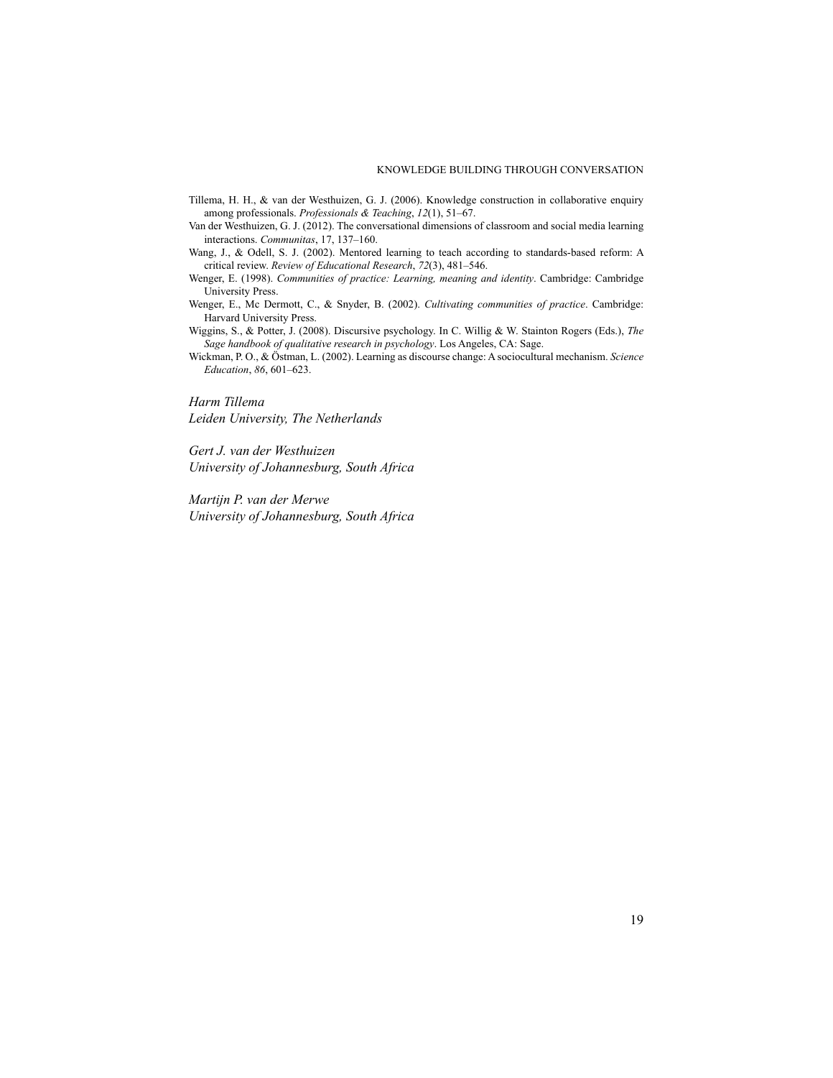- Tillema, H. H., & van der Westhuizen, G. J. (2006). Knowledge construction in collaborative enquiry among professionals. *Professionals & Teaching*, *12*(1), 51–67.
- Van der Westhuizen, G. J. (2012). The conversational dimensions of classroom and social media learning interactions. *Communitas*, 17, 137–160.
- Wang, J., & Odell, S. J. (2002). Mentored learning to teach according to standards-based reform: A critical review. *Review of Educational Research*, *72*(3), 481–546.
- Wenger, E. (1998). *Communities of practice: Learning, meaning and identity*. Cambridge: Cambridge University Press.
- Wenger, E., Mc Dermott, C., & Snyder, B. (2002). *Cultivating communities of practice*. Cambridge: Harvard University Press.
- Wiggins, S., & Potter, J. (2008). Discursive psychology. In C. Willig & W. Stainton Rogers (Eds.), *The Sage handbook of qualitative research in psychology*. Los Angeles, CA: Sage.
- Wickman, P. O., & Östman, L. (2002). Learning as discourse change: A sociocultural mechanism. *Science Education*, *86*, 601–623.

*Harm Tillema Leiden University, The Netherlands*

*Gert J. van der Westhuizen University of Johannesburg, South Africa*

*Martijn P. van der Merwe University of Johannesburg, South Africa*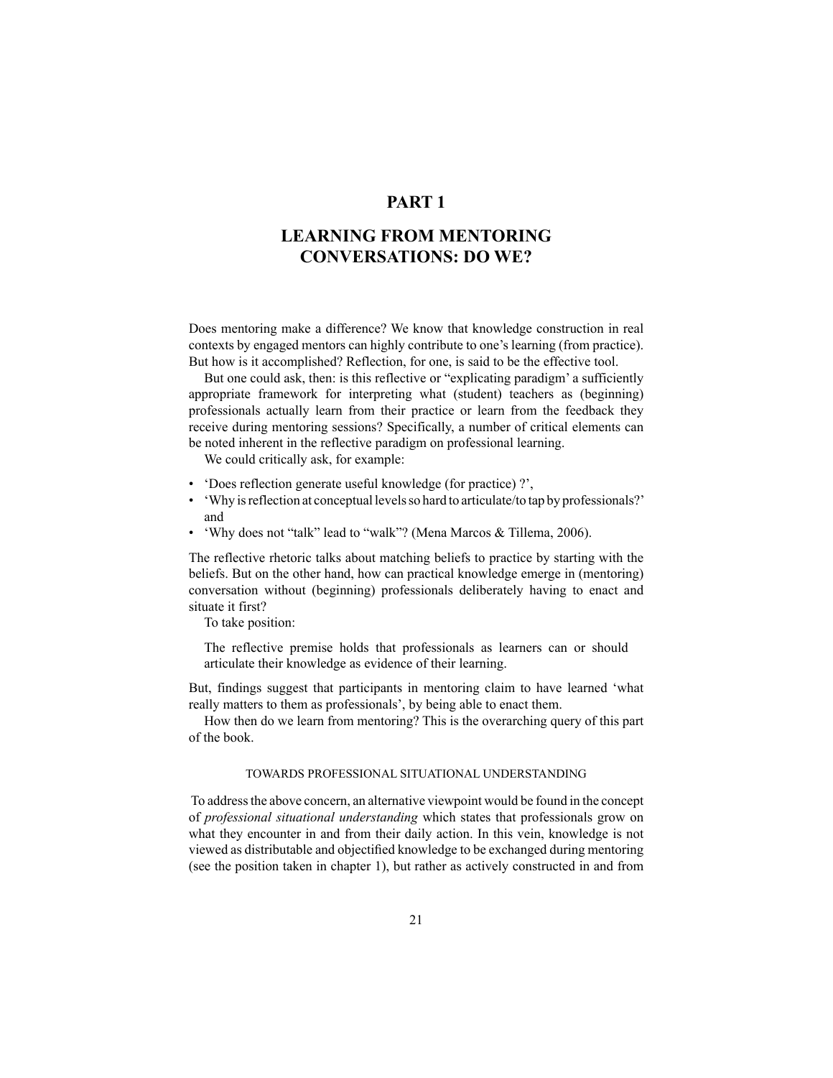### **PART 1**

### **LEARNING FROM MENTORING CONVERSATIONS: DO WE?**

Does mentoring make a difference? We know that knowledge construction in real contexts by engaged mentors can highly contribute to one's learning (from practice). But how is it accomplished? Reflection, for one, is said to be the effective tool.

But one could ask, then: is this reflective or "explicating paradigm' a sufficiently appropriate framework for interpreting what (student) teachers as (beginning) professionals actually learn from their practice or learn from the feedback they receive during mentoring sessions? Specifically, a number of critical elements can be noted inherent in the reflective paradigm on professional learning.

We could critically ask, for example:

- 'Does reflection generate useful knowledge (for practice) ?',
- 'Why is reflection at conceptual levels so hard to articulate/to tap by professionals?' and
- 'Why does not "talk" lead to "walk"? (Mena Marcos & Tillema, 2006).

The reflective rhetoric talks about matching beliefs to practice by starting with the beliefs. But on the other hand, how can practical knowledge emerge in (mentoring) conversation without (beginning) professionals deliberately having to enact and situate it first?

To take position:

The reflective premise holds that professionals as learners can or should articulate their knowledge as evidence of their learning.

But, findings suggest that participants in mentoring claim to have learned 'what really matters to them as professionals', by being able to enact them.

How then do we learn from mentoring? This is the overarching query of this part of the book.

### TOWARDS PROFESSIONAL SITUATIONAL UNDERSTANDING

To address the above concern, an alternative viewpoint would be found in the concept of *professional situational understanding* which states that professionals grow on what they encounter in and from their daily action. In this vein, knowledge is not viewed as distributable and objectified knowledge to be exchanged during mentoring (see the position taken in chapter 1), but rather as actively constructed in and from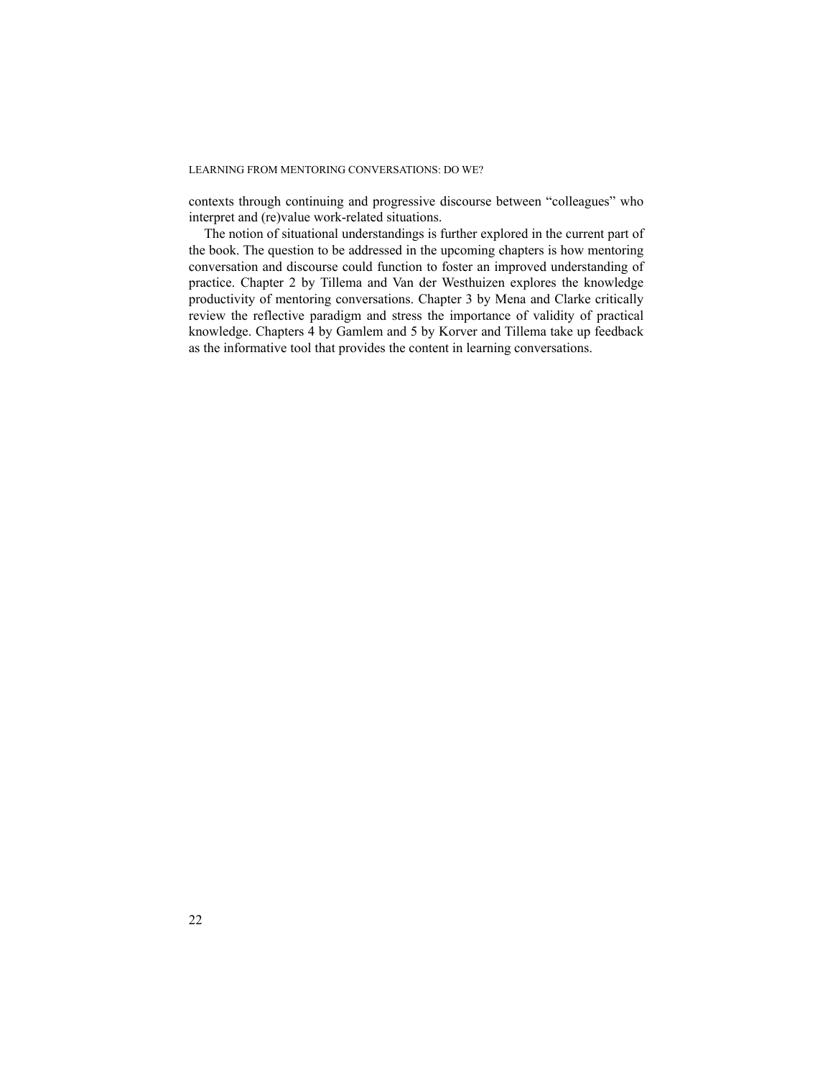contexts through continuing and progressive discourse between "colleagues" who interpret and (re)value work-related situations.

The notion of situational understandings is further explored in the current part of the book. The question to be addressed in the upcoming chapters is how mentoring conversation and discourse could function to foster an improved understanding of practice. Chapter 2 by Tillema and Van der Westhuizen explores the knowledge productivity of mentoring conversations. Chapter 3 by Mena and Clarke critically review the reflective paradigm and stress the importance of validity of practical knowledge. Chapters 4 by Gamlem and 5 by Korver and Tillema take up feedback as the informative tool that provides the content in learning conversations.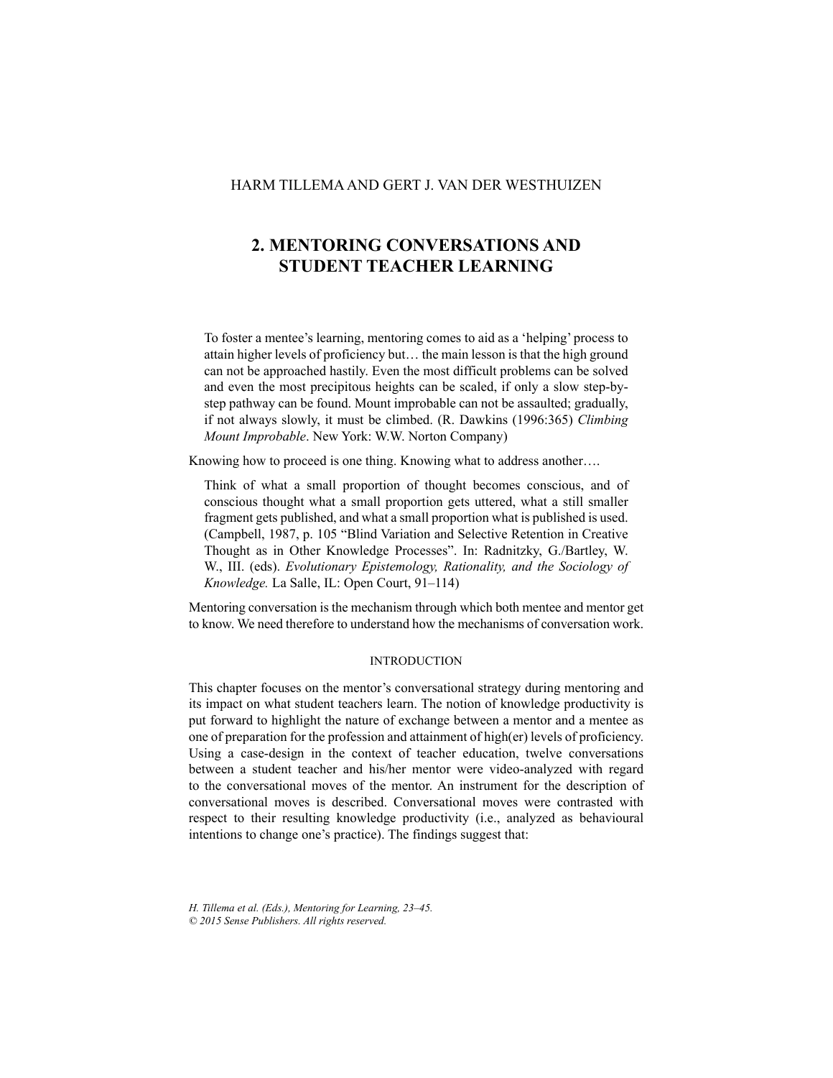### **2. MENTORING CONVERSATIONS AND STUDENT TEACHER LEARNING**

To foster a mentee's learning, mentoring comes to aid as a 'helping' process to attain higher levels of proficiency but… the main lesson is that the high ground can not be approached hastily. Even the most difficult problems can be solved and even the most precipitous heights can be scaled, if only a slow step-bystep pathway can be found. Mount improbable can not be assaulted; gradually, if not always slowly, it must be climbed. (R. Dawkins (1996:365) *Climbing Mount Improbable*. New York: W.W. Norton Company)

Knowing how to proceed is one thing. Knowing what to address another….

Think of what a small proportion of thought becomes conscious, and of conscious thought what a small proportion gets uttered, what a still smaller fragment gets published, and what a small proportion what is published is used. (Campbell, 1987, p. 105 "Blind Variation and Selective Retention in Creative Thought as in Other Knowledge Processes". In: Radnitzky, G./Bartley, W. W., III. (eds). *Evolutionary Epistemology, Rationality, and the Sociology of Knowledge.* La Salle, IL: Open Court, 91–114)

Mentoring conversation is the mechanism through which both mentee and mentor get to know. We need therefore to understand how the mechanisms of conversation work.

### **INTRODUCTION**

This chapter focuses on the mentor's conversational strategy during mentoring and its impact on what student teachers learn. The notion of knowledge productivity is put forward to highlight the nature of exchange between a mentor and a mentee as one of preparation for the profession and attainment of high(er) levels of proficiency. Using a case-design in the context of teacher education, twelve conversations between a student teacher and his/her mentor were video-analyzed with regard to the conversational moves of the mentor. An instrument for the description of conversational moves is described. Conversational moves were contrasted with respect to their resulting knowledge productivity (i.e., analyzed as behavioural intentions to change one's practice). The findings suggest that: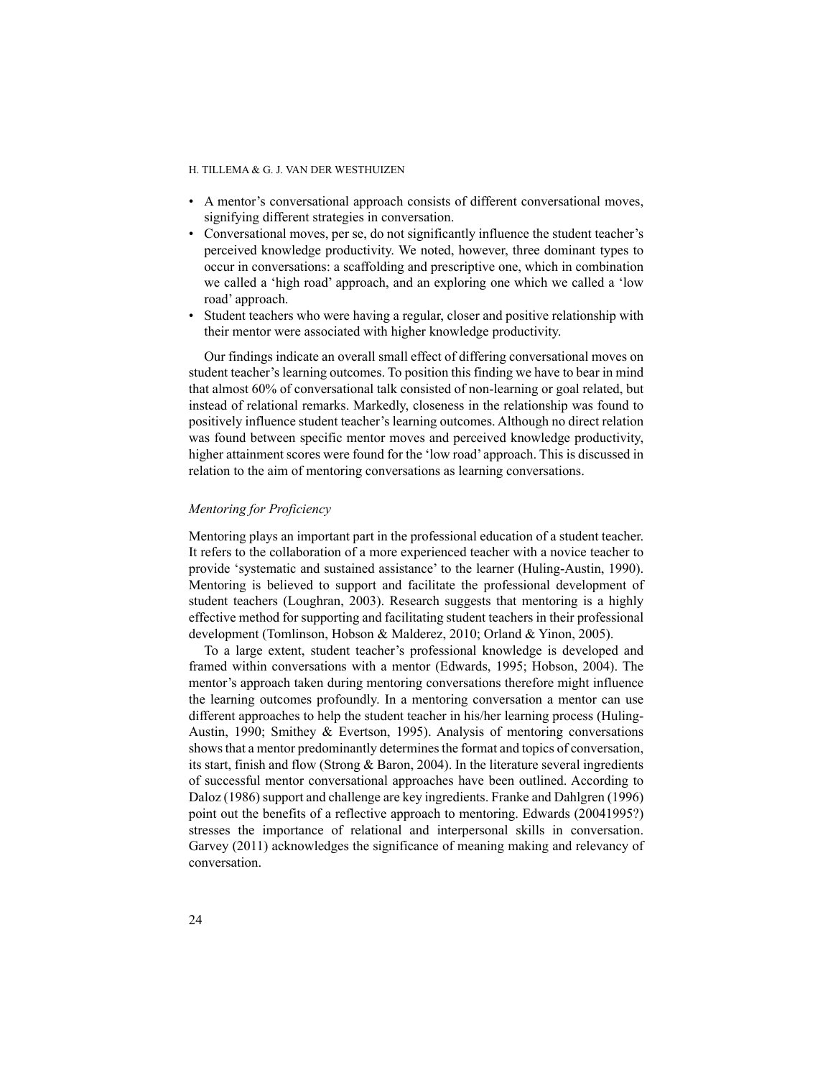### H. TILLEMA & G. J. VAN DER WESTHUIZEN

- A mentor's conversational approach consists of different conversational moves, signifying different strategies in conversation.
- Conversational moves, per se, do not significantly influence the student teacher's perceived knowledge productivity. We noted, however, three dominant types to occur in conversations: a scaffolding and prescriptive one, which in combination we called a 'high road' approach, and an exploring one which we called a 'low road' approach.
- Student teachers who were having a regular, closer and positive relationship with their mentor were associated with higher knowledge productivity.

Our findings indicate an overall small effect of differing conversational moves on student teacher's learning outcomes. To position this finding we have to bear in mind that almost 60% of conversational talk consisted of non-learning or goal related, but instead of relational remarks. Markedly, closeness in the relationship was found to positively influence student teacher's learning outcomes. Although no direct relation was found between specific mentor moves and perceived knowledge productivity, higher attainment scores were found for the 'low road' approach. This is discussed in relation to the aim of mentoring conversations as learning conversations.

### *Mentoring for Proficiency*

Mentoring plays an important part in the professional education of a student teacher. It refers to the collaboration of a more experienced teacher with a novice teacher to provide 'systematic and sustained assistance' to the learner (Huling-Austin, 1990). Mentoring is believed to support and facilitate the professional development of student teachers (Loughran, 2003). Research suggests that mentoring is a highly effective method for supporting and facilitating student teachers in their professional development (Tomlinson, Hobson & Malderez, 2010; Orland & Yinon, 2005).

To a large extent, student teacher's professional knowledge is developed and framed within conversations with a mentor (Edwards, 1995; Hobson, 2004). The mentor's approach taken during mentoring conversations therefore might influence the learning outcomes profoundly. In a mentoring conversation a mentor can use different approaches to help the student teacher in his/her learning process (Huling-Austin, 1990; Smithey & Evertson, 1995). Analysis of mentoring conversations shows that a mentor predominantly determines the format and topics of conversation, its start, finish and flow (Strong & Baron, 2004). In the literature several ingredients of successful mentor conversational approaches have been outlined. According to Daloz (1986) support and challenge are key ingredients. Franke and Dahlgren (1996) point out the benefits of a reflective approach to mentoring. Edwards (20041995?) stresses the importance of relational and interpersonal skills in conversation. Garvey (2011) acknowledges the significance of meaning making and relevancy of conversation.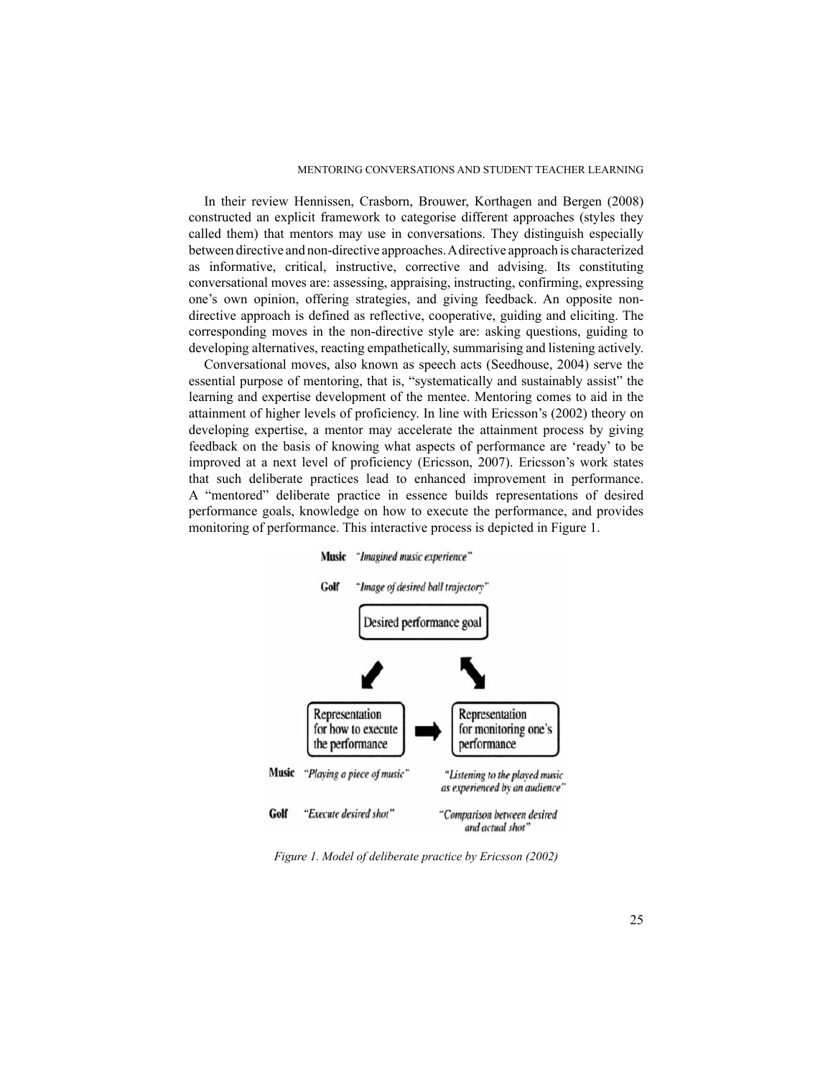#### Mentoring conversations and student teacher learning

In their review Hennissen, Crasborn, Brouwer, Korthagen and Bergen (2008) constructed an explicit framework to categorise different approaches (styles they called them) that mentors may use in conversations. They distinguish especially between directive and non-directive approaches. A directive approach is characterized as informative, critical, instructive, corrective and advising. Its constituting conversational moves are: assessing, appraising, instructing, confirming, expressing one's own opinion, offering strategies, and giving feedback. An opposite nondirective approach is defined as reflective, cooperative, guiding and eliciting. The corresponding moves in the non-directive style are: asking questions, guiding to developing alternatives, reacting empathetically, summarising and listening actively.

Conversational moves, also known as speech acts (Seedhouse, 2004) serve the essential purpose of mentoring, that is, "systematically and sustainably assist" the learning and expertise development of the mentee. Mentoring comes to aid in the attainment of higher levels of proficiency. In line with Ericsson's (2002) theory on developing expertise, a mentor may accelerate the attainment process by giving feedback on the basis of knowing what aspects of performance are 'ready' to be improved at a next level of proficiency (Ericsson, 2007). Ericsson's work states that such deliberate practices lead to enhanced improvement in performance. A "mentored" deliberate practice in essence builds representations of desired performance goals, knowledge on how to execute the performance, and provides monitoring of performance. This interactive process is depicted in Figure 1.





*Figure 1. Model of deliberate practice by Ericsson (2002)*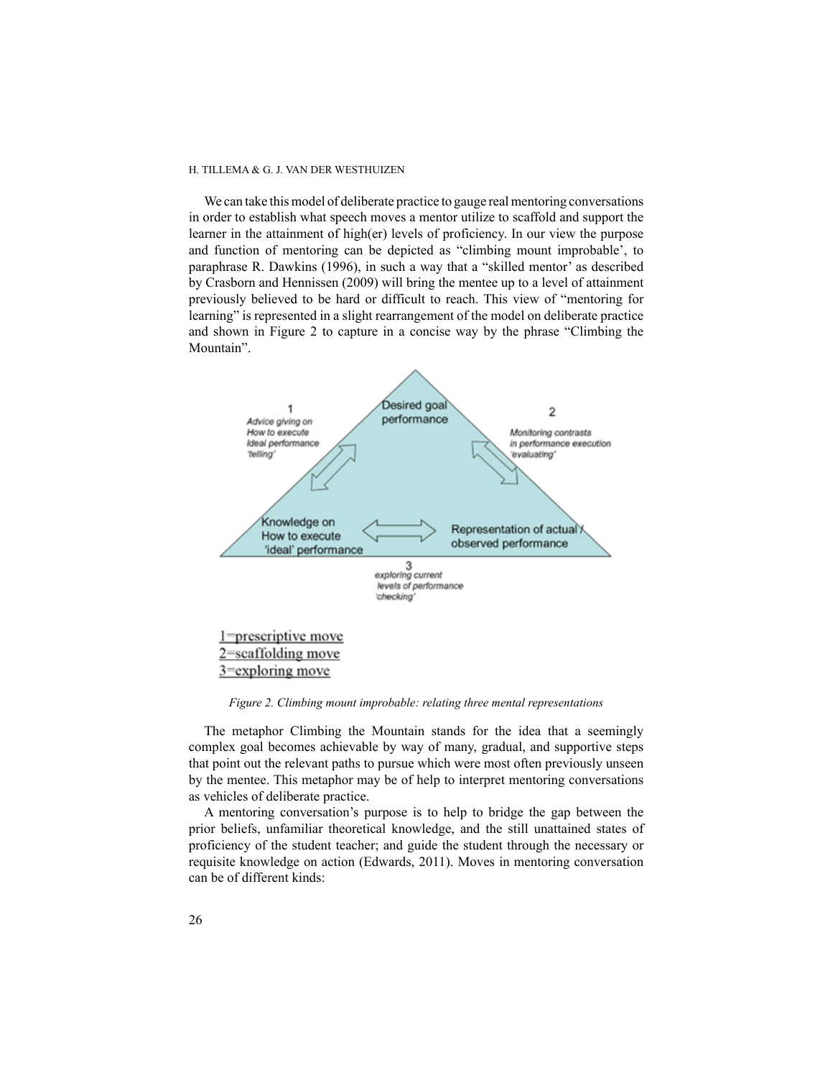### H. TILLEMA & G. J. VAN DER WESTHUIZEN

We can take this model of deliberate practice to gauge real mentoring conversations in order to establish what speech moves a mentor utilize to scaffold and support the learner in the attainment of high(er) levels of proficiency. In our view the purpose and function of mentoring can be depicted as "climbing mount improbable', to paraphrase R. Dawkins (1996), in such a way that a "skilled mentor' as described by Crasborn and Hennissen (2009) will bring the mentee up to a level of attainment previously believed to be hard or difficult to reach. This view of "mentoring for learning" is represented in a slight rearrangement of the model on deliberate practice and shown in Figure 2 to capture in a concise way by the phrase "Climbing the Mountain".



*Figure 2. Climbing mount improbable: relating three mental representations*

The metaphor Climbing the Mountain stands for the idea that a seemingly complex goal becomes achievable by way of many, gradual, and supportive steps that point out the relevant paths to pursue which were most often previously unseen by the mentee. This metaphor may be of help to interpret mentoring conversations as vehicles of deliberate practice.

A mentoring conversation's purpose is to help to bridge the gap between the prior beliefs, unfamiliar theoretical knowledge, and the still unattained states of proficiency of the student teacher; and guide the student through the necessary or requisite knowledge on action (Edwards, 2011). Moves in mentoring conversation can be of different kinds: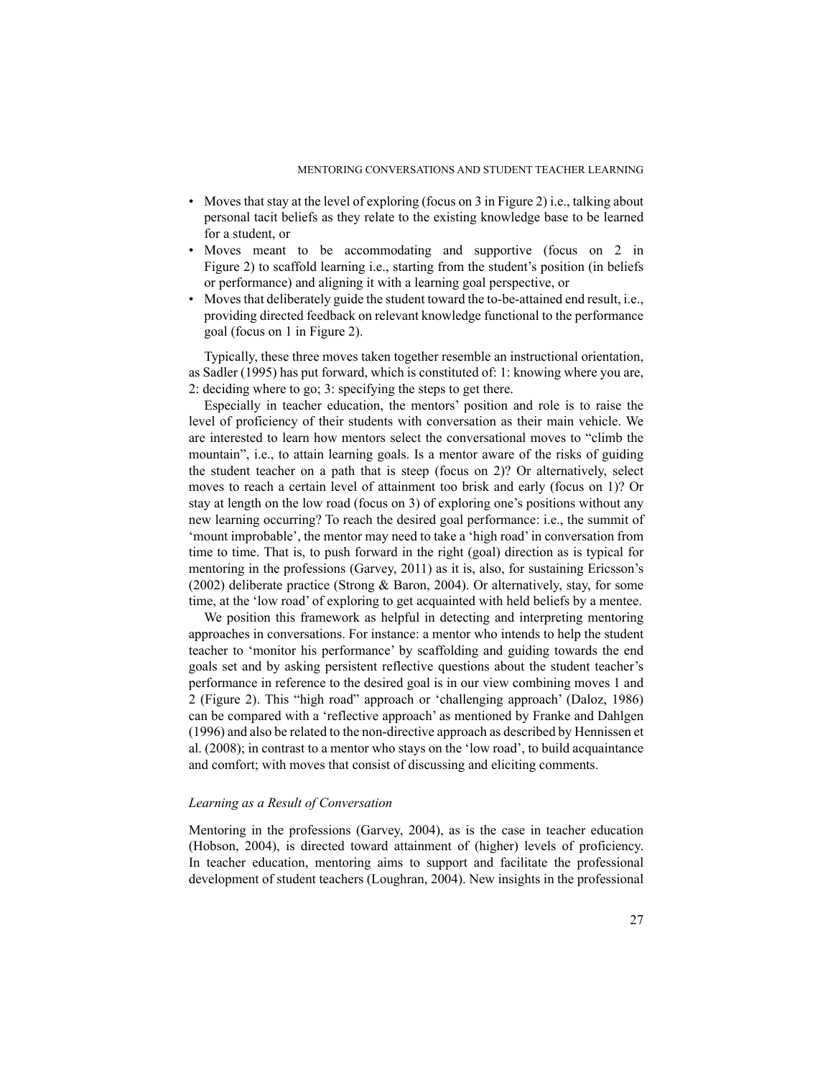- Moves that stay at the level of exploring (focus on 3 in Figure 2) i.e., talking about personal tacit beliefs as they relate to the existing knowledge base to be learned for a student, or
- Moves meant to be accommodating and supportive (focus on 2 in Figure 2) to scaffold learning i.e., starting from the student's position (in beliefs or performance) and aligning it with a learning goal perspective, or
- Moves that deliberately guide the student toward the to-be-attained end result, i.e., providing directed feedback on relevant knowledge functional to the performance goal (focus on 1 in Figure 2).

Typically, these three moves taken together resemble an instructional orientation, as Sadler (1995) has put forward, which is constituted of: 1: knowing where you are, 2: deciding where to go; 3: specifying the steps to get there.

Especially in teacher education, the mentors' position and role is to raise the level of proficiency of their students with conversation as their main vehicle. We are interested to learn how mentors select the conversational moves to "climb the mountain", i.e., to attain learning goals. Is a mentor aware of the risks of guiding the student teacher on a path that is steep (focus on 2)? Or alternatively, select moves to reach a certain level of attainment too brisk and early (focus on 1)? Or stay at length on the low road (focus on 3) of exploring one's positions without any new learning occurring? To reach the desired goal performance: i.e., the summit of 'mount improbable', the mentor may need to take a 'high road' in conversation from time to time. That is, to push forward in the right (goal) direction as is typical for mentoring in the professions (Garvey, 2011) as it is, also, for sustaining Ericsson's (2002) deliberate practice (Strong & Baron, 2004). Or alternatively, stay, for some time, at the 'low road' of exploring to get acquainted with held beliefs by a mentee.

We position this framework as helpful in detecting and interpreting mentoring approaches in conversations. For instance: a mentor who intends to help the student teacher to 'monitor his performance' by scaffolding and guiding towards the end goals set and by asking persistent reflective questions about the student teacher's performance in reference to the desired goal is in our view combining moves 1 and 2 (Figure 2). This "high road" approach or 'challenging approach' (Daloz, 1986) can be compared with a 'reflective approach' as mentioned by Franke and Dahlgen (1996) and also be related to the non-directive approach as described by Hennissen et al. (2008); in contrast to a mentor who stays on the 'low road', to build acquaintance and comfort; with moves that consist of discussing and eliciting comments.

### *Learning as a Result of Conversation*

Mentoring in the professions (Garvey, 2004), as is the case in teacher education (Hobson, 2004), is directed toward attainment of (higher) levels of proficiency. In teacher education, mentoring aims to support and facilitate the professional development of student teachers (Loughran, 2004). New insights in the professional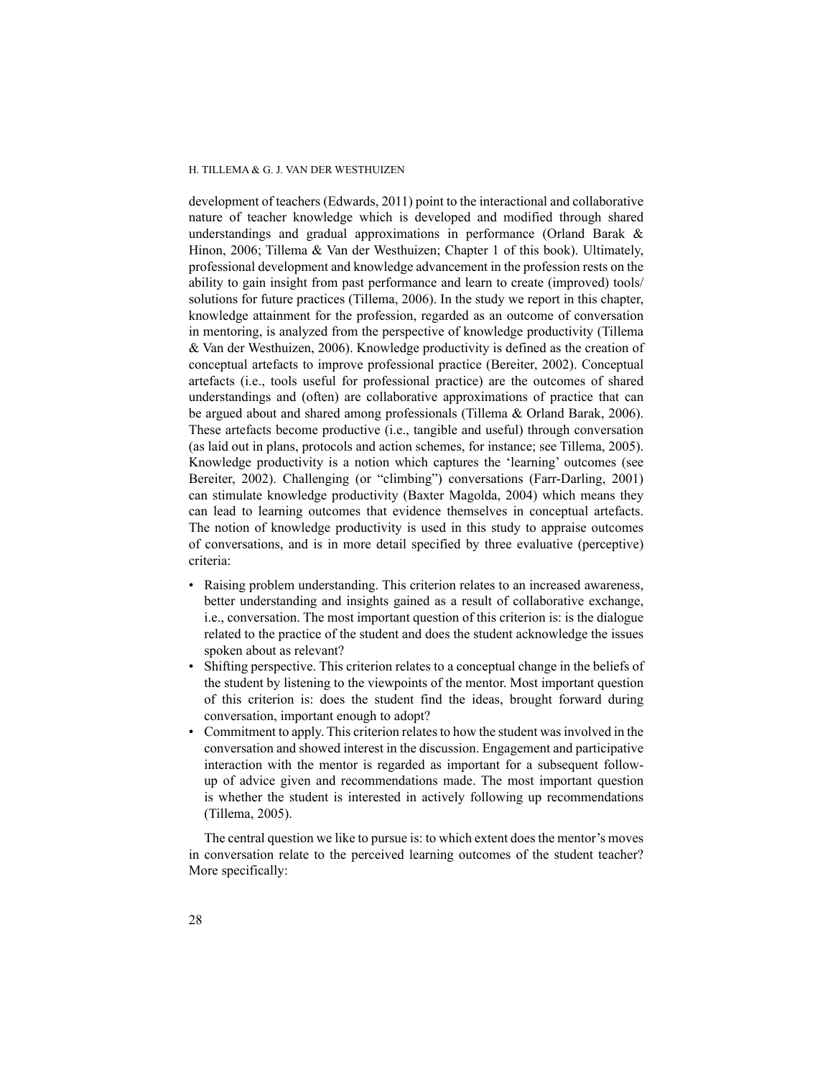### H. TILLEMA & G. J. VAN DER WESTHUIZEN

development of teachers (Edwards, 2011) point to the interactional and collaborative nature of teacher knowledge which is developed and modified through shared understandings and gradual approximations in performance (Orland Barak & Hinon, 2006; Tillema & Van der Westhuizen; Chapter 1 of this book). Ultimately, professional development and knowledge advancement in the profession rests on the ability to gain insight from past performance and learn to create (improved) tools/ solutions for future practices (Tillema, 2006). In the study we report in this chapter, knowledge attainment for the profession, regarded as an outcome of conversation in mentoring, is analyzed from the perspective of knowledge productivity (Tillema & Van der Westhuizen, 2006). Knowledge productivity is defined as the creation of conceptual artefacts to improve professional practice (Bereiter, 2002). Conceptual artefacts (i.e., tools useful for professional practice) are the outcomes of shared understandings and (often) are collaborative approximations of practice that can be argued about and shared among professionals (Tillema & Orland Barak, 2006). These artefacts become productive (i.e., tangible and useful) through conversation (as laid out in plans, protocols and action schemes, for instance; see Tillema, 2005). Knowledge productivity is a notion which captures the 'learning' outcomes (see Bereiter, 2002). Challenging (or "climbing") conversations (Farr-Darling, 2001) can stimulate knowledge productivity (Baxter Magolda, 2004) which means they can lead to learning outcomes that evidence themselves in conceptual artefacts. The notion of knowledge productivity is used in this study to appraise outcomes of conversations, and is in more detail specified by three evaluative (perceptive) criteria:

- Raising problem understanding. This criterion relates to an increased awareness, better understanding and insights gained as a result of collaborative exchange, i.e., conversation. The most important question of this criterion is: is the dialogue related to the practice of the student and does the student acknowledge the issues spoken about as relevant?
- Shifting perspective. This criterion relates to a conceptual change in the beliefs of the student by listening to the viewpoints of the mentor. Most important question of this criterion is: does the student find the ideas, brought forward during conversation, important enough to adopt?
- Commitment to apply. This criterion relates to how the student was involved in the conversation and showed interest in the discussion. Engagement and participative interaction with the mentor is regarded as important for a subsequent followup of advice given and recommendations made. The most important question is whether the student is interested in actively following up recommendations (Tillema, 2005).

The central question we like to pursue is: to which extent does the mentor's moves in conversation relate to the perceived learning outcomes of the student teacher? More specifically: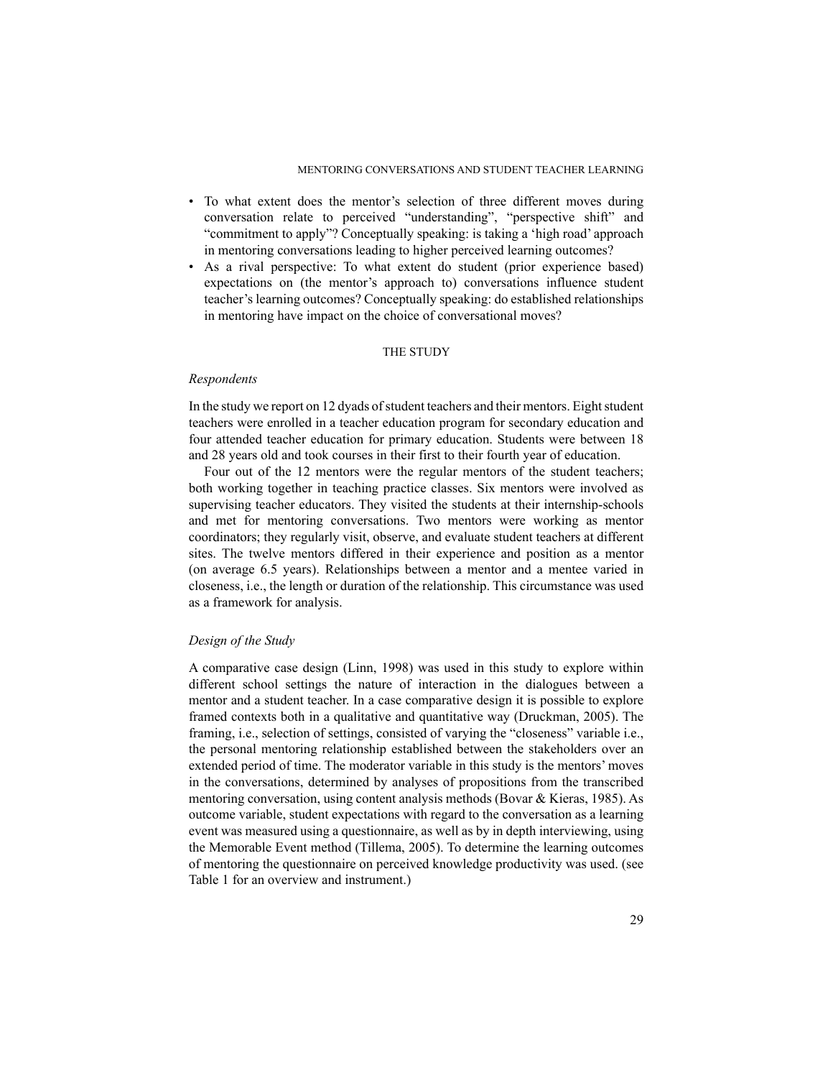- To what extent does the mentor's selection of three different moves during conversation relate to perceived "understanding", "perspective shift" and "commitment to apply"? Conceptually speaking: is taking a 'high road' approach in mentoring conversations leading to higher perceived learning outcomes?
- As a rival perspective: To what extent do student (prior experience based) expectations on (the mentor's approach to) conversations influence student teacher's learning outcomes? Conceptually speaking: do established relationships in mentoring have impact on the choice of conversational moves?

### THE STUDY

### *Respondents*

In the study we report on 12 dyads of student teachers and their mentors. Eight student teachers were enrolled in a teacher education program for secondary education and four attended teacher education for primary education. Students were between 18 and 28 years old and took courses in their first to their fourth year of education.

Four out of the 12 mentors were the regular mentors of the student teachers; both working together in teaching practice classes. Six mentors were involved as supervising teacher educators. They visited the students at their internship-schools and met for mentoring conversations. Two mentors were working as mentor coordinators; they regularly visit, observe, and evaluate student teachers at different sites. The twelve mentors differed in their experience and position as a mentor (on average 6.5 years). Relationships between a mentor and a mentee varied in closeness, i.e., the length or duration of the relationship. This circumstance was used as a framework for analysis.

### *Design of the Study*

A comparative case design (Linn, 1998) was used in this study to explore within different school settings the nature of interaction in the dialogues between a mentor and a student teacher. In a case comparative design it is possible to explore framed contexts both in a qualitative and quantitative way (Druckman, 2005). The framing, i.e., selection of settings, consisted of varying the "closeness" variable i.e., the personal mentoring relationship established between the stakeholders over an extended period of time. The moderator variable in this study is the mentors' moves in the conversations, determined by analyses of propositions from the transcribed mentoring conversation, using content analysis methods (Bovar & Kieras, 1985). As outcome variable, student expectations with regard to the conversation as a learning event was measured using a questionnaire, as well as by in depth interviewing, using the Memorable Event method (Tillema, 2005). To determine the learning outcomes of mentoring the questionnaire on perceived knowledge productivity was used. (see Table 1 for an overview and instrument.)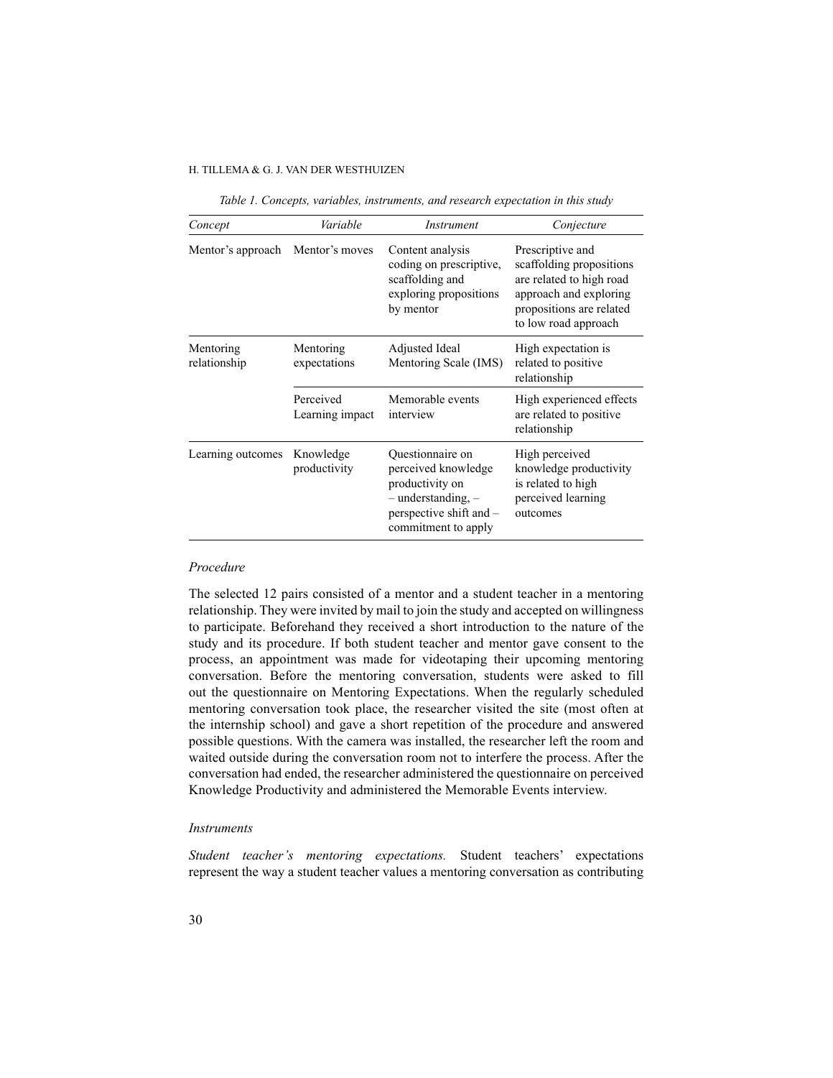### H. TILLEMA & G. J. VAN DER WESTHUIZEN

| Concept                   | Variable                     | Instrument                                                                                                                             | Conjecture                                                                                                                                             |
|---------------------------|------------------------------|----------------------------------------------------------------------------------------------------------------------------------------|--------------------------------------------------------------------------------------------------------------------------------------------------------|
| Mentor's approach         | Mentor's moves               | Content analysis<br>coding on prescriptive.<br>scaffolding and<br>exploring propositions<br>by mentor                                  | Prescriptive and<br>scaffolding propositions<br>are related to high road<br>approach and exploring<br>propositions are related<br>to low road approach |
| Mentoring<br>relationship | Mentoring<br>expectations    | Adjusted Ideal<br>Mentoring Scale (IMS)                                                                                                | High expectation is<br>related to positive<br>relationship                                                                                             |
|                           | Perceived<br>Learning impact | Memorable events<br>interview                                                                                                          | High experienced effects<br>are related to positive<br>relationship                                                                                    |
| Learning outcomes         | Knowledge<br>productivity    | Questionnaire on<br>perceived knowledge<br>productivity on<br>$-$ understanding, $-$<br>perspective shift and -<br>commitment to apply | High perceived<br>knowledge productivity<br>is related to high<br>perceived learning<br>outcomes                                                       |

*Table 1. Concepts, variables, instruments, and research expectation in this study*

### *Procedure*

The selected 12 pairs consisted of a mentor and a student teacher in a mentoring relationship. They were invited by mail to join the study and accepted on willingness to participate. Beforehand they received a short introduction to the nature of the study and its procedure. If both student teacher and mentor gave consent to the process, an appointment was made for videotaping their upcoming mentoring conversation. Before the mentoring conversation, students were asked to fill out the questionnaire on Mentoring Expectations. When the regularly scheduled mentoring conversation took place, the researcher visited the site (most often at the internship school) and gave a short repetition of the procedure and answered possible questions. With the camera was installed, the researcher left the room and waited outside during the conversation room not to interfere the process. After the conversation had ended, the researcher administered the questionnaire on perceived Knowledge Productivity and administered the Memorable Events interview.

### *Instruments*

*Student teacher's mentoring expectations.* Student teachers' expectations represent the way a student teacher values a mentoring conversation as contributing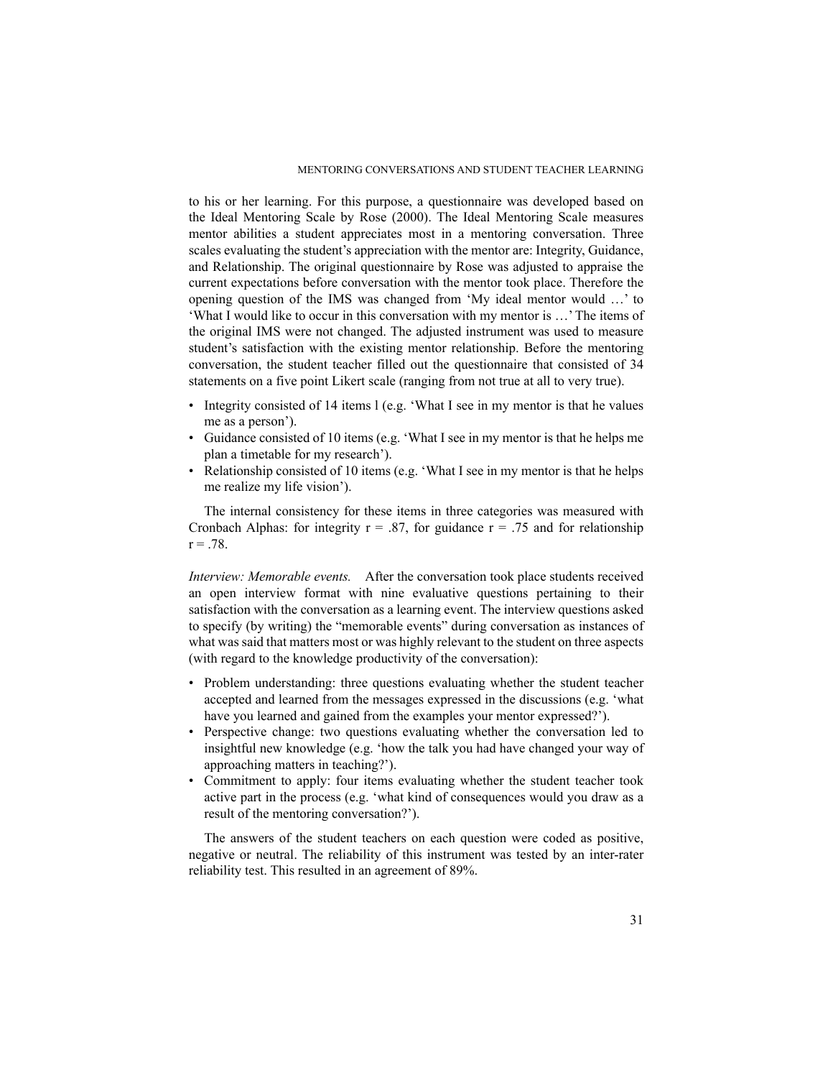to his or her learning. For this purpose, a questionnaire was developed based on the Ideal Mentoring Scale by Rose (2000). The Ideal Mentoring Scale measures mentor abilities a student appreciates most in a mentoring conversation. Three scales evaluating the student's appreciation with the mentor are: Integrity, Guidance, and Relationship. The original questionnaire by Rose was adjusted to appraise the current expectations before conversation with the mentor took place. Therefore the opening question of the IMS was changed from 'My ideal mentor would …' to 'What I would like to occur in this conversation with my mentor is …' The items of the original IMS were not changed. The adjusted instrument was used to measure student's satisfaction with the existing mentor relationship. Before the mentoring conversation, the student teacher filled out the questionnaire that consisted of 34 statements on a five point Likert scale (ranging from not true at all to very true).

- Integrity consisted of 14 items 1 (e.g. 'What I see in my mentor is that he values me as a person').
- Guidance consisted of 10 items (e.g. 'What I see in my mentor is that he helps me plan a timetable for my research').
- Relationship consisted of 10 items (e.g. 'What I see in my mentor is that he helps me realize my life vision').

The internal consistency for these items in three categories was measured with Cronbach Alphas: for integrity  $r = .87$ , for guidance  $r = .75$  and for relationship  $r = .78$ .

*Interview: Memorable events.* After the conversation took place students received an open interview format with nine evaluative questions pertaining to their satisfaction with the conversation as a learning event. The interview questions asked to specify (by writing) the "memorable events" during conversation as instances of what was said that matters most or was highly relevant to the student on three aspects (with regard to the knowledge productivity of the conversation):

- Problem understanding: three questions evaluating whether the student teacher accepted and learned from the messages expressed in the discussions (e.g. 'what have you learned and gained from the examples your mentor expressed?').
- Perspective change: two questions evaluating whether the conversation led to insightful new knowledge (e.g. 'how the talk you had have changed your way of approaching matters in teaching?').
- Commitment to apply: four items evaluating whether the student teacher took active part in the process (e.g. 'what kind of consequences would you draw as a result of the mentoring conversation?').

The answers of the student teachers on each question were coded as positive, negative or neutral. The reliability of this instrument was tested by an inter-rater reliability test. This resulted in an agreement of 89%.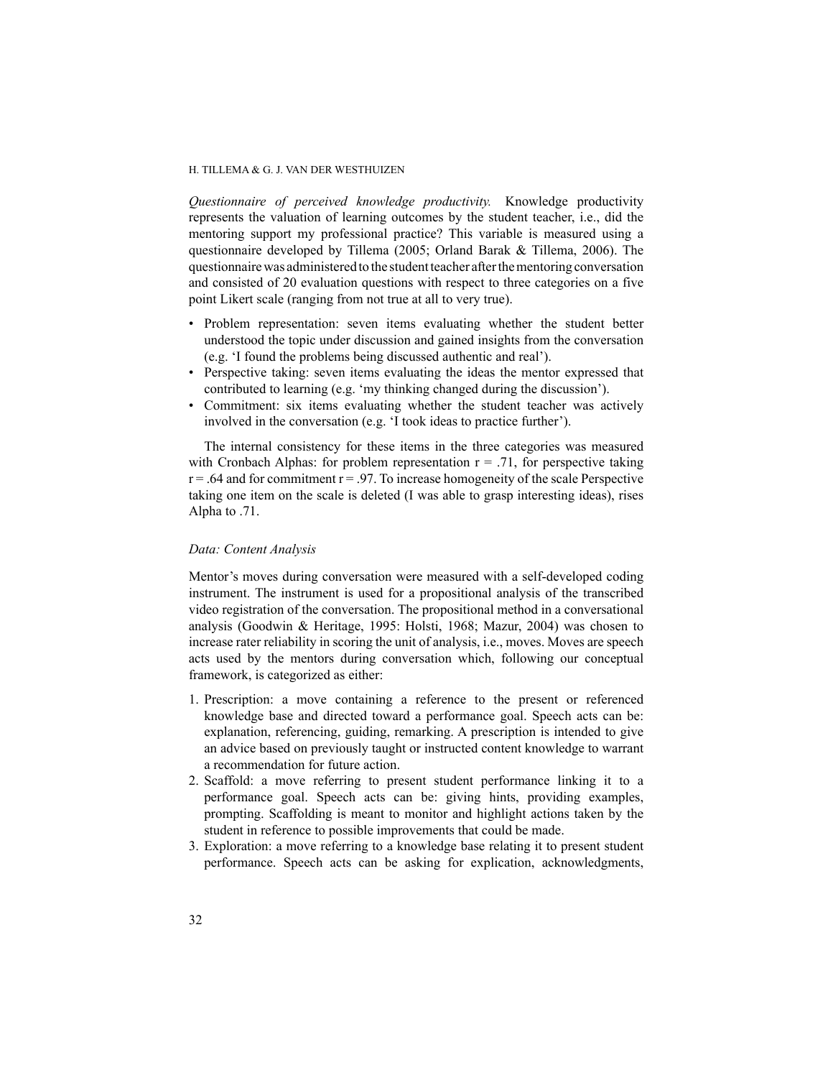### H. TILLEMA & G. J. VAN DER WESTHUIZEN

*Questionnaire of perceived knowledge productivity.* Knowledge productivity represents the valuation of learning outcomes by the student teacher, i.e., did the mentoring support my professional practice? This variable is measured using a questionnaire developed by Tillema (2005; Orland Barak & Tillema, 2006). The questionnaire was administered to the student teacher after the mentoring conversation and consisted of 20 evaluation questions with respect to three categories on a five point Likert scale (ranging from not true at all to very true).

- Problem representation: seven items evaluating whether the student better understood the topic under discussion and gained insights from the conversation (e.g. 'I found the problems being discussed authentic and real').
- Perspective taking: seven items evaluating the ideas the mentor expressed that contributed to learning (e.g. 'my thinking changed during the discussion').
- Commitment: six items evaluating whether the student teacher was actively involved in the conversation (e.g. 'I took ideas to practice further').

The internal consistency for these items in the three categories was measured with Cronbach Alphas: for problem representation  $r = .71$ , for perspective taking  $r = .64$  and for commitment  $r = .97$ . To increase homogeneity of the scale Perspective taking one item on the scale is deleted (I was able to grasp interesting ideas), rises Alpha to .71.

### *Data: Content Analysis*

Mentor's moves during conversation were measured with a self-developed coding instrument. The instrument is used for a propositional analysis of the transcribed video registration of the conversation. The propositional method in a conversational analysis (Goodwin & Heritage, 1995: Holsti, 1968; Mazur, 2004) was chosen to increase rater reliability in scoring the unit of analysis, i.e., moves. Moves are speech acts used by the mentors during conversation which, following our conceptual framework, is categorized as either:

- 1. Prescription: a move containing a reference to the present or referenced knowledge base and directed toward a performance goal. Speech acts can be: explanation, referencing, guiding, remarking. A prescription is intended to give an advice based on previously taught or instructed content knowledge to warrant a recommendation for future action.
- 2. Scaffold: a move referring to present student performance linking it to a performance goal. Speech acts can be: giving hints, providing examples, prompting. Scaffolding is meant to monitor and highlight actions taken by the student in reference to possible improvements that could be made.
- 3. Exploration: a move referring to a knowledge base relating it to present student performance. Speech acts can be asking for explication, acknowledgments,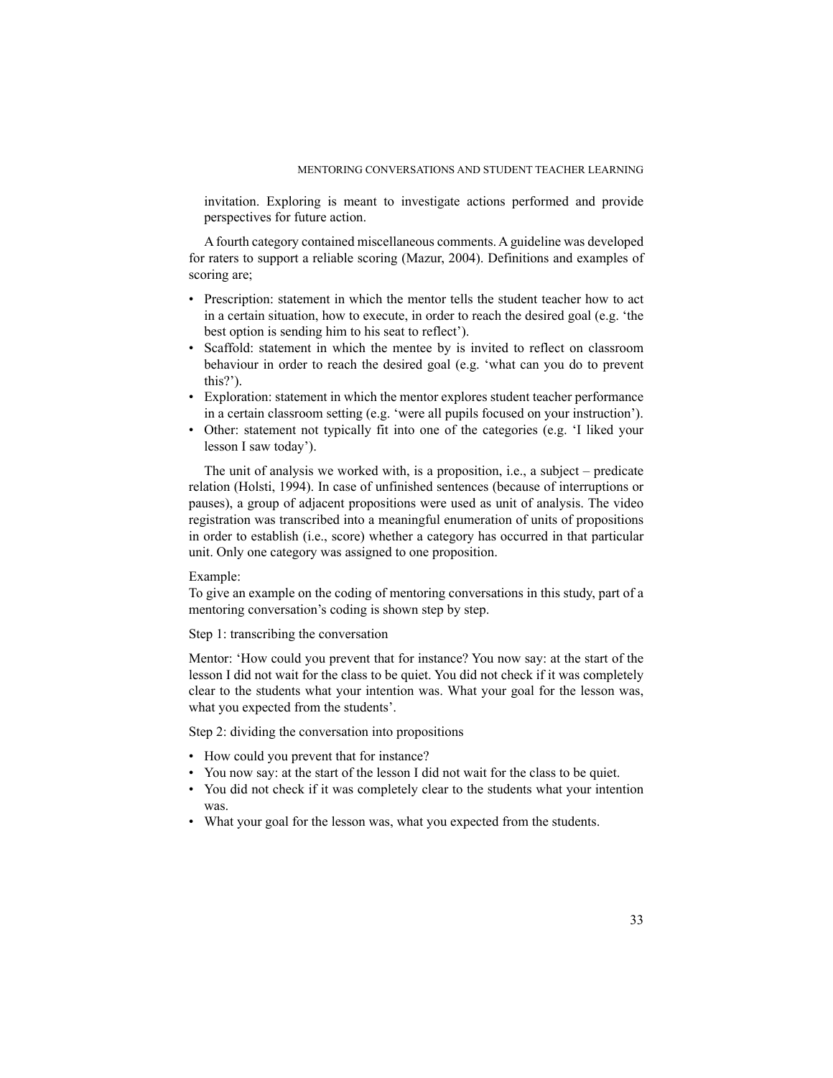invitation. Exploring is meant to investigate actions performed and provide perspectives for future action.

A fourth category contained miscellaneous comments. A guideline was developed for raters to support a reliable scoring (Mazur, 2004). Definitions and examples of scoring are;

- Prescription: statement in which the mentor tells the student teacher how to act in a certain situation, how to execute, in order to reach the desired goal (e.g. 'the best option is sending him to his seat to reflect').
- Scaffold: statement in which the mentee by is invited to reflect on classroom behaviour in order to reach the desired goal (e.g. 'what can you do to prevent this?').
- Exploration: statement in which the mentor explores student teacher performance in a certain classroom setting (e.g. 'were all pupils focused on your instruction').
- Other: statement not typically fit into one of the categories (e.g. 'I liked your lesson I saw today').

The unit of analysis we worked with, is a proposition, i.e., a subject – predicate relation (Holsti, 1994). In case of unfinished sentences (because of interruptions or pauses), a group of adjacent propositions were used as unit of analysis. The video registration was transcribed into a meaningful enumeration of units of propositions in order to establish (i.e., score) whether a category has occurred in that particular unit. Only one category was assigned to one proposition.

Example:

To give an example on the coding of mentoring conversations in this study, part of a mentoring conversation's coding is shown step by step.

Step 1: transcribing the conversation

Mentor: 'How could you prevent that for instance? You now say: at the start of the lesson I did not wait for the class to be quiet. You did not check if it was completely clear to the students what your intention was. What your goal for the lesson was, what you expected from the students'.

Step 2: dividing the conversation into propositions

- How could you prevent that for instance?
- You now say: at the start of the lesson I did not wait for the class to be quiet.
- You did not check if it was completely clear to the students what your intention was.
- What your goal for the lesson was, what you expected from the students.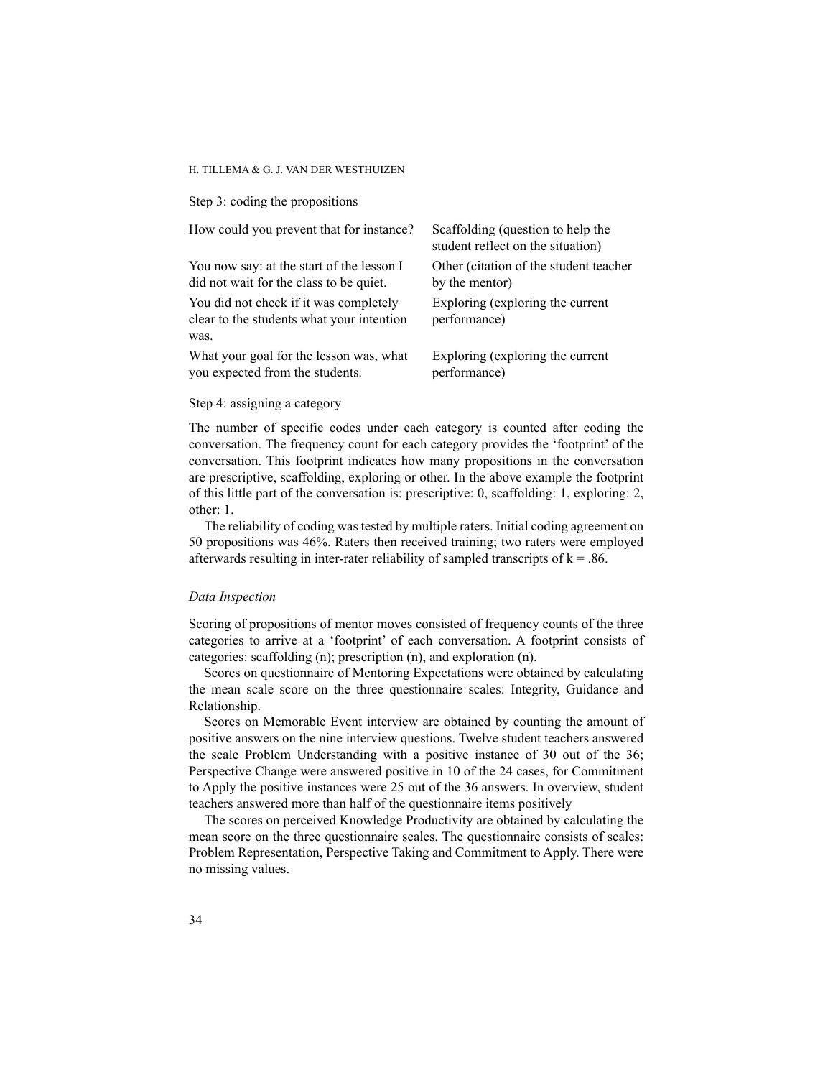H. TILLEMA & G. J. VAN DER WESTHUIZEN

Step 3: coding the propositions

| How could you prevent that for instance?                                                    | Scaffolding (question to help the<br>student reflect on the situation) |
|---------------------------------------------------------------------------------------------|------------------------------------------------------------------------|
| You now say: at the start of the lesson I                                                   | Other (citation of the student teacher                                 |
| did not wait for the class to be quiet.                                                     | by the mentor)                                                         |
| You did not check if it was completely<br>clear to the students what your intention<br>was. | Exploring (exploring the current<br>performance)                       |
| What your goal for the lesson was, what                                                     | Exploring (exploring the current                                       |
| you expected from the students.                                                             | performance)                                                           |

Step 4: assigning a category

The number of specific codes under each category is counted after coding the conversation. The frequency count for each category provides the 'footprint' of the conversation. This footprint indicates how many propositions in the conversation are prescriptive, scaffolding, exploring or other. In the above example the footprint of this little part of the conversation is: prescriptive: 0, scaffolding: 1, exploring: 2, other: 1.

The reliability of coding was tested by multiple raters. Initial coding agreement on 50 propositions was 46%. Raters then received training; two raters were employed afterwards resulting in inter-rater reliability of sampled transcripts of  $k = 0.86$ .

### *Data Inspection*

Scoring of propositions of mentor moves consisted of frequency counts of the three categories to arrive at a 'footprint' of each conversation. A footprint consists of categories: scaffolding (n); prescription (n), and exploration (n).

Scores on questionnaire of Mentoring Expectations were obtained by calculating the mean scale score on the three questionnaire scales: Integrity, Guidance and Relationship.

Scores on Memorable Event interview are obtained by counting the amount of positive answers on the nine interview questions. Twelve student teachers answered the scale Problem Understanding with a positive instance of 30 out of the 36; Perspective Change were answered positive in 10 of the 24 cases, for Commitment to Apply the positive instances were 25 out of the 36 answers. In overview, student teachers answered more than half of the questionnaire items positively

The scores on perceived Knowledge Productivity are obtained by calculating the mean score on the three questionnaire scales. The questionnaire consists of scales: Problem Representation, Perspective Taking and Commitment to Apply. There were no missing values.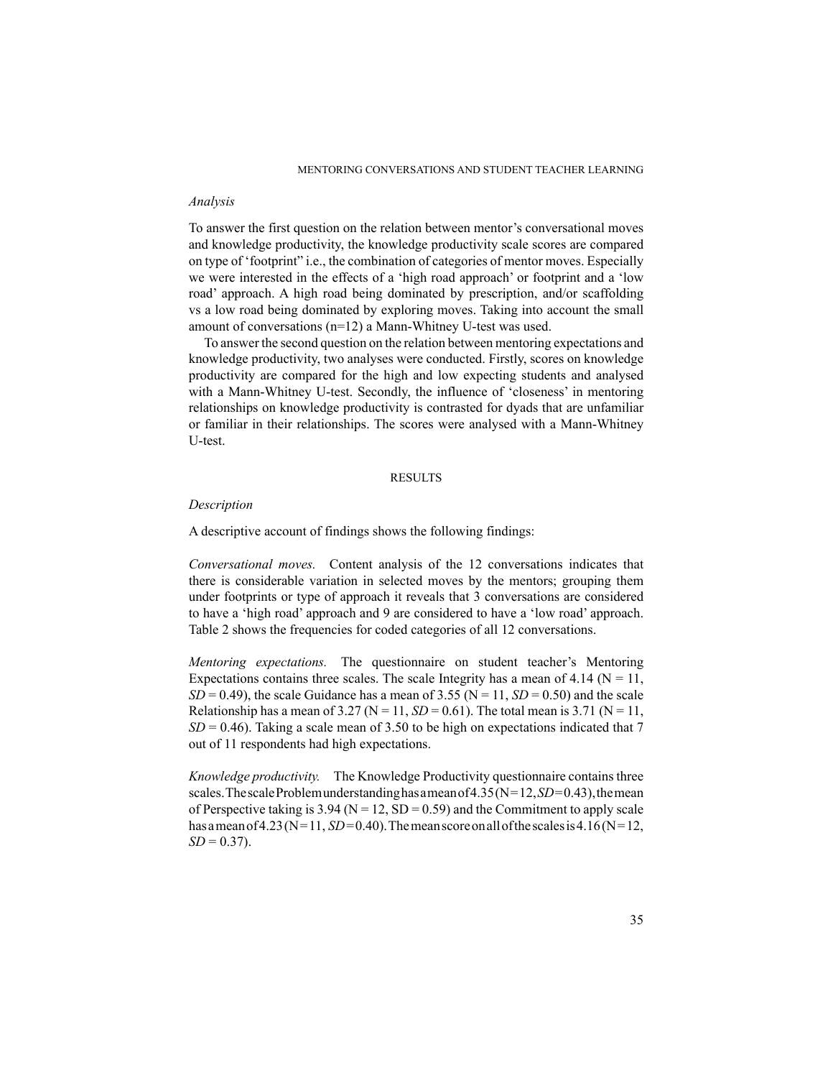### *Analysis*

To answer the first question on the relation between mentor's conversational moves and knowledge productivity, the knowledge productivity scale scores are compared on type of 'footprint" i.e., the combination of categories of mentor moves. Especially we were interested in the effects of a 'high road approach' or footprint and a 'low road' approach. A high road being dominated by prescription, and/or scaffolding vs a low road being dominated by exploring moves. Taking into account the small amount of conversations (n=12) a Mann-Whitney U-test was used.

To answer the second question on the relation between mentoring expectations and knowledge productivity, two analyses were conducted. Firstly, scores on knowledge productivity are compared for the high and low expecting students and analysed with a Mann-Whitney U-test. Secondly, the influence of 'closeness' in mentoring relationships on knowledge productivity is contrasted for dyads that are unfamiliar or familiar in their relationships. The scores were analysed with a Mann-Whitney U-test.

### **RESULTS**

### *Description*

A descriptive account of findings shows the following findings:

*Conversational moves.* Content analysis of the 12 conversations indicates that there is considerable variation in selected moves by the mentors; grouping them under footprints or type of approach it reveals that 3 conversations are considered to have a 'high road' approach and 9 are considered to have a 'low road' approach. Table 2 shows the frequencies for coded categories of all 12 conversations.

*Mentoring expectations.* The questionnaire on student teacher's Mentoring Expectations contains three scales. The scale Integrity has a mean of 4.14 ( $N = 11$ ,  $SD = 0.49$ , the scale Guidance has a mean of 3.55 (N = 11,  $SD = 0.50$ ) and the scale Relationship has a mean of  $3.27$  (N = 11, *SD* = 0.61). The total mean is  $3.71$  (N = 11,  $SD = 0.46$ ). Taking a scale mean of 3.50 to be high on expectations indicated that 7 out of 11 respondents had high expectations.

*Knowledge productivity.* The Knowledge Productivity questionnaire contains three scales. The scale Problem understanding has a mean of  $4.35$  ( $N=12$ ,  $SD=0.43$ ), the mean of Perspective taking is  $3.94$  (N = 12, SD = 0.59) and the Commitment to apply scale has a mean of  $4.23$  (N = 11, *SD* = 0.40). The mean score on all of the scales is  $4.16$  (N = 12,  $SD = 0.37$ ).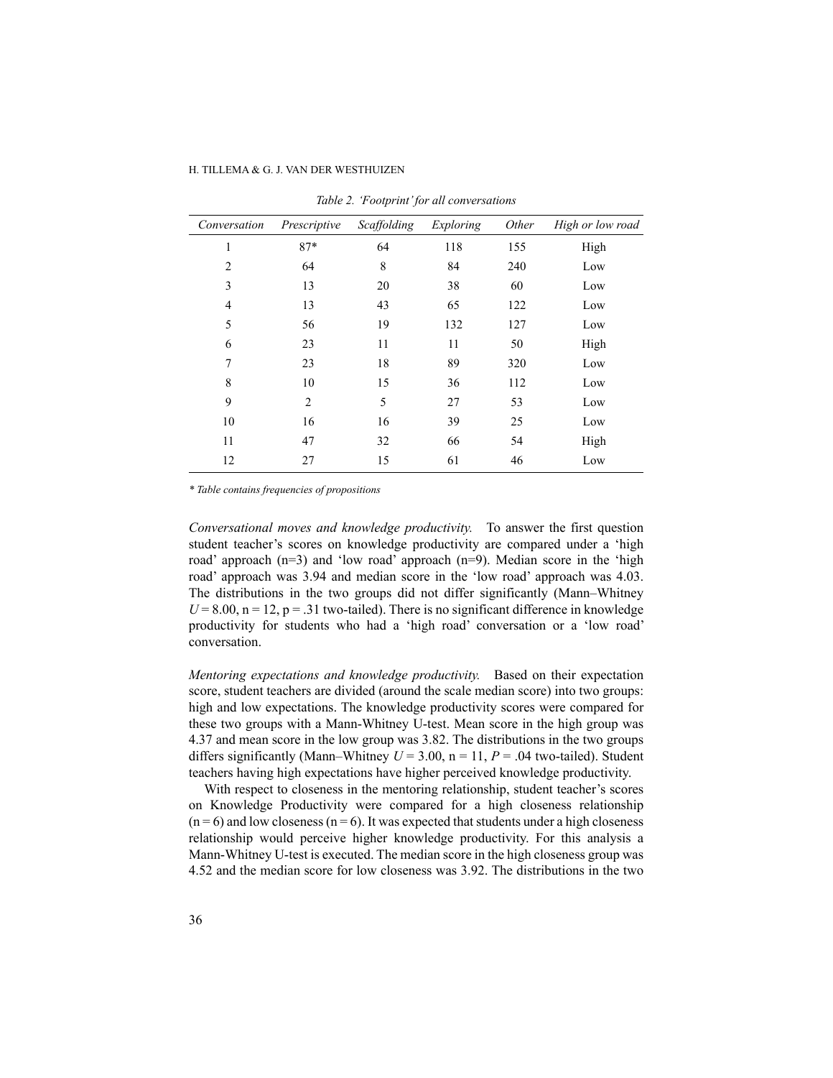| Conversation   | Prescriptive   | Scaffolding | Exploring | Other | High or low road |
|----------------|----------------|-------------|-----------|-------|------------------|
| 1              | $87*$          | 64          | 118       | 155   | High             |
| $\overline{2}$ | 64             | 8           | 84        | 240   | Low              |
| 3              | 13             | 20          | 38        | 60    | Low              |
| $\overline{4}$ | 13             | 43          | 65        | 122   | Low              |
| 5              | 56             | 19          | 132       | 127   | Low              |
| 6              | 23             | 11          | 11        | 50    | High             |
| 7              | 23             | 18          | 89        | 320   | Low              |
| 8              | 10             | 15          | 36        | 112   | Low              |
| 9              | $\overline{2}$ | 5           | 27        | 53    | Low              |
| 10             | 16             | 16          | 39        | 25    | Low              |
| 11             | 47             | 32          | 66        | 54    | High             |
| 12             | 27             | 15          | 61        | 46    | Low              |

*Table 2. 'Footprint' for all conversations*

*\* Table contains frequencies of propositions*

*Conversational moves and knowledge productivity.* To answer the first question student teacher's scores on knowledge productivity are compared under a 'high road' approach (n=3) and 'low road' approach (n=9). Median score in the 'high road' approach was 3.94 and median score in the 'low road' approach was 4.03. The distributions in the two groups did not differ significantly (Mann–Whitney  $U = 8.00$ ,  $n = 12$ ,  $p = .31$  two-tailed). There is no significant difference in knowledge productivity for students who had a 'high road' conversation or a 'low road' conversation.

*Mentoring expectations and knowledge productivity.* Based on their expectation score, student teachers are divided (around the scale median score) into two groups: high and low expectations. The knowledge productivity scores were compared for these two groups with a Mann-Whitney U-test. Mean score in the high group was 4.37 and mean score in the low group was 3.82. The distributions in the two groups differs significantly (Mann–Whitney  $U = 3.00$ , n = 11,  $P = .04$  two-tailed). Student teachers having high expectations have higher perceived knowledge productivity.

With respect to closeness in the mentoring relationship, student teacher's scores on Knowledge Productivity were compared for a high closeness relationship  $(n=6)$  and low closeness  $(n=6)$ . It was expected that students under a high closeness relationship would perceive higher knowledge productivity. For this analysis a Mann-Whitney U-test is executed. The median score in the high closeness group was 4.52 and the median score for low closeness was 3.92. The distributions in the two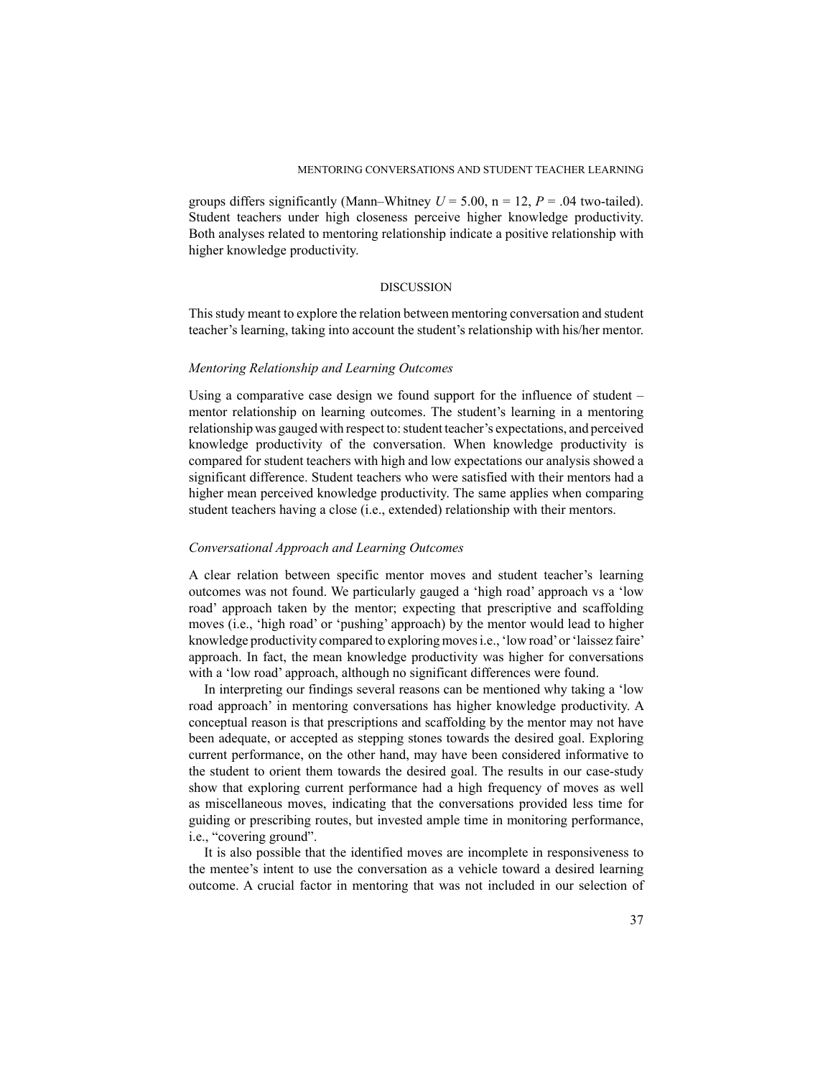groups differs significantly (Mann–Whitney  $U = 5.00$ ,  $n = 12$ ,  $P = .04$  two-tailed). Student teachers under high closeness perceive higher knowledge productivity. Both analyses related to mentoring relationship indicate a positive relationship with higher knowledge productivity.

### **DISCUSSION**

This study meant to explore the relation between mentoring conversation and student teacher's learning, taking into account the student's relationship with his/her mentor.

### *Mentoring Relationship and Learning Outcomes*

Using a comparative case design we found support for the influence of student  $$ mentor relationship on learning outcomes. The student's learning in a mentoring relationship was gauged with respect to: student teacher's expectations, and perceived knowledge productivity of the conversation. When knowledge productivity is compared for student teachers with high and low expectations our analysis showed a significant difference. Student teachers who were satisfied with their mentors had a higher mean perceived knowledge productivity. The same applies when comparing student teachers having a close (i.e., extended) relationship with their mentors.

### *Conversational Approach and Learning Outcomes*

A clear relation between specific mentor moves and student teacher's learning outcomes was not found. We particularly gauged a 'high road' approach vs a 'low road' approach taken by the mentor; expecting that prescriptive and scaffolding moves (i.e., 'high road' or 'pushing' approach) by the mentor would lead to higher knowledge productivity compared to exploring moves i.e., 'low road' or 'laissez faire' approach. In fact, the mean knowledge productivity was higher for conversations with a 'low road' approach, although no significant differences were found.

In interpreting our findings several reasons can be mentioned why taking a 'low road approach' in mentoring conversations has higher knowledge productivity. A conceptual reason is that prescriptions and scaffolding by the mentor may not have been adequate, or accepted as stepping stones towards the desired goal. Exploring current performance, on the other hand, may have been considered informative to the student to orient them towards the desired goal. The results in our case-study show that exploring current performance had a high frequency of moves as well as miscellaneous moves, indicating that the conversations provided less time for guiding or prescribing routes, but invested ample time in monitoring performance, i.e., "covering ground".

It is also possible that the identified moves are incomplete in responsiveness to the mentee's intent to use the conversation as a vehicle toward a desired learning outcome. A crucial factor in mentoring that was not included in our selection of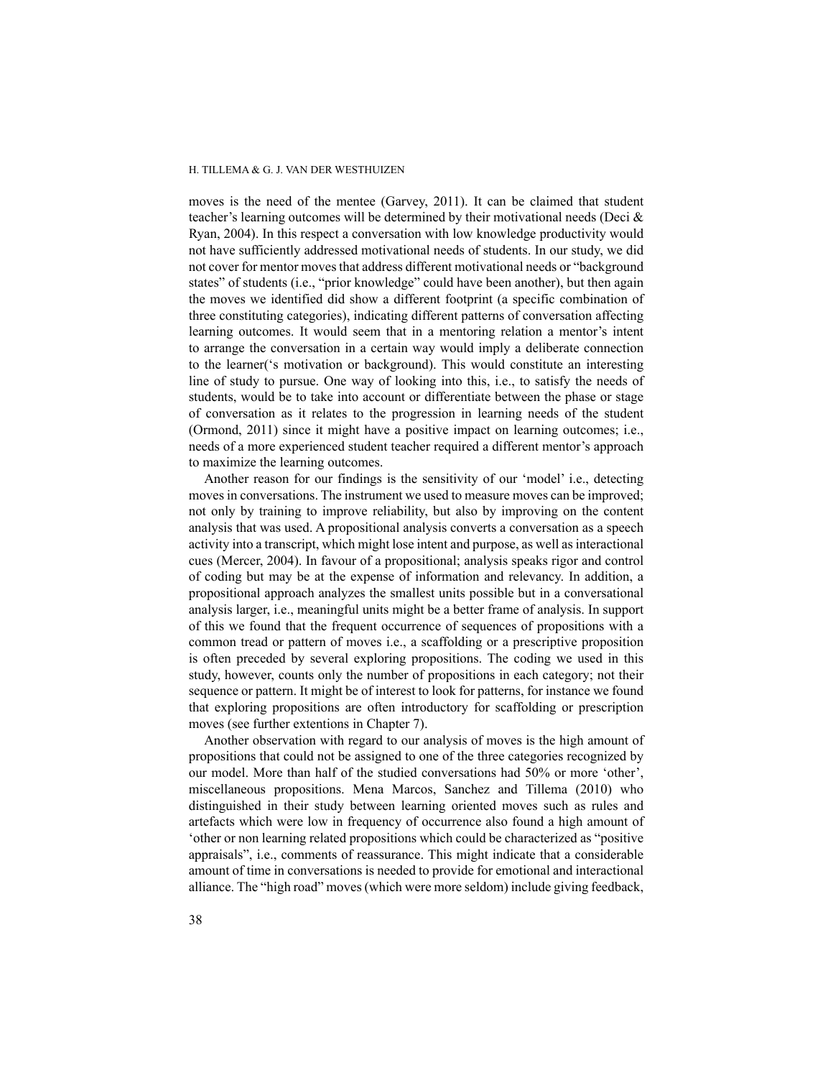### H. TILLEMA & G. J. VAN DER WESTHUIZEN

moves is the need of the mentee (Garvey, 2011). It can be claimed that student teacher's learning outcomes will be determined by their motivational needs (Deci & Ryan, 2004). In this respect a conversation with low knowledge productivity would not have sufficiently addressed motivational needs of students. In our study, we did not cover for mentor moves that address different motivational needs or "background states" of students (i.e., "prior knowledge" could have been another), but then again the moves we identified did show a different footprint (a specific combination of three constituting categories), indicating different patterns of conversation affecting learning outcomes. It would seem that in a mentoring relation a mentor's intent to arrange the conversation in a certain way would imply a deliberate connection to the learner('s motivation or background). This would constitute an interesting line of study to pursue. One way of looking into this, i.e., to satisfy the needs of students, would be to take into account or differentiate between the phase or stage of conversation as it relates to the progression in learning needs of the student (Ormond, 2011) since it might have a positive impact on learning outcomes; i.e., needs of a more experienced student teacher required a different mentor's approach to maximize the learning outcomes.

Another reason for our findings is the sensitivity of our 'model' i.e., detecting moves in conversations. The instrument we used to measure moves can be improved; not only by training to improve reliability, but also by improving on the content analysis that was used. A propositional analysis converts a conversation as a speech activity into a transcript, which might lose intent and purpose, as well as interactional cues (Mercer, 2004). In favour of a propositional; analysis speaks rigor and control of coding but may be at the expense of information and relevancy. In addition, a propositional approach analyzes the smallest units possible but in a conversational analysis larger, i.e., meaningful units might be a better frame of analysis. In support of this we found that the frequent occurrence of sequences of propositions with a common tread or pattern of moves i.e., a scaffolding or a prescriptive proposition is often preceded by several exploring propositions. The coding we used in this study, however, counts only the number of propositions in each category; not their sequence or pattern. It might be of interest to look for patterns, for instance we found that exploring propositions are often introductory for scaffolding or prescription moves (see further extentions in Chapter 7).

Another observation with regard to our analysis of moves is the high amount of propositions that could not be assigned to one of the three categories recognized by our model. More than half of the studied conversations had 50% or more 'other', miscellaneous propositions. Mena Marcos, Sanchez and Tillema (2010) who distinguished in their study between learning oriented moves such as rules and artefacts which were low in frequency of occurrence also found a high amount of 'other or non learning related propositions which could be characterized as "positive appraisals", i.e., comments of reassurance. This might indicate that a considerable amount of time in conversations is needed to provide for emotional and interactional alliance. The "high road" moves (which were more seldom) include giving feedback,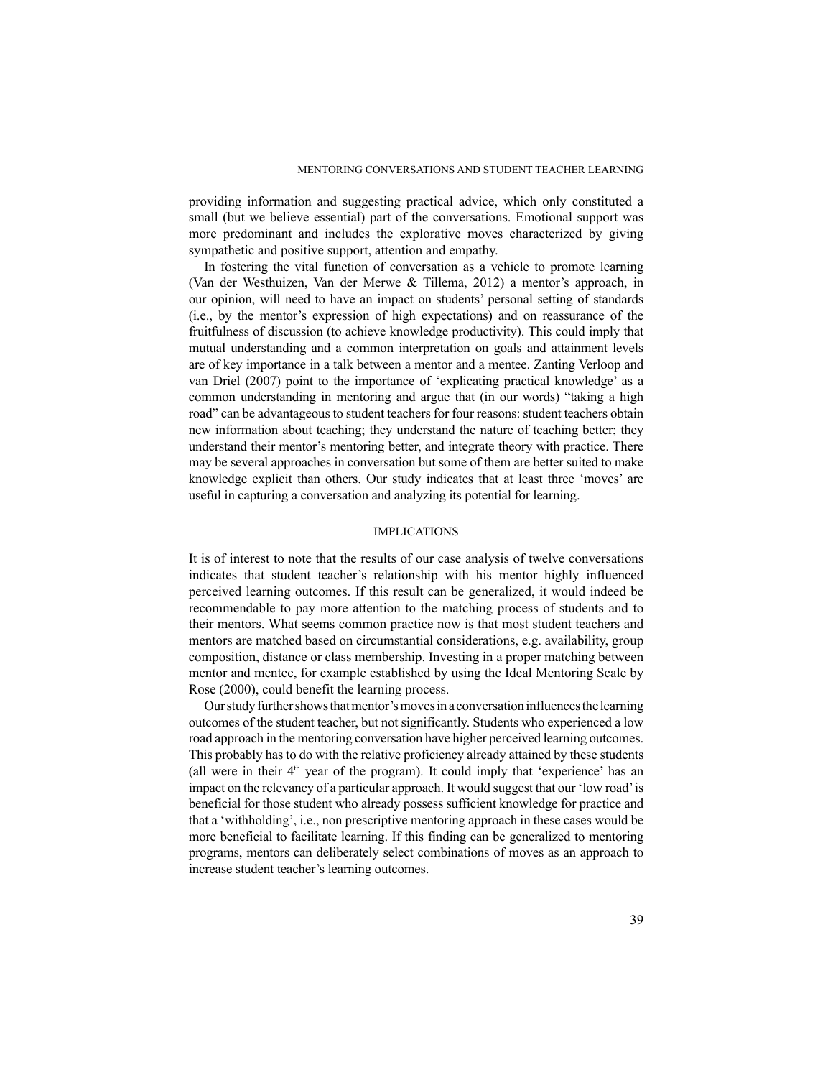providing information and suggesting practical advice, which only constituted a small (but we believe essential) part of the conversations. Emotional support was more predominant and includes the explorative moves characterized by giving sympathetic and positive support, attention and empathy.

In fostering the vital function of conversation as a vehicle to promote learning (Van der Westhuizen, Van der Merwe & Tillema, 2012) a mentor's approach, in our opinion, will need to have an impact on students' personal setting of standards (i.e., by the mentor's expression of high expectations) and on reassurance of the fruitfulness of discussion (to achieve knowledge productivity). This could imply that mutual understanding and a common interpretation on goals and attainment levels are of key importance in a talk between a mentor and a mentee. Zanting Verloop and van Driel (2007) point to the importance of 'explicating practical knowledge' as a common understanding in mentoring and argue that (in our words) "taking a high road" can be advantageous to student teachers for four reasons: student teachers obtain new information about teaching; they understand the nature of teaching better; they understand their mentor's mentoring better, and integrate theory with practice. There may be several approaches in conversation but some of them are better suited to make knowledge explicit than others. Our study indicates that at least three 'moves' are useful in capturing a conversation and analyzing its potential for learning.

### IMPLICATIONS

It is of interest to note that the results of our case analysis of twelve conversations indicates that student teacher's relationship with his mentor highly influenced perceived learning outcomes. If this result can be generalized, it would indeed be recommendable to pay more attention to the matching process of students and to their mentors. What seems common practice now is that most student teachers and mentors are matched based on circumstantial considerations, e.g. availability, group composition, distance or class membership. Investing in a proper matching between mentor and mentee, for example established by using the Ideal Mentoring Scale by Rose (2000), could benefit the learning process.

Our study further shows that mentor's moves in a conversation influences the learning outcomes of the student teacher, but not significantly. Students who experienced a low road approach in the mentoring conversation have higher perceived learning outcomes. This probably has to do with the relative proficiency already attained by these students (all were in their  $4<sup>th</sup>$  year of the program). It could imply that 'experience' has an impact on the relevancy of a particular approach. It would suggest that our 'low road' is beneficial for those student who already possess sufficient knowledge for practice and that a 'withholding', i.e., non prescriptive mentoring approach in these cases would be more beneficial to facilitate learning. If this finding can be generalized to mentoring programs, mentors can deliberately select combinations of moves as an approach to increase student teacher's learning outcomes.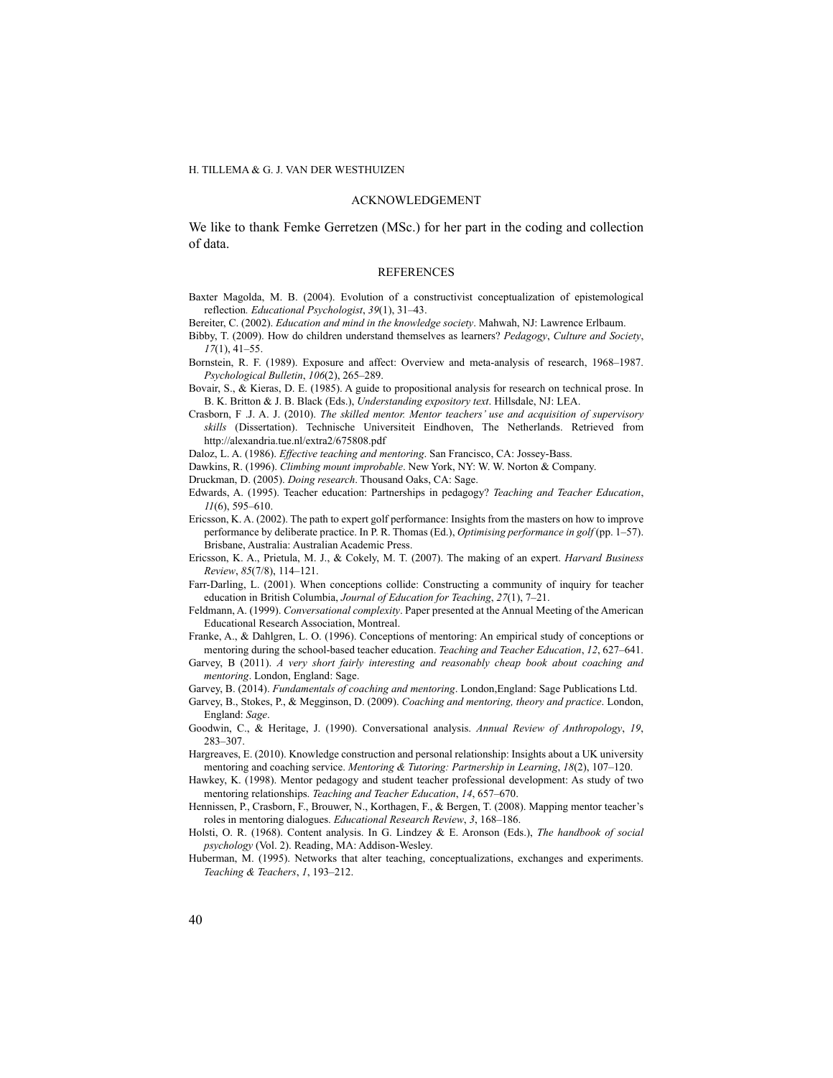#### H. TILLEMA & G. J. VAN DER WESTHUIZEN

### ACKNOWLEDGEMENT

We like to thank Femke Gerretzen (MSc.) for her part in the coding and collection of data.

#### **REFERENCES**

- Baxter Magolda, M. B. (2004). Evolution of a constructivist conceptualization of epistemological reflection*. Educational Psychologist*, *39*(1), 31–43.
- Bereiter, C. (2002). *Education and mind in the knowledge society*. Mahwah, NJ: Lawrence Erlbaum.
- Bibby, T. (2009). How do children understand themselves as learners? *Pedagogy*, *Culture and Society*, *17*(1), 41–55.
- Bornstein, R. F. (1989). Exposure and affect: Overview and meta-analysis of research, 1968–1987. *Psychological Bulletin*, *106*(2), 265–289.
- Bovair, S., & Kieras, D. E. (1985). A guide to propositional analysis for research on technical prose. In B. K. Britton & J. B. Black (Eds.), *Understanding expository text*. Hillsdale, NJ: LEA.
- Crasborn, F .J. A. J. (2010). *The skilled mentor. Mentor teachers' use and acquisition of supervisory skills* (Dissertation). Technische Universiteit Eindhoven, The Netherlands. Retrieved from http://alexandria.tue.nl/extra2/675808.pdf
- Daloz, L. A. (1986). *Effective teaching and mentoring*. San Francisco, CA: Jossey-Bass.
- Dawkins, R. (1996). *Climbing mount improbable*. New York, NY: W. W. Norton & Company.
- Druckman, D. (2005). *Doing research*. Thousand Oaks, CA: Sage.
- Edwards, A. (1995). Teacher education: Partnerships in pedagogy? *Teaching and Teacher Education*, *11*(6), 595–610.
- Ericsson, K. A. (2002). The path to expert golf performance: Insights from the masters on how to improve performance by deliberate practice. In P. R. Thomas (Ed.), *Optimising performance in golf* (pp. 1–57). Brisbane, Australia: Australian Academic Press.
- Ericsson, K. A., Prietula, M. J., & Cokely, M. T. (2007). The making of an expert. *Harvard Business Review*, *85*(7/8), 114–121.
- Farr-Darling, L. (2001). When conceptions collide: Constructing a community of inquiry for teacher education in British Columbia, *Journal of Education for Teaching*, *27*(1), 7–21.
- Feldmann, A. (1999). *Conversational complexity*. Paper presented at the Annual Meeting of the American Educational Research Association, Montreal.
- Franke, A., & Dahlgren, L. O. (1996). Conceptions of mentoring: An empirical study of conceptions or mentoring during the school-based teacher education. *Teaching and Teacher Education*, *12*, 627–641.
- Garvey, B (2011). *A very short fairly interesting and reasonably cheap book about coaching and mentoring*. London, England: Sage.
- Garvey, B. (2014). *Fundamentals of coaching and mentoring*. London,England: Sage Publications Ltd.
- Garvey, B., Stokes, P., & Megginson, D. (2009). *Coaching and mentoring, theory and practice*. London, England: *Sage*.
- Goodwin, C., & Heritage, J. (1990). Conversational analysis. *Annual Review of Anthropology*, *19*, 283–307.
- Hargreaves, E. (2010). Knowledge construction and personal relationship: Insights about a UK university mentoring and coaching service. *Mentoring & Tutoring: Partnership in Learning*, *18*(2), 107–120.
- Hawkey, K. (1998). Mentor pedagogy and student teacher professional development: As study of two mentoring relationships. *Teaching and Teacher Education*, *14*, 657–670.
- Hennissen, P., Crasborn, F., Brouwer, N., Korthagen, F., & Bergen, T. (2008). Mapping mentor teacher's roles in mentoring dialogues. *Educational Research Review*, *3*, 168–186.
- Holsti, O. R. (1968). Content analysis. In G. Lindzey & E. Aronson (Eds.), *The handbook of social psychology* (Vol. 2). Reading, MA: Addison-Wesley.
- Huberman, M. (1995). Networks that alter teaching, conceptualizations, exchanges and experiments. *Teaching & Teachers*, *1*, 193–212.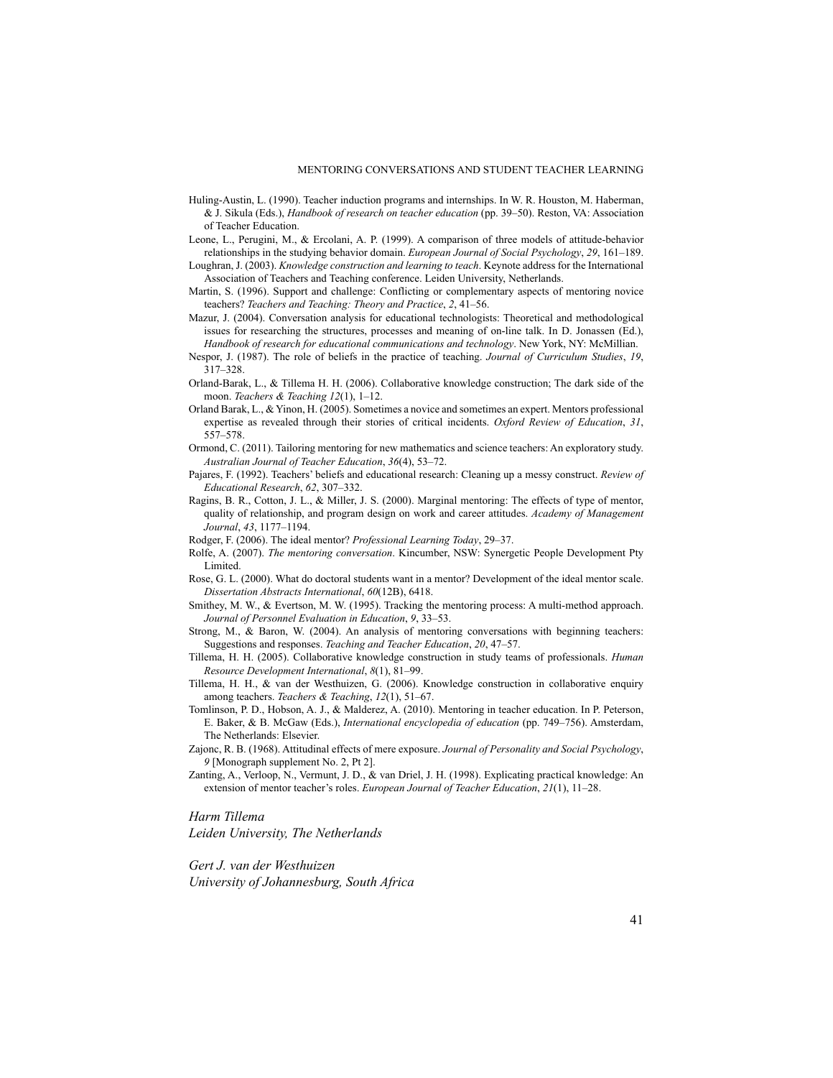- Huling-Austin, L. (1990). Teacher induction programs and internships. In W. R. Houston, M. Haberman, & J. Sikula (Eds.), *Handbook of research on teacher education* (pp. 39–50). Reston, VA: Association of Teacher Education.
- Leone, L., Perugini, M., & Ercolani, A. P. (1999). A comparison of three models of attitude-behavior relationships in the studying behavior domain. *European Journal of Social Psychology*, *29*, 161–189.
- Loughran, J. (2003). *Knowledge construction and learning to teach*. Keynote address for the International Association of Teachers and Teaching conference. Leiden University, Netherlands.
- Martin, S. (1996). Support and challenge: Conflicting or complementary aspects of mentoring novice teachers? *Teachers and Teaching: Theory and Practice*, *2*, 41–56.
- Mazur, J. (2004). Conversation analysis for educational technologists: Theoretical and methodological issues for researching the structures, processes and meaning of on-line talk. In D. Jonassen (Ed.), *Handbook of research for educational communications and technology*. New York, NY: McMillian.
- Nespor, J. (1987). The role of beliefs in the practice of teaching. *Journal of Curriculum Studies*, *19*, 317–328.
- Orland-Barak, L., & Tillema H. H. (2006). Collaborative knowledge construction; The dark side of the moon. *Teachers & Teaching 12*(1), 1–12.
- Orland Barak, L., & Yinon, H. (2005). Sometimes a novice and sometimes an expert. Mentors professional expertise as revealed through their stories of critical incidents. *Oxford Review of Education*, *31*, 557–578.
- Ormond, C. (2011). Tailoring mentoring for new mathematics and science teachers: An exploratory study. *Australian Journal of Teacher Education*, *36*(4), 53–72.
- Pajares, F. (1992). Teachers' beliefs and educational research: Cleaning up a messy construct. *Review of Educational Research*, *62*, 307–332.
- Ragins, B. R., Cotton, J. L., & Miller, J. S. (2000). Marginal mentoring: The effects of type of mentor, quality of relationship, and program design on work and career attitudes. *Academy of Management Journal*, *43*, 1177–1194.
- Rodger, F. (2006). The ideal mentor? *Professional Learning Today*, 29–37.
- Rolfe, A. (2007). *The mentoring conversation*. Kincumber, NSW: Synergetic People Development Pty Limited.
- Rose, G. L. (2000). What do doctoral students want in a mentor? Development of the ideal mentor scale. *Dissertation Abstracts International*, *60*(12B), 6418.
- Smithey, M. W., & Evertson, M. W. (1995). Tracking the mentoring process: A multi-method approach. *Journal of Personnel Evaluation in Education*, *9*, 33–53.
- Strong, M., & Baron, W. (2004). An analysis of mentoring conversations with beginning teachers: Suggestions and responses. *Teaching and Teacher Education*, *20*, 47–57.
- Tillema, H. H. (2005). Collaborative knowledge construction in study teams of professionals. *Human Resource Development International*, *8*(1), 81–99.
- Tillema, H. H., & van der Westhuizen, G. (2006). Knowledge construction in collaborative enquiry among teachers. *Teachers & Teaching*, *12*(1), 51–67.
- Tomlinson, P. D., Hobson, A. J., & Malderez, A. (2010). Mentoring in teacher education. In P. Peterson, E. Baker, & B. McGaw (Eds.), *International encyclopedia of education* (pp. 749–756). Amsterdam, The Netherlands: Elsevier.
- Zajonc, R. B. (1968). Attitudinal effects of mere exposure. *Journal of Personality and Social Psychology*, *9* [Monograph supplement No. 2, Pt 2].
- Zanting, A., Verloop, N., Vermunt, J. D., & van Driel, J. H. (1998). Explicating practical knowledge: An extension of mentor teacher's roles. *European Journal of Teacher Education*, *21*(1), 11–28.

*Harm Tillema Leiden University, The Netherlands*

*Gert J. van der Westhuizen University of Johannesburg, South Africa*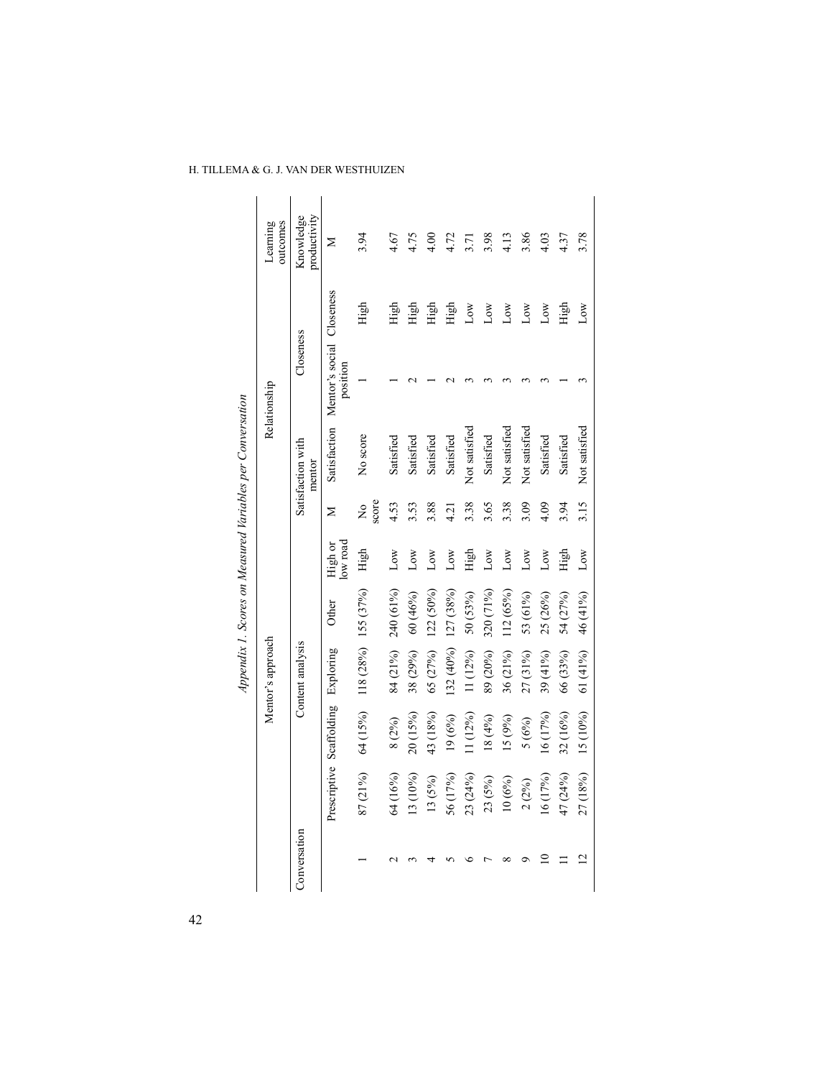|                                                           | outcomes<br>Learning | productivity<br>Knowledge   | ⋝                                     | 3.94                    | 4.67      | 4.75      | 00 <sub>4</sub> | 4.72      | 3.71                | 3.98      | 4.13            | 3.86            | 4.03            | 4.37      | 3.78          |          |          |          |          |
|-----------------------------------------------------------|----------------------|-----------------------------|---------------------------------------|-------------------------|-----------|-----------|-----------------|-----------|---------------------|-----------|-----------------|-----------------|-----------------|-----------|---------------|----------|----------|----------|----------|
| Appendix 1. Scores on Measured Variables per Conversation |                      | Closeness                   |                                       | High                    | High      | High      | High            | High      | Low                 | Low       | ΔW              | Low             | Low             | High      | Low           |          |          |          |          |
|                                                           | Relationship         |                             | Mentor's social Closeness<br>position |                         |           |           |                 |           |                     |           |                 |                 |                 |           |               |          |          |          |          |
|                                                           |                      | Satisfaction with<br>mentor | Satisfaction                          | No score                | Satisfied | Satisfied | Satisfied       | Satisfied | Not satisfied       | Satisfied | Not satisfied   | Not satisfied   | Satisfied       | Satisfied | Not satisfied |          |          |          |          |
|                                                           |                      |                             | ⋝                                     | score<br>$\overline{a}$ | 4.53      | 3.53      | 3.88            | 4.21      | 3.38                | 3.65      | 3.38            | 3.09            | 4.09            | 3.94      | 3.15          |          |          |          |          |
|                                                           | Mentor's approach    |                             | ow road<br>High or                    | High                    | ΝΟJ       | Δw        | ΝΟJ             | ΔW        | High                | ΔW        | $_{\text{Low}}$ | $_{\text{Low}}$ | $_{\text{Low}}$ | High      | Low           |          |          |          |          |
|                                                           |                      | Content analysis            | Other                                 |                         | 240 (61%) | 60 (46%)  | 122 (50%)       | 127 (38%) | 50 (53%)            | 320 (71%) | 112 (65%)       | 53 (61%)        | 25 (26%)        | 54 (27%)  | 46 (41%)      |          |          |          |          |
|                                                           |                      |                             |                                       |                         |           |           |                 |           | 118 (28%) 155 (37%) | 84 (21%)  | 38 (29%)        | 65 (27%)        | 132(40%)        | 11(12%)   | 89 (20%)      | 36 (21%) | 27 (31%) | 39 (41%) | 66 (33%) |
|                                                           |                      |                             | Prescriptive Scaffolding Exploring    | 64 (15%)                | 8(2%)     | 20 (15%)  | 43 (18%)        | 19 (6%)   | 11 (12%)            | 18(4%)    | 15 (9%)         | 5(6%)           | 16(17%)         | 32 (16%)  | 15 (10%)      |          |          |          |          |
|                                                           |                      |                             |                                       | 87 (21%)                | 64 (16%)  | 13 (10%)  | 13 (5%)         | 56 (17%)  | 23 (24%)            | 23 (5%)   | 10(6%)          | $2(2\%)$        | 16 (17%)        | 47 (24%)  | 27 (18%)      |          |          |          |          |
|                                                           |                      | Conversation                |                                       |                         |           |           |                 |           |                     |           |                 |                 |                 |           |               |          |          |          |          |

### H. TILLEMA & G. J. VAN DER WESTHUIZEN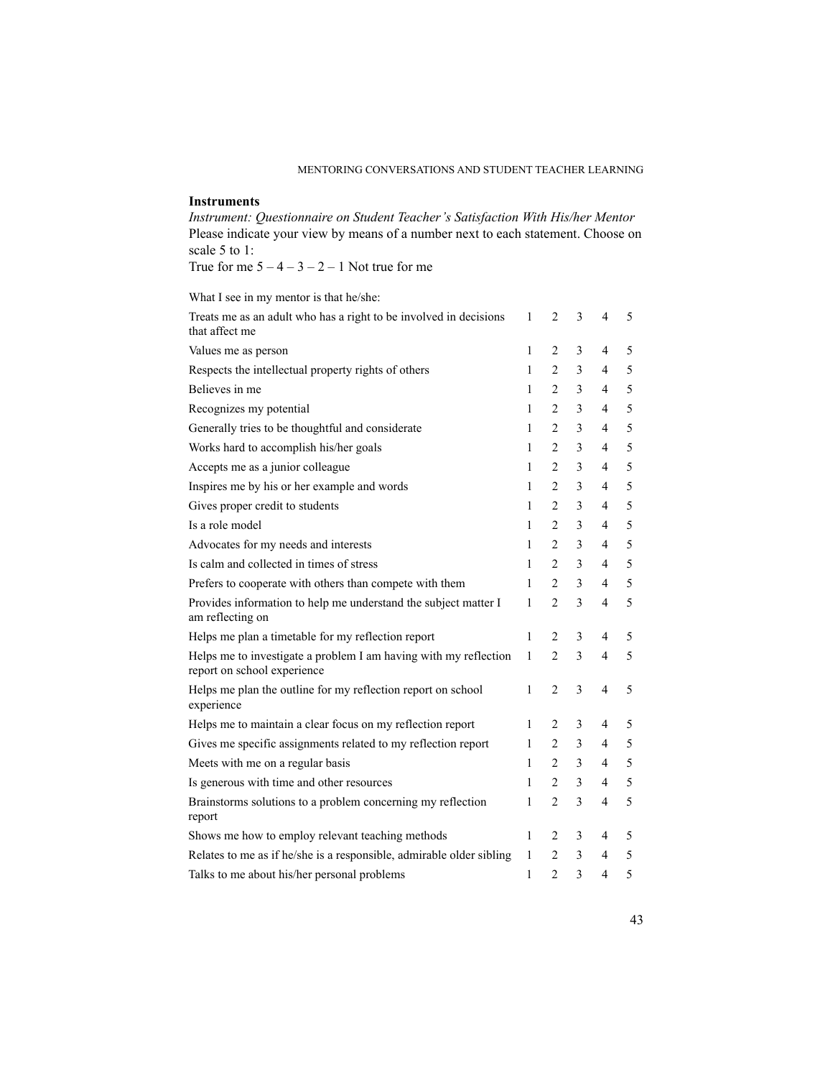### Mentoring conversations and student teacher learning

### **Instruments**

*Instrument: Questionnaire on Student Teacher's Satisfaction With His/her Mentor* Please indicate your view by means of a number next to each statement. Choose on scale 5 to 1:

True for me  $5 - 4 - 3 - 2 - 1$  Not true for me

What I see in my mentor is that he/she:

| Treats me as an adult who has a right to be involved in decisions<br>that affect me             | 1 | $\overline{c}$ | 3 | $\overline{4}$ | 5 |
|-------------------------------------------------------------------------------------------------|---|----------------|---|----------------|---|
| Values me as person                                                                             | 1 | 2              | 3 | 4              | 5 |
| Respects the intellectual property rights of others                                             | 1 | 2              | 3 | 4              | 5 |
| Believes in me                                                                                  | 1 | 2              | 3 | 4              | 5 |
| Recognizes my potential                                                                         | 1 | 2              | 3 | 4              | 5 |
| Generally tries to be thoughtful and considerate                                                | 1 | $\overline{c}$ | 3 | 4              | 5 |
| Works hard to accomplish his/her goals                                                          | 1 | $\overline{c}$ | 3 | 4              | 5 |
| Accepts me as a junior colleague                                                                | 1 | $\overline{c}$ | 3 | 4              | 5 |
| Inspires me by his or her example and words                                                     | 1 | $\overline{2}$ | 3 | 4              | 5 |
| Gives proper credit to students                                                                 | 1 | $\overline{c}$ | 3 | 4              | 5 |
| Is a role model                                                                                 | 1 | 2              | 3 | 4              | 5 |
| Advocates for my needs and interests                                                            | 1 | 2              | 3 | 4              | 5 |
| Is calm and collected in times of stress                                                        | 1 | 2              | 3 | 4              | 5 |
| Prefers to cooperate with others than compete with them                                         | 1 | 2              | 3 | 4              | 5 |
| Provides information to help me understand the subject matter I<br>am reflecting on             | 1 | $\overline{c}$ | 3 | 4              | 5 |
| Helps me plan a timetable for my reflection report                                              | 1 | 2              | 3 | 4              | 5 |
| Helps me to investigate a problem I am having with my reflection<br>report on school experience | 1 | 2              | 3 | 4              | 5 |
| Helps me plan the outline for my reflection report on school<br>experience                      | 1 | $\overline{c}$ | 3 | $\overline{4}$ | 5 |
| Helps me to maintain a clear focus on my reflection report                                      | 1 | 2              | 3 | 4              | 5 |
| Gives me specific assignments related to my reflection report                                   | 1 | 2              | 3 | 4              | 5 |
| Meets with me on a regular basis                                                                | 1 | 2              | 3 | 4              | 5 |
| Is generous with time and other resources                                                       | 1 | $\overline{c}$ | 3 | 4              | 5 |
| Brainstorms solutions to a problem concerning my reflection<br>report                           | 1 | $\overline{c}$ | 3 | 4              | 5 |
| Shows me how to employ relevant teaching methods                                                | 1 | 2              | 3 | 4              | 5 |
| Relates to me as if he/she is a responsible, admirable older sibling                            | 1 | 2              | 3 | 4              | 5 |
| Talks to me about his/her personal problems                                                     | 1 | $\overline{c}$ | 3 | 4              | 5 |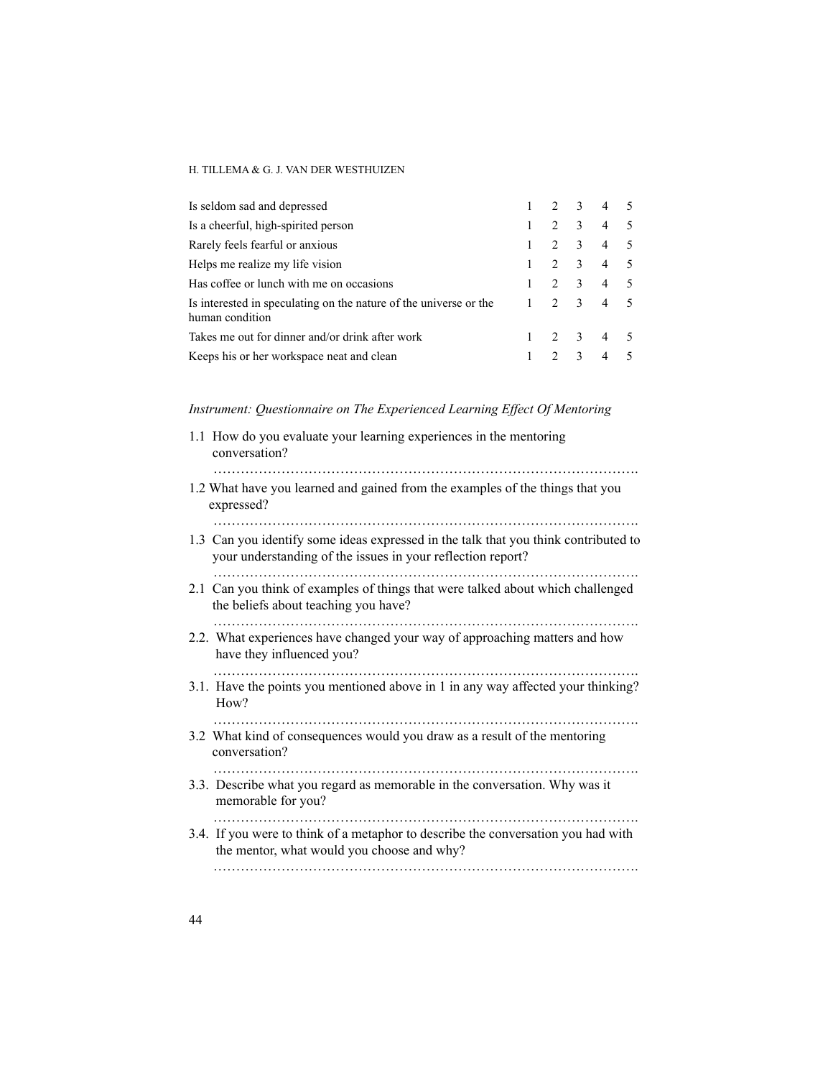### H. TILLEMA & G. J. VAN DER WESTHUIZEN

| Is seldom sad and depressed                                                          |              |  | $1 \t2 \t3 \t4 \t5$ |  |
|--------------------------------------------------------------------------------------|--------------|--|---------------------|--|
| Is a cheerful, high-spirited person                                                  |              |  | 2 3 4 5             |  |
| Rarely feels fearful or anxious                                                      |              |  | $1 \t2 \t3 \t4 \t5$ |  |
| Helps me realize my life vision                                                      |              |  | $1 \t2 \t3 \t4 \t5$ |  |
| Has coffee or lunch with me on occasions                                             | $\mathbf{1}$ |  | 2 3 4 5             |  |
| Is interested in speculating on the nature of the universe or the<br>human condition |              |  | $1 \t2 \t3 \t4 \t5$ |  |
| Takes me out for dinner and/or drink after work                                      |              |  | 2 3 4 5             |  |
| Keeps his or her workspace neat and clean                                            |              |  | 2 3 4 5             |  |

### *Instrument: Questionnaire on The Experienced Learning Effect Of Mentoring*

| 1.1 How do you evaluate your learning experiences in the mentoring<br>conversation?                                                                |
|----------------------------------------------------------------------------------------------------------------------------------------------------|
| 1.2 What have you learned and gained from the examples of the things that you<br>expressed?                                                        |
| 1.3 Can you identify some ideas expressed in the talk that you think contributed to<br>your understanding of the issues in your reflection report? |
| 2.1 Can you think of examples of things that were talked about which challenged<br>the beliefs about teaching you have?                            |
| 2.2. What experiences have changed your way of approaching matters and how<br>have they influenced you?                                            |
| 3.1. Have the points you mentioned above in 1 in any way affected your thinking?<br>How?                                                           |
| 3.2 What kind of consequences would you draw as a result of the mentoring<br>conversation?                                                         |
| 3.3. Describe what you regard as memorable in the conversation. Why was it<br>memorable for you?                                                   |
| 3.4. If you were to think of a metaphor to describe the conversation you had with<br>the mentor, what would you choose and why?                    |
|                                                                                                                                                    |